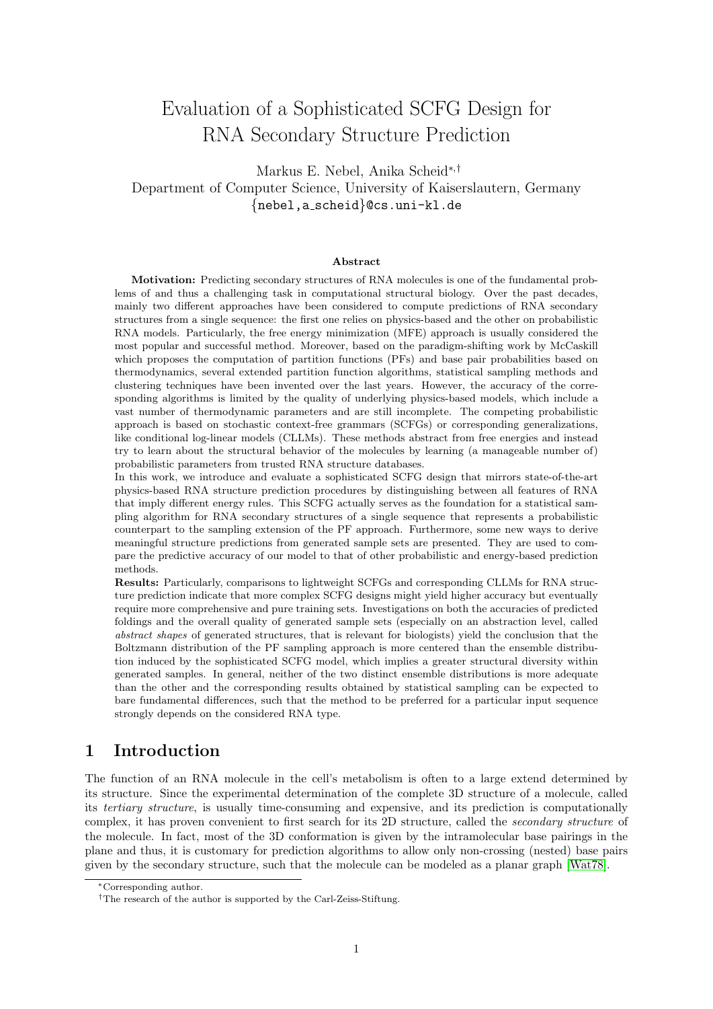# <span id="page-0-1"></span>Evaluation of a Sophisticated SCFG Design for RNA Secondary Structure Prediction

Markus E. Nebel, Anika Scheid<sup>∗</sup>,† Department of Computer Science, University of Kaiserslautern, Germany {nebel,a scheid}@cs.uni-kl.de

#### Abstract

Motivation: Predicting secondary structures of RNA molecules is one of the fundamental problems of and thus a challenging task in computational structural biology. Over the past decades, mainly two different approaches have been considered to compute predictions of RNA secondary structures from a single sequence: the first one relies on physics-based and the other on probabilistic RNA models. Particularly, the free energy minimization (MFE) approach is usually considered the most popular and successful method. Moreover, based on the paradigm-shifting work by McCaskill which proposes the computation of partition functions (PFs) and base pair probabilities based on thermodynamics, several extended partition function algorithms, statistical sampling methods and clustering techniques have been invented over the last years. However, the accuracy of the corresponding algorithms is limited by the quality of underlying physics-based models, which include a vast number of thermodynamic parameters and are still incomplete. The competing probabilistic approach is based on stochastic context-free grammars (SCFGs) or corresponding generalizations, like conditional log-linear models (CLLMs). These methods abstract from free energies and instead try to learn about the structural behavior of the molecules by learning (a manageable number of) probabilistic parameters from trusted RNA structure databases.

In this work, we introduce and evaluate a sophisticated SCFG design that mirrors state-of-the-art physics-based RNA structure prediction procedures by distinguishing between all features of RNA that imply different energy rules. This SCFG actually serves as the foundation for a statistical sampling algorithm for RNA secondary structures of a single sequence that represents a probabilistic counterpart to the sampling extension of the PF approach. Furthermore, some new ways to derive meaningful structure predictions from generated sample sets are presented. They are used to compare the predictive accuracy of our model to that of other probabilistic and energy-based prediction methods.

Results: Particularly, comparisons to lightweight SCFGs and corresponding CLLMs for RNA structure prediction indicate that more complex SCFG designs might yield higher accuracy but eventually require more comprehensive and pure training sets. Investigations on both the accuracies of predicted foldings and the overall quality of generated sample sets (especially on an abstraction level, called abstract shapes of generated structures, that is relevant for biologists) yield the conclusion that the Boltzmann distribution of the PF sampling approach is more centered than the ensemble distribution induced by the sophisticated SCFG model, which implies a greater structural diversity within generated samples. In general, neither of the two distinct ensemble distributions is more adequate than the other and the corresponding results obtained by statistical sampling can be expected to bare fundamental differences, such that the method to be preferred for a particular input sequence strongly depends on the considered RNA type.

### <span id="page-0-0"></span>1 Introduction

The function of an RNA molecule in the cell's metabolism is often to a large extend determined by its structure. Since the experimental determination of the complete 3D structure of a molecule, called its tertiary structure, is usually time-consuming and expensive, and its prediction is computationally complex, it has proven convenient to first search for its 2D structure, called the *secondary structure* of the molecule. In fact, most of the 3D conformation is given by the intramolecular base pairings in the plane and thus, it is customary for prediction algorithms to allow only non-crossing (nested) base pairs given by the secondary structure, such that the molecule can be modeled as a planar graph [\[Wat78\]](#page-25-0).

<sup>∗</sup>Corresponding author.

<sup>†</sup>The research of the author is supported by the Carl-Zeiss-Stiftung.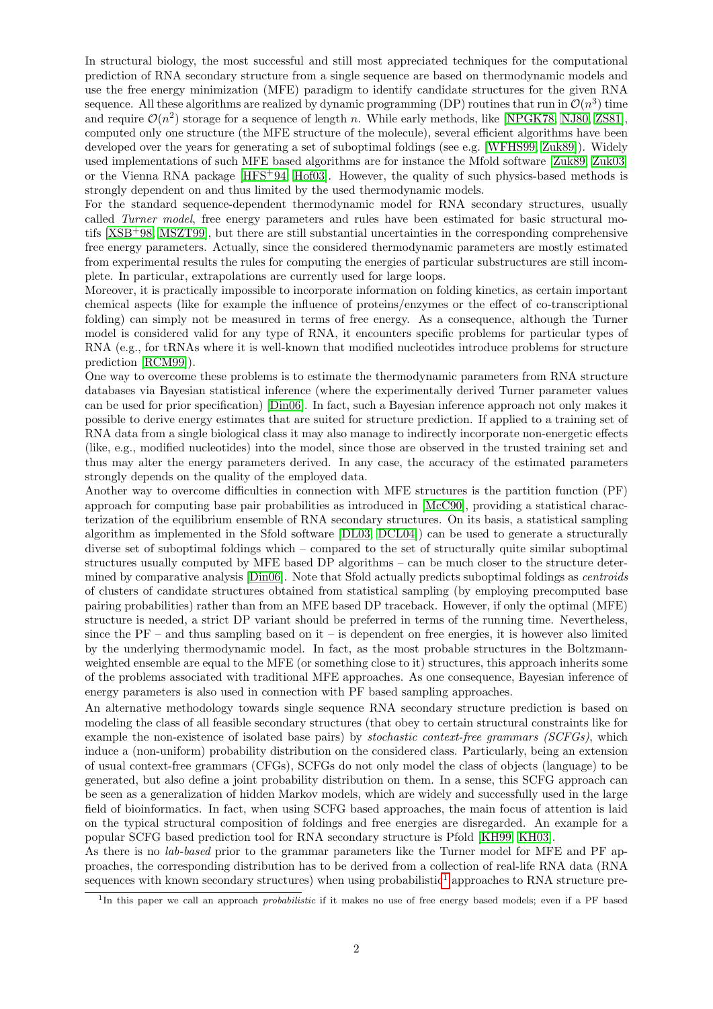In structural biology, the most successful and still most appreciated techniques for the computational prediction of RNA secondary structure from a single sequence are based on thermodynamic models and use the free energy minimization (MFE) paradigm to identify candidate structures for the given RNA sequence. All these algorithms are realized by dynamic programming (DP) routines that run in  $\mathcal{O}(n^3)$  time and require  $\mathcal{O}(n^2)$  storage for a sequence of length n. While early methods, like [\[NPGK78,](#page-24-0) [NJ80,](#page-24-1) [ZS81\]](#page-25-1), computed only one structure (the MFE structure of the molecule), several efficient algorithms have been developed over the years for generating a set of suboptimal foldings (see e.g. [\[WFHS99,](#page-25-2) [Zuk89\]](#page-25-3)). Widely used implementations of such MFE based algorithms are for instance the Mfold software [\[Zuk89,](#page-25-3) [Zuk03\]](#page-25-4) or the Vienna RNA package [\[HFS](#page-24-2)+94, [Hof03\]](#page-24-3). However, the quality of such physics-based methods is strongly dependent on and thus limited by the used thermodynamic models.

For the standard sequence-dependent thermodynamic model for RNA secondary structures, usually called *Turner model*, free energy parameters and rules have been estimated for basic structural motifs [\[XSB](#page-25-5)+98, [MSZT99\]](#page-24-4), but there are still substantial uncertainties in the corresponding comprehensive free energy parameters. Actually, since the considered thermodynamic parameters are mostly estimated from experimental results the rules for computing the energies of particular substructures are still incomplete. In particular, extrapolations are currently used for large loops.

Moreover, it is practically impossible to incorporate information on folding kinetics, as certain important chemical aspects (like for example the influence of proteins/enzymes or the effect of co-transcriptional folding) can simply not be measured in terms of free energy. As a consequence, although the Turner model is considered valid for any type of RNA, it encounters specific problems for particular types of RNA (e.g., for tRNAs where it is well-known that modified nucleotides introduce problems for structure prediction [\[RCM99\]](#page-24-5)).

One way to overcome these problems is to estimate the thermodynamic parameters from RNA structure databases via Bayesian statistical inference (where the experimentally derived Turner parameter values can be used for prior specification) [\[Din06\]](#page-23-0). In fact, such a Bayesian inference approach not only makes it possible to derive energy estimates that are suited for structure prediction. If applied to a training set of RNA data from a single biological class it may also manage to indirectly incorporate non-energetic effects (like, e.g., modified nucleotides) into the model, since those are observed in the trusted training set and thus may alter the energy parameters derived. In any case, the accuracy of the estimated parameters strongly depends on the quality of the employed data.

Another way to overcome difficulties in connection with MFE structures is the partition function (PF) approach for computing base pair probabilities as introduced in [\[McC90\]](#page-24-6), providing a statistical characterization of the equilibrium ensemble of RNA secondary structures. On its basis, a statistical sampling algorithm as implemented in the Sfold software [\[DL03,](#page-23-1) [DCL04\]](#page-23-2)) can be used to generate a structurally diverse set of suboptimal foldings which – compared to the set of structurally quite similar suboptimal structures usually computed by MFE based DP algorithms – can be much closer to the structure determined by comparative analysis [\[Din06\]](#page-23-0). Note that Sfold actually predicts suboptimal foldings as centroids of clusters of candidate structures obtained from statistical sampling (by employing precomputed base pairing probabilities) rather than from an MFE based DP traceback. However, if only the optimal (MFE) structure is needed, a strict DP variant should be preferred in terms of the running time. Nevertheless, since the  $PF$  – and thus sampling based on it – is dependent on free energies, it is however also limited by the underlying thermodynamic model. In fact, as the most probable structures in the Boltzmannweighted ensemble are equal to the MFE (or something close to it) structures, this approach inherits some of the problems associated with traditional MFE approaches. As one consequence, Bayesian inference of energy parameters is also used in connection with PF based sampling approaches.

An alternative methodology towards single sequence RNA secondary structure prediction is based on modeling the class of all feasible secondary structures (that obey to certain structural constraints like for example the non-existence of isolated base pairs) by *stochastic context-free grammars (SCFGs)*, which induce a (non-uniform) probability distribution on the considered class. Particularly, being an extension of usual context-free grammars (CFGs), SCFGs do not only model the class of objects (language) to be generated, but also define a joint probability distribution on them. In a sense, this SCFG approach can be seen as a generalization of hidden Markov models, which are widely and successfully used in the large field of bioinformatics. In fact, when using SCFG based approaches, the main focus of attention is laid on the typical structural composition of foldings and free energies are disregarded. An example for a popular SCFG based prediction tool for RNA secondary structure is Pfold [\[KH99,](#page-24-7) [KH03\]](#page-24-8).

As there is no *lab-based* prior to the grammar parameters like the Turner model for MFE and PF approaches, the corresponding distribution has to be derived from a collection of real-life RNA data (RNA sequences with known secondary structures) when using probabilistic<sup>[1](#page-1-0)</sup> approaches to RNA structure pre-

<span id="page-1-0"></span><sup>&</sup>lt;sup>1</sup>In this paper we call an approach *probabilistic* if it makes no use of free energy based models; even if a PF based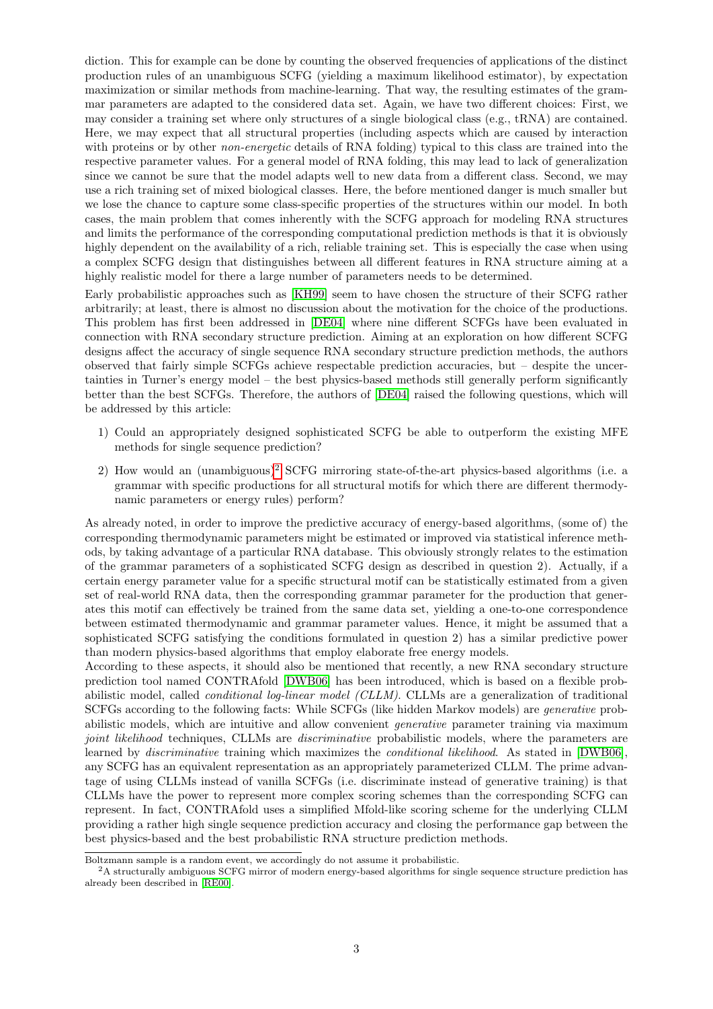diction. This for example can be done by counting the observed frequencies of applications of the distinct production rules of an unambiguous SCFG (yielding a maximum likelihood estimator), by expectation maximization or similar methods from machine-learning. That way, the resulting estimates of the grammar parameters are adapted to the considered data set. Again, we have two different choices: First, we may consider a training set where only structures of a single biological class (e.g., tRNA) are contained. Here, we may expect that all structural properties (including aspects which are caused by interaction with proteins or by other *non-energetic* details of RNA folding) typical to this class are trained into the respective parameter values. For a general model of RNA folding, this may lead to lack of generalization since we cannot be sure that the model adapts well to new data from a different class. Second, we may use a rich training set of mixed biological classes. Here, the before mentioned danger is much smaller but we lose the chance to capture some class-specific properties of the structures within our model. In both cases, the main problem that comes inherently with the SCFG approach for modeling RNA structures and limits the performance of the corresponding computational prediction methods is that it is obviously highly dependent on the availability of a rich, reliable training set. This is especially the case when using a complex SCFG design that distinguishes between all different features in RNA structure aiming at a highly realistic model for there a large number of parameters needs to be determined.

Early probabilistic approaches such as [\[KH99\]](#page-24-7) seem to have chosen the structure of their SCFG rather arbitrarily; at least, there is almost no discussion about the motivation for the choice of the productions. This problem has first been addressed in [\[DE04\]](#page-23-3) where nine different SCFGs have been evaluated in connection with RNA secondary structure prediction. Aiming at an exploration on how different SCFG designs affect the accuracy of single sequence RNA secondary structure prediction methods, the authors observed that fairly simple SCFGs achieve respectable prediction accuracies, but – despite the uncertainties in Turner's energy model – the best physics-based methods still generally perform significantly better than the best SCFGs. Therefore, the authors of [\[DE04\]](#page-23-3) raised the following questions, which will be addressed by this article:

- 1) Could an appropriately designed sophisticated SCFG be able to outperform the existing MFE methods for single sequence prediction?
- 2) How would an (unambiguous)[2](#page-2-0) SCFG mirroring state-of-the-art physics-based algorithms (i.e. a grammar with specific productions for all structural motifs for which there are different thermodynamic parameters or energy rules) perform?

As already noted, in order to improve the predictive accuracy of energy-based algorithms, (some of) the corresponding thermodynamic parameters might be estimated or improved via statistical inference methods, by taking advantage of a particular RNA database. This obviously strongly relates to the estimation of the grammar parameters of a sophisticated SCFG design as described in question 2). Actually, if a certain energy parameter value for a specific structural motif can be statistically estimated from a given set of real-world RNA data, then the corresponding grammar parameter for the production that generates this motif can effectively be trained from the same data set, yielding a one-to-one correspondence between estimated thermodynamic and grammar parameter values. Hence, it might be assumed that a sophisticated SCFG satisfying the conditions formulated in question 2) has a similar predictive power than modern physics-based algorithms that employ elaborate free energy models.

According to these aspects, it should also be mentioned that recently, a new RNA secondary structure prediction tool named CONTRAfold [\[DWB06\]](#page-23-4) has been introduced, which is based on a flexible probabilistic model, called conditional log-linear model (CLLM). CLLMs are a generalization of traditional SCFGs according to the following facts: While SCFGs (like hidden Markov models) are generative probabilistic models, which are intuitive and allow convenient generative parameter training via maximum joint likelihood techniques, CLLMs are *discriminative* probabilistic models, where the parameters are learned by discriminative training which maximizes the conditional likelihood. As stated in [\[DWB06\]](#page-23-4), any SCFG has an equivalent representation as an appropriately parameterized CLLM. The prime advantage of using CLLMs instead of vanilla SCFGs (i.e. discriminate instead of generative training) is that CLLMs have the power to represent more complex scoring schemes than the corresponding SCFG can represent. In fact, CONTRAfold uses a simplified Mfold-like scoring scheme for the underlying CLLM providing a rather high single sequence prediction accuracy and closing the performance gap between the best physics-based and the best probabilistic RNA structure prediction methods.

Boltzmann sample is a random event, we accordingly do not assume it probabilistic.

<span id="page-2-0"></span><sup>2</sup>A structurally ambiguous SCFG mirror of modern energy-based algorithms for single sequence structure prediction has already been described in [\[RE00\]](#page-24-9).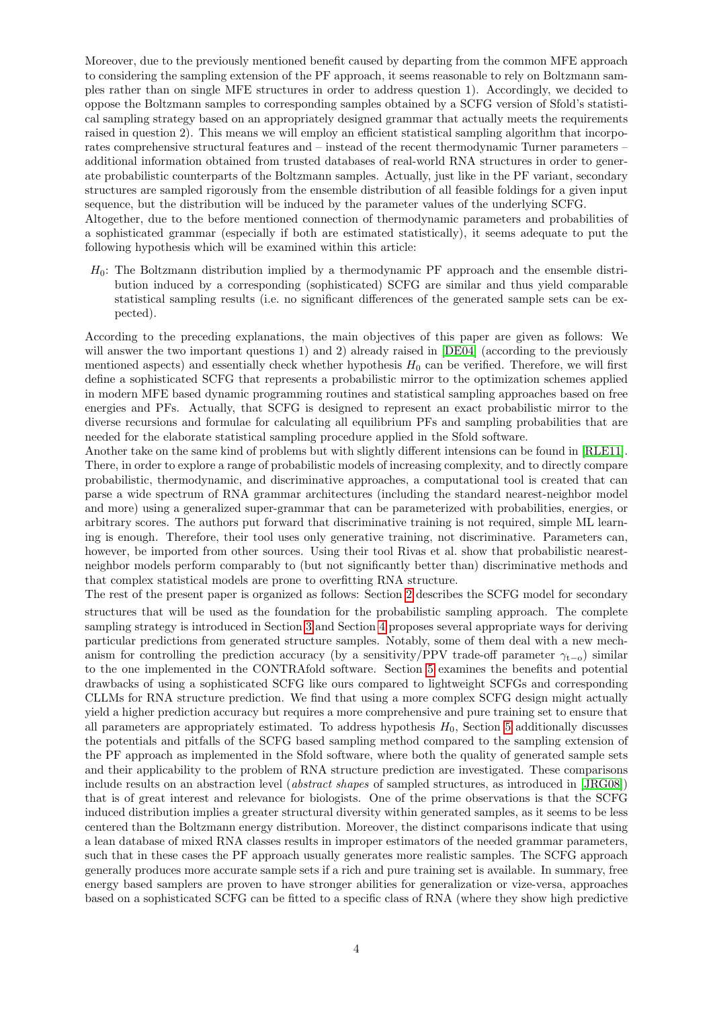Moreover, due to the previously mentioned benefit caused by departing from the common MFE approach to considering the sampling extension of the PF approach, it seems reasonable to rely on Boltzmann samples rather than on single MFE structures in order to address question 1). Accordingly, we decided to oppose the Boltzmann samples to corresponding samples obtained by a SCFG version of Sfold's statistical sampling strategy based on an appropriately designed grammar that actually meets the requirements raised in question 2). This means we will employ an efficient statistical sampling algorithm that incorporates comprehensive structural features and – instead of the recent thermodynamic Turner parameters – additional information obtained from trusted databases of real-world RNA structures in order to generate probabilistic counterparts of the Boltzmann samples. Actually, just like in the PF variant, secondary structures are sampled rigorously from the ensemble distribution of all feasible foldings for a given input sequence, but the distribution will be induced by the parameter values of the underlying SCFG.

Altogether, due to the before mentioned connection of thermodynamic parameters and probabilities of a sophisticated grammar (especially if both are estimated statistically), it seems adequate to put the following hypothesis which will be examined within this article:

 $H_0$ : The Boltzmann distribution implied by a thermodynamic PF approach and the ensemble distribution induced by a corresponding (sophisticated) SCFG are similar and thus yield comparable statistical sampling results (i.e. no significant differences of the generated sample sets can be expected).

According to the preceding explanations, the main objectives of this paper are given as follows: We will answer the two important questions 1) and 2) already raised in [\[DE04\]](#page-23-3) (according to the previously mentioned aspects) and essentially check whether hypothesis  $H_0$  can be verified. Therefore, we will first define a sophisticated SCFG that represents a probabilistic mirror to the optimization schemes applied in modern MFE based dynamic programming routines and statistical sampling approaches based on free energies and PFs. Actually, that SCFG is designed to represent an exact probabilistic mirror to the diverse recursions and formulae for calculating all equilibrium PFs and sampling probabilities that are needed for the elaborate statistical sampling procedure applied in the Sfold software.

Another take on the same kind of problems but with slightly different intensions can be found in [\[RLE11\]](#page-25-6). There, in order to explore a range of probabilistic models of increasing complexity, and to directly compare probabilistic, thermodynamic, and discriminative approaches, a computational tool is created that can parse a wide spectrum of RNA grammar architectures (including the standard nearest-neighbor model and more) using a generalized super-grammar that can be parameterized with probabilities, energies, or arbitrary scores. The authors put forward that discriminative training is not required, simple ML learning is enough. Therefore, their tool uses only generative training, not discriminative. Parameters can, however, be imported from other sources. Using their tool Rivas et al. show that probabilistic nearestneighbor models perform comparably to (but not significantly better than) discriminative methods and that complex statistical models are prone to overfitting RNA structure.

The rest of the present paper is organized as follows: Section [2](#page-4-0) describes the SCFG model for secondary structures that will be used as the foundation for the probabilistic sampling approach. The complete sampling strategy is introduced in Section [3](#page-6-0) and Section [4](#page-8-0) proposes several appropriate ways for deriving particular predictions from generated structure samples. Notably, some of them deal with a new mechanism for controlling the prediction accuracy (by a sensitivity/PPV trade-off parameter  $\gamma_{t-0}$ ) similar to the one implemented in the CONTRAfold software. Section [5](#page-12-0) examines the benefits and potential drawbacks of using a sophisticated SCFG like ours compared to lightweight SCFGs and corresponding CLLMs for RNA structure prediction. We find that using a more complex SCFG design might actually yield a higher prediction accuracy but requires a more comprehensive and pure training set to ensure that all parameters are appropriately estimated. To address hypothesis  $H_0$ , Section [5](#page-12-0) additionally discusses the potentials and pitfalls of the SCFG based sampling method compared to the sampling extension of the PF approach as implemented in the Sfold software, where both the quality of generated sample sets and their applicability to the problem of RNA structure prediction are investigated. These comparisons include results on an abstraction level (abstract shapes of sampled structures, as introduced in [\[JRG08\]](#page-24-10)) that is of great interest and relevance for biologists. One of the prime observations is that the SCFG induced distribution implies a greater structural diversity within generated samples, as it seems to be less centered than the Boltzmann energy distribution. Moreover, the distinct comparisons indicate that using a lean database of mixed RNA classes results in improper estimators of the needed grammar parameters, such that in these cases the PF approach usually generates more realistic samples. The SCFG approach generally produces more accurate sample sets if a rich and pure training set is available. In summary, free energy based samplers are proven to have stronger abilities for generalization or vize-versa, approaches based on a sophisticated SCFG can be fitted to a specific class of RNA (where they show high predictive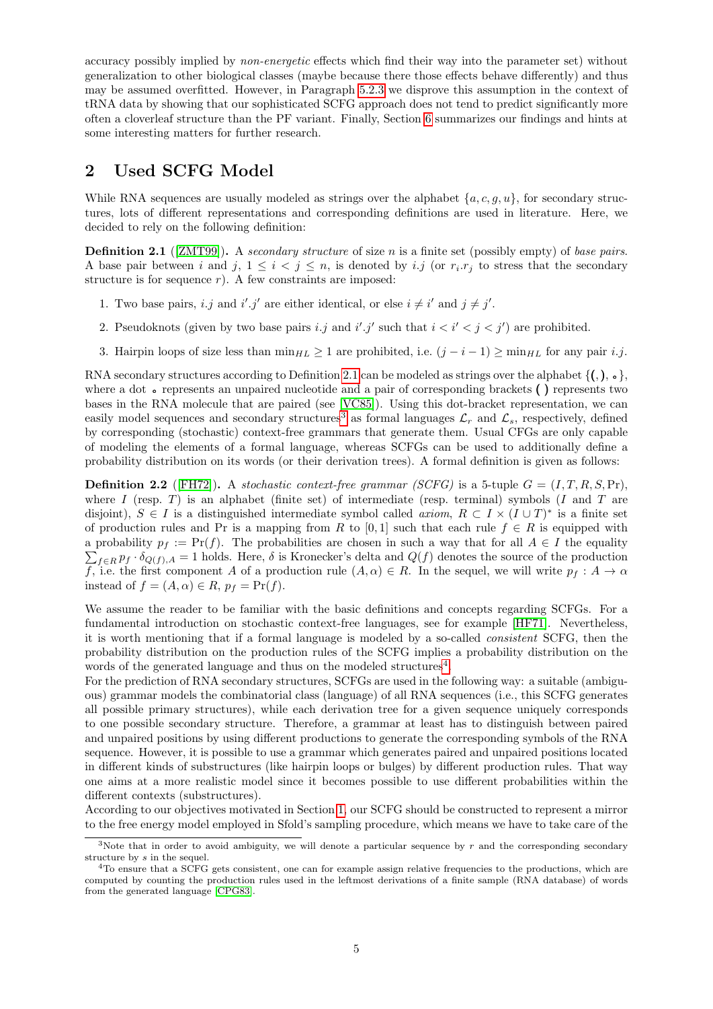accuracy possibly implied by non-energetic effects which find their way into the parameter set) without generalization to other biological classes (maybe because there those effects behave differently) and thus may be assumed overfitted. However, in Paragraph [5.2.3](#page-16-0) we disprove this assumption in the context of tRNA data by showing that our sophisticated SCFG approach does not tend to predict significantly more often a cloverleaf structure than the PF variant. Finally, Section [6](#page-22-0) summarizes our findings and hints at some interesting matters for further research.

### <span id="page-4-0"></span>2 Used SCFG Model

While RNA sequences are usually modeled as strings over the alphabet  ${a, c, q, u}$ , for secondary structures, lots of different representations and corresponding definitions are used in literature. Here, we decided to rely on the following definition:

<span id="page-4-1"></span>**Definition 2.1** ([\[ZMT99\]](#page-25-7)). A secondary structure of size n is a finite set (possibly empty) of base pairs. A base pair between i and  $j, 1 \leq i < j \leq n$ , is denoted by i.j (or  $r_i.r_j$  to stress that the secondary structure is for sequence  $r$ ). A few constraints are imposed:

- 1. Two base pairs, *i.j* and  $i'.j'$  are either identical, or else  $i \neq i'$  and  $j \neq j'$ .
- 2. Pseudoknots (given by two base pairs i.j and i'.j' such that  $i < i' < j < j'$ ) are prohibited.
- 3. Hairpin loops of size less than  $\min_{HL} \geq 1$  are prohibited, i.e.  $(j i 1) \geq \min_{HL}$  for any pair i.j.

RNA secondary structures according to Definition [2.1](#page-4-1) can be modeled as strings over the alphabet  $\{(), \circ\},\$ where a dot • represents an unpaired nucleotide and a pair of corresponding brackets () represents two bases in the RNA molecule that are paired (see [\[VC85\]](#page-25-8)). Using this dot-bracket representation, we can easily model sequences and secondary structures<sup>[3](#page-4-2)</sup> as formal languages  $\mathcal{L}_r$  and  $\mathcal{L}_s$ , respectively, defined by corresponding (stochastic) context-free grammars that generate them. Usual CFGs are only capable of modeling the elements of a formal language, whereas SCFGs can be used to additionally define a probability distribution on its words (or their derivation trees). A formal definition is given as follows:

**Definition 2.2** ([\[FH72\]](#page-23-5)). A stochastic context-free grammar (SCFG) is a 5-tuple  $G = (I, T, R, S, Pr)$ , where I (resp. T) is an alphabet (finite set) of intermediate (resp. terminal) symbols  $(I \text{ and } T \text{ are})$ disjoint),  $S \in I$  is a distinguished intermediate symbol called *axiom*,  $R \subset I \times (I \cup T)^*$  is a finite set of production rules and Pr is a mapping from R to [0, 1] such that each rule  $f \in R$  is equipped with a probability  $p_f := \Pr(f)$ . The probabilities are chosen in such a way that for all  $A \in I$  the equality  $\sum_{f\in R} p_f\cdot \delta_{Q(f),A}=1$  holds. Here,  $\delta$  is Kronecker's delta and  $Q(f)$  denotes the source of the production f, i.e. the first component A of a production rule  $(A, \alpha) \in R$ . In the sequel, we will write  $p_f : A \to \alpha$ instead of  $f = (A, \alpha) \in R$ ,  $p_f = Pr(f)$ .

We assume the reader to be familiar with the basic definitions and concepts regarding SCFGs. For a fundamental introduction on stochastic context-free languages, see for example [\[HF71\]](#page-24-11). Nevertheless, it is worth mentioning that if a formal language is modeled by a so-called consistent SCFG, then the probability distribution on the production rules of the SCFG implies a probability distribution on the words of the generated language and thus on the modeled structures<sup>[4](#page-4-3)</sup>.

For the prediction of RNA secondary structures, SCFGs are used in the following way: a suitable (ambiguous) grammar models the combinatorial class (language) of all RNA sequences (i.e., this SCFG generates all possible primary structures), while each derivation tree for a given sequence uniquely corresponds to one possible secondary structure. Therefore, a grammar at least has to distinguish between paired and unpaired positions by using different productions to generate the corresponding symbols of the RNA sequence. However, it is possible to use a grammar which generates paired and unpaired positions located in different kinds of substructures (like hairpin loops or bulges) by different production rules. That way one aims at a more realistic model since it becomes possible to use different probabilities within the different contexts (substructures).

According to our objectives motivated in Section [1,](#page-0-0) our SCFG should be constructed to represent a mirror to the free energy model employed in Sfold's sampling procedure, which means we have to take care of the

<span id="page-4-2"></span> $3$ Note that in order to avoid ambiguity, we will denote a particular sequence by r and the corresponding secondary structure by s in the sequel.

<span id="page-4-3"></span> ${}^{4}$ To ensure that a SCFG gets consistent, one can for example assign relative frequencies to the productions, which are computed by counting the production rules used in the leftmost derivations of a finite sample (RNA database) of words from the generated language [\[CPG83\]](#page-23-6).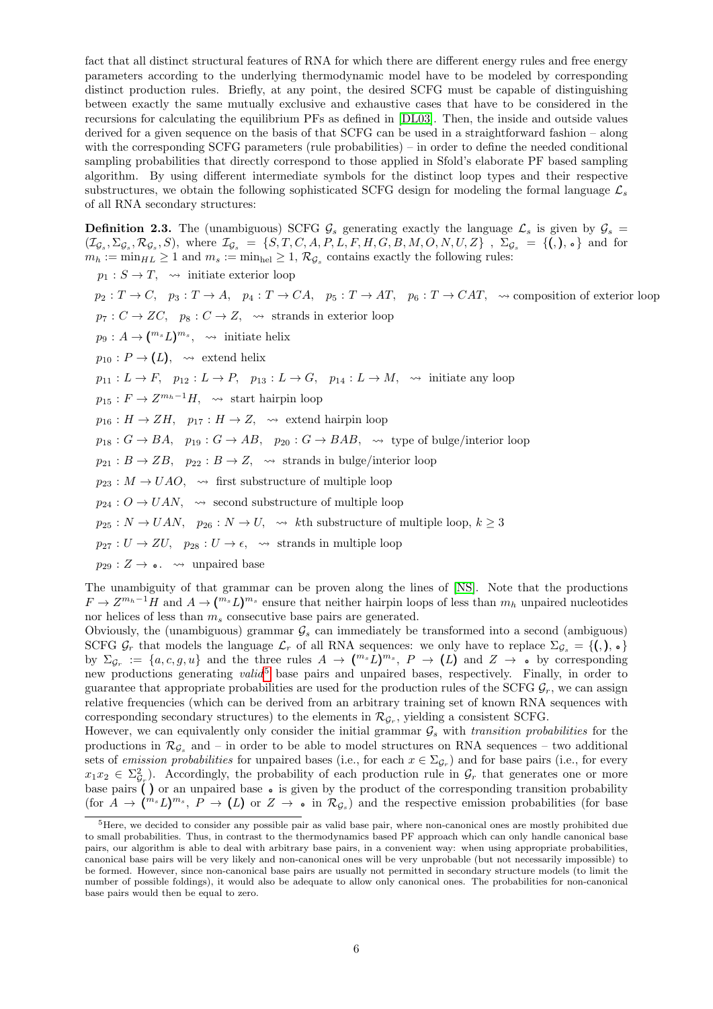fact that all distinct structural features of RNA for which there are different energy rules and free energy parameters according to the underlying thermodynamic model have to be modeled by corresponding distinct production rules. Briefly, at any point, the desired SCFG must be capable of distinguishing between exactly the same mutually exclusive and exhaustive cases that have to be considered in the recursions for calculating the equilibrium PFs as defined in [\[DL03\]](#page-23-1). Then, the inside and outside values derived for a given sequence on the basis of that SCFG can be used in a straightforward fashion – along with the corresponding SCFG parameters (rule probabilities) – in order to define the needed conditional sampling probabilities that directly correspond to those applied in Sfold's elaborate PF based sampling algorithm. By using different intermediate symbols for the distinct loop types and their respective substructures, we obtain the following sophisticated SCFG design for modeling the formal language  $\mathcal{L}_s$ of all RNA secondary structures:

**Definition 2.3.** The (unambiguous) SCFG  $\mathcal{G}_s$  generating exactly the language  $\mathcal{L}_s$  is given by  $\mathcal{G}_s$  =  $(\mathcal{I}_{\mathcal{G}_s},\Sigma_{\mathcal{G}_s},\mathcal{R}_{\mathcal{G}_s},S)$ , where  $\mathcal{I}_{\mathcal{G}_s} = \{S,T,C,A,P,L,F,H,G,B,M,O,N,U,Z\}$ ,  $\Sigma_{\mathcal{G}_s} = \{(),\}$  and for  $m_h := \min_{HL} \geq 1$  and  $m_s := \min_{\text{hel}} \geq 1$ ,  $\mathcal{R}_{\mathcal{G}_s}$  contains exactly the following rules:

 $p_1 : S \to T$ ,  $\rightsquigarrow$  initiate exterior loop

 $p_2: T \to C$ ,  $p_3: T \to A$ ,  $p_4: T \to CA$ ,  $p_5: T \to AT$ ,  $p_6: T \to CAT$ ,  $\sim$  composition of exterior loop  $p_7: C \to ZC$ ,  $p_8: C \to Z$ ,  $\rightsquigarrow$  strands in exterior loop  $p_9: A \to (\binom{m_s}{\cdot} \binom{m_s}{\cdot}, \rightsquigarrow$  initiate helix  $p_{10} : P \to (L)$ ,  $\rightsquigarrow$  extend helix  $p_{11}: L \to F$ ,  $p_{12}: L \to P$ ,  $p_{13}: L \to G$ ,  $p_{14}: L \to M$ ,  $\rightsquigarrow$  initiate any loop  $p_{15}: F \to Z^{m_h-1}H$ ,  $\leadsto$  start hairpin loop  $p_{16}: H \to ZH$ ,  $p_{17}: H \to Z$ ,  $\rightsquigarrow$  extend hairpin loop  $p_{18}: G \to BA$ ,  $p_{19}: G \to AB$ ,  $p_{20}: G \to BAB$ ,  $\leadsto$  type of bulge/interior loop  $p_{21}: B \to ZB$ ,  $p_{22}: B \to Z$ ,  $\rightsquigarrow$  strands in bulge/interior loop  $p_{23}: M \rightarrow UAO$ ,  $\rightsquigarrow$  first substructure of multiple loop  $p_{24}: O \rightarrow UAN$ ,  $\rightsquigarrow$  second substructure of multiple loop  $p_{25}: N \to UAN$ ,  $p_{26}: N \to U$ ,  $\leadsto$  kth substructure of multiple loop,  $k \geq 3$  $p_{27}: U \rightarrow ZU$ ,  $p_{28}: U \rightarrow \epsilon$ ,  $\rightsquigarrow$  strands in multiple loop  $p_{29}: Z \rightarrow \bullet$ .  $\rightsquigarrow$  unpaired base

The unambiguity of that grammar can be proven along the lines of [\[NS\]](#page-24-12). Note that the productions  $F \to Z^{m_h-1}H$  and  $A \to {m_s}L^{m_s}$  ensure that neither hairpin loops of less than  $m_h$  unpaired nucleotides nor helices of less than  $m_s$  consecutive base pairs are generated.

Obviously, the (unambiguous) grammar  $\mathcal{G}_s$  can immediately be transformed into a second (ambiguous) SCFG  $\mathcal{G}_r$  that models the language  $\mathcal{L}_r$  of all RNA sequences: we only have to replace  $\Sigma_{\mathcal{G}_s} = \{(),\}$ by  $\Sigma_{\mathcal{G}_r} := \{a,c,g,u\}$  and the three rules  $A \to (\binom{m_s}{L})^m$ ,  $P \to (L)$  and  $Z \to \infty$  by corresponding new productions generating *valid*<sup>[5](#page-5-0)</sup> base pairs and unpaired bases, respectively. Finally, in order to guarantee that appropriate probabilities are used for the production rules of the SCFG  $\mathcal{G}_r$ , we can assign relative frequencies (which can be derived from an arbitrary training set of known RNA sequences with corresponding secondary structures) to the elements in  $\mathcal{R}_{\mathcal{G}_r}$ , yielding a consistent SCFG.

However, we can equivalently only consider the initial grammar  $\mathcal{G}_s$  with transition probabilities for the productions in  $\mathcal{R}_{G_s}$  and – in order to be able to model structures on RNA sequences – two additional sets of *emission probabilities* for unpaired bases (i.e., for each  $x \in \Sigma_{\mathcal{G}_r}$ ) and for base pairs (i.e., for every  $x_1x_2 \in \Sigma_{\mathcal{G}_r}^2$ . Accordingly, the probability of each production rule in  $\mathcal{G}_r$  that generates one or more base pairs () or an unpaired base • is given by the product of the corresponding transition probability (for  $A \to (\ell^m L)^{m_s}$ ,  $P \to (L)$  or  $Z \to \infty$  in  $\mathcal{R}_{\mathcal{G}_s}$ ) and the respective emission probabilities (for base

<span id="page-5-0"></span><sup>5</sup>Here, we decided to consider any possible pair as valid base pair, where non-canonical ones are mostly prohibited due to small probabilities. Thus, in contrast to the thermodynamics based PF approach which can only handle canonical base pairs, our algorithm is able to deal with arbitrary base pairs, in a convenient way: when using appropriate probabilities, canonical base pairs will be very likely and non-canonical ones will be very unprobable (but not necessarily impossible) to be formed. However, since non-canonical base pairs are usually not permitted in secondary structure models (to limit the number of possible foldings), it would also be adequate to allow only canonical ones. The probabilities for non-canonical base pairs would then be equal to zero.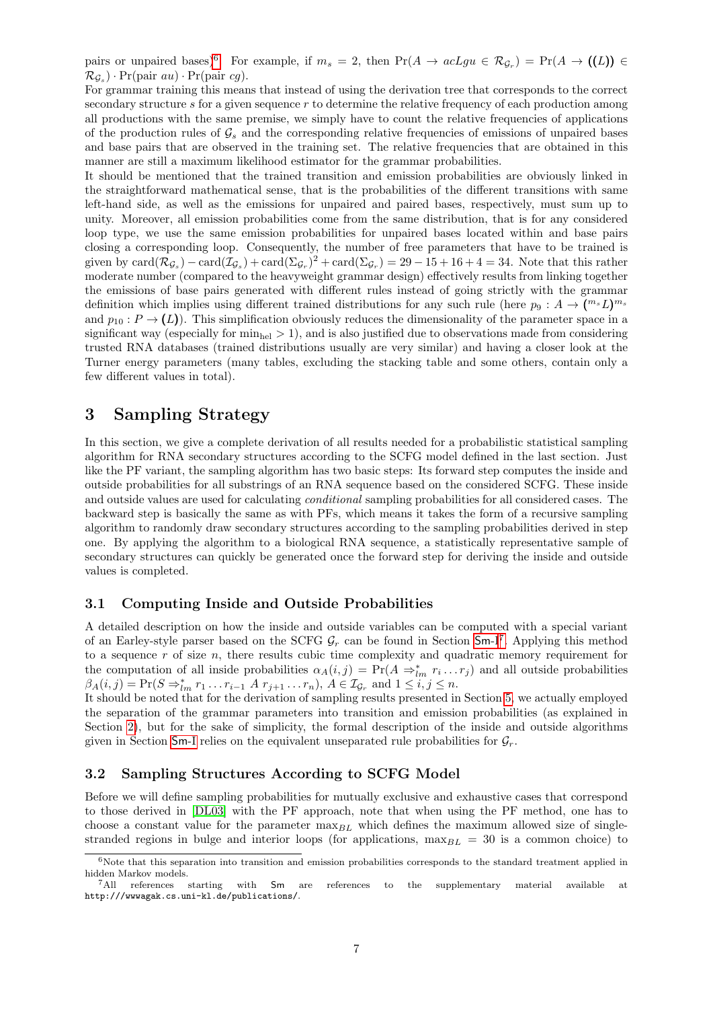pairs or unpaired bases)<sup>[6](#page-6-1)</sup>. For example, if  $m_s = 2$ , then  $Pr(A \to acLgu \in \mathcal{R}_{\mathcal{G}_r}) = Pr(A \to ((L)) \in$  $\mathcal{R}_{\mathcal{G}_s}$ ) · Pr(pair *au*) · Pr(pair *cg*).

For grammar training this means that instead of using the derivation tree that corresponds to the correct secondary structure s for a given sequence r to determine the relative frequency of each production among all productions with the same premise, we simply have to count the relative frequencies of applications of the production rules of  $\mathcal{G}_s$  and the corresponding relative frequencies of emissions of unpaired bases and base pairs that are observed in the training set. The relative frequencies that are obtained in this manner are still a maximum likelihood estimator for the grammar probabilities.

It should be mentioned that the trained transition and emission probabilities are obviously linked in the straightforward mathematical sense, that is the probabilities of the different transitions with same left-hand side, as well as the emissions for unpaired and paired bases, respectively, must sum up to unity. Moreover, all emission probabilities come from the same distribution, that is for any considered loop type, we use the same emission probabilities for unpaired bases located within and base pairs closing a corresponding loop. Consequently, the number of free parameters that have to be trained is given by  $card(R_{\mathcal{G}_s}) - card(\mathcal{I}_{\mathcal{G}_s}) + card(\Sigma_{\mathcal{G}_r})^2 + card(\Sigma_{\mathcal{G}_r}) = 29 - 15 + 16 + 4 = 34$ . Note that this rather moderate number (compared to the heavyweight grammar design) effectively results from linking together the emissions of base pairs generated with different rules instead of going strictly with the grammar definition which implies using different trained distributions for any such rule (here  $p_9: A \to (\binom{m_s}{L})^m s$ and  $p_{10} : P \to (L)$ ). This simplification obviously reduces the dimensionality of the parameter space in a significant way (especially for  $\min_{hel} > 1$ ), and is also justified due to observations made from considering trusted RNA databases (trained distributions usually are very similar) and having a closer look at the Turner energy parameters (many tables, excluding the stacking table and some others, contain only a few different values in total).

### <span id="page-6-0"></span>3 Sampling Strategy

In this section, we give a complete derivation of all results needed for a probabilistic statistical sampling algorithm for RNA secondary structures according to the SCFG model defined in the last section. Just like the PF variant, the sampling algorithm has two basic steps: Its forward step computes the inside and outside probabilities for all substrings of an RNA sequence based on the considered SCFG. These inside and outside values are used for calculating conditional sampling probabilities for all considered cases. The backward step is basically the same as with PFs, which means it takes the form of a recursive sampling algorithm to randomly draw secondary structures according to the sampling probabilities derived in step one. By applying the algorithm to a biological RNA sequence, a statistically representative sample of secondary structures can quickly be generated once the forward step for deriving the inside and outside values is completed.

### 3.1 Computing Inside and Outside Probabilities

A detailed description on how the inside and outside variables can be computed with a special variant of an Earley-style parser based on the SCFG  $\mathcal{G}_r$  can be found in Section [Sm](#page-0-0)-I<sup>[7](#page-6-2)</sup>. Applying this method to a sequence  $r$  of size  $n$ , there results cubic time complexity and quadratic memory requirement for the computation of all inside probabilities  $\alpha_A(i,j) = \Pr(A \Rightarrow_{lm}^* r_i \dots r_j)$  and all outside probabilities  $\beta_A(i,j) = \Pr(S \Rightarrow_{lm}^* r_1 \dots r_{i-1} A r_{j+1} \dots r_n), A \in \mathcal{I}_{\mathcal{G}_r} \text{ and } 1 \leq i, j \leq n.$ 

It should be noted that for the derivation of sampling results presented in Section [5,](#page-12-0) we actually employed the separation of the grammar parameters into transition and emission probabilities (as explained in Section [2\)](#page-4-0), but for the sake of simplicity, the formal description of the inside and outside algorithms given in Section [Sm](#page-0-0)-I relies on the equivalent unseparated rule probabilities for  $\mathcal{G}_r$ .

### 3.2 Sampling Structures According to SCFG Model

Before we will define sampling probabilities for mutually exclusive and exhaustive cases that correspond to those derived in [\[DL03\]](#page-23-1) with the PF approach, note that when using the PF method, one has to choose a constant value for the parameter  $\max_{BL}$  which defines the maximum allowed size of singlestranded regions in bulge and interior loops (for applications,  $\max_{BL} = 30$  is a common choice) to

<span id="page-6-1"></span> $6$ Note that this separation into transition and emission probabilities corresponds to the standard treatment applied in hidden Markov models.

<span id="page-6-2"></span><sup>7</sup>All references starting with Sm are references to the supplementary material available at http:///wwwagak.cs.uni-kl.de/publications/.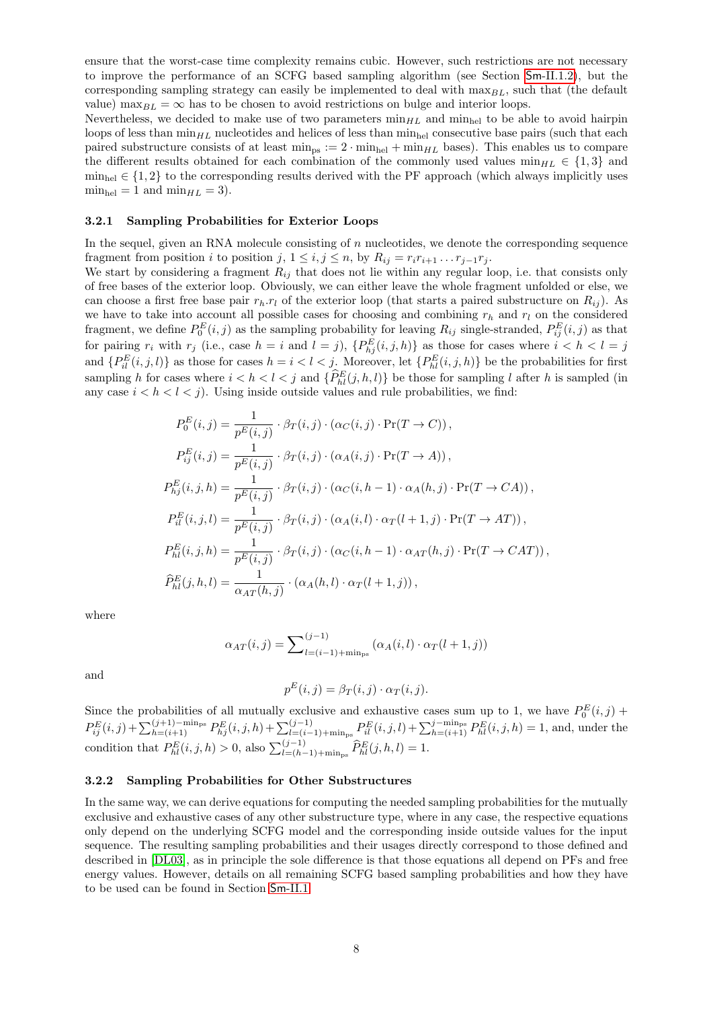ensure that the worst-case time complexity remains cubic. However, such restrictions are not necessary to improve the performance of an SCFG based sampling algorithm (see Section Sm[-II.1.2\)](#page-31-0), but the corresponding sampling strategy can easily be implemented to deal with  $\max_{BL}$ , such that (the default value) max $_{BL} = \infty$  has to be chosen to avoid restrictions on bulge and interior loops.

Nevertheless, we decided to make use of two parameters  $\min_{HL}$  and  $\min_{hel}$  to be able to avoid hairpin loops of less than  $\min_{HL}$  nucleotides and helices of less than  $\min_{hel}$  consecutive base pairs (such that each paired substructure consists of at least  $\min_{\text{ps}} := 2 \cdot \min_{\text{hel}} + \min_{HL}$  bases). This enables us to compare the different results obtained for each combination of the commonly used values  $\min_{HL} \in \{1, 3\}$  and  $\min_{hel} \in \{1,2\}$  to the corresponding results derived with the PF approach (which always implicitly uses  $\min_{\text{hel}}$  = 1 and  $\min_{HL}$  = 3).

#### <span id="page-7-0"></span>3.2.1 Sampling Probabilities for Exterior Loops

In the sequel, given an RNA molecule consisting of  $n$  nucleotides, we denote the corresponding sequence fragment from position i to position j,  $1 \leq i, j \leq n$ , by  $R_{ij} = r_i r_{i+1} \dots r_{j-1} r_j$ .

We start by considering a fragment  $R_{ij}$  that does not lie within any regular loop, i.e. that consists only of free bases of the exterior loop. Obviously, we can either leave the whole fragment unfolded or else, we can choose a first free base pair  $r_h.r_l$  of the exterior loop (that starts a paired substructure on  $R_{ij}$ ). As we have to take into account all possible cases for choosing and combining  $r_h$  and  $r_l$  on the considered fragment, we define  $P_0^E(i,j)$  as the sampling probability for leaving  $R_{ij}$  single-stranded,  $P_{ij}^E(i,j)$  as that for pairing  $r_i$  with  $r_j$  (i.e., case  $h = i$  and  $l = j$ ),  $\{P_{hj}^E(i,j,h)\}\$ as those for cases where  $i < h < l = j$ and  $\{P_{il}^E(i,j,l)\}\$ as those for cases  $h = i < l < j$ . Moreover, let  $\{P_{hl}^E(i,j,h)\}\$  be the probabilities for first sampling h for cases where  $i < h < l < j$  and  $\{\widehat{P}_{hl}^E(j, h, l)\}\$  be those for sampling l after h is sampled (in any case  $i < h < l < j$ ). Using inside outside values and rule probabilities, we find:

$$
P_0^E(i,j) = \frac{1}{p^E(i,j)} \cdot \beta_T(i,j) \cdot (\alpha_C(i,j) \cdot \Pr(T \to C)),
$$
  
\n
$$
P_{ij}^E(i,j) = \frac{1}{p^E(i,j)} \cdot \beta_T(i,j) \cdot (\alpha_A(i,j) \cdot \Pr(T \to A)),
$$
  
\n
$$
P_{hj}^E(i,j,h) = \frac{1}{p^E(i,j)} \cdot \beta_T(i,j) \cdot (\alpha_C(i,h-1) \cdot \alpha_A(h,j) \cdot \Pr(T \to CA)),
$$
  
\n
$$
P_{il}^E(i,j,l) = \frac{1}{p^E(i,j)} \cdot \beta_T(i,j) \cdot (\alpha_A(i,l) \cdot \alpha_T(l+1,j) \cdot \Pr(T \to AT)),
$$
  
\n
$$
P_{hl}^E(i,j,h) = \frac{1}{p^E(i,j)} \cdot \beta_T(i,j) \cdot (\alpha_C(i,h-1) \cdot \alpha_{AT}(h,j) \cdot \Pr(T \to CAT)),
$$
  
\n
$$
\widehat{P}_{hl}^E(j,h,l) = \frac{1}{\alpha_{AT}(h,j)} \cdot (\alpha_A(h,l) \cdot \alpha_T(l+1,j)),
$$

where

$$
\alpha_{AT}(i,j) = \sum_{l=(i-1)+\min_{\text{ps}}}^{(j-1)} (\alpha_A(i,l) \cdot \alpha_T(l+1,j))
$$

and

$$
p^{E}(i,j) = \beta_{T}(i,j) \cdot \alpha_{T}(i,j).
$$

Since the probabilities of all mutually exclusive and exhaustive cases sum up to 1, we have  $P_0^E(i,j)$  +  $P_{ij}^{E}(i, j) + \sum_{h=(i+1)}^{(j+1)-\min_{ps}} P_{hj}^{E}(i, j, h) + \sum_{l=(i-1)+\min_{ps}}^{(j-1)} P_{il}^{E}(i, j, l) + \sum_{h=(i+1)}^{j-\min_{ps}} P_{hl}^{E}(i, j, h) = 1$ , and, under the condition that  $P_{hl}^{E}(i, j, h) > 0$ , also  $\sum_{l=(h-1)+\min_{p}s}^{(j-1)} \hat{P}_{hl}^{E}(j, h, l) = 1$ .

### 3.2.2 Sampling Probabilities for Other Substructures

In the same way, we can derive equations for computing the needed sampling probabilities for the mutually exclusive and exhaustive cases of any other substructure type, where in any case, the respective equations only depend on the underlying SCFG model and the corresponding inside outside values for the input sequence. The resulting sampling probabilities and their usages directly correspond to those defined and described in [\[DL03\]](#page-23-1), as in principle the sole difference is that those equations all depend on PFs and free energy values. However, details on all remaining SCFG based sampling probabilities and how they have to be used can be found in Section Sm[-II.1.](#page-31-1)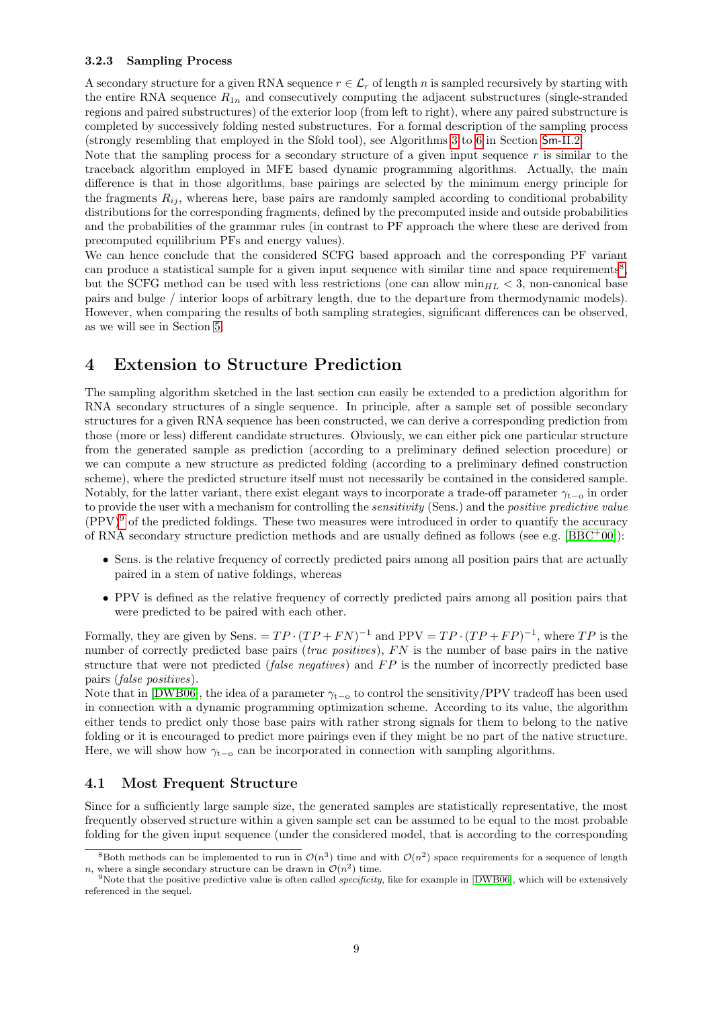#### 3.2.3 Sampling Process

A secondary structure for a given RNA sequence  $r \in \mathcal{L}_r$  of length n is sampled recursively by starting with the entire RNA sequence  $R_{1n}$  and consecutively computing the adjacent substructures (single-stranded regions and paired substructures) of the exterior loop (from left to right), where any paired substructure is completed by successively folding nested substructures. For a formal description of the sampling process (strongly resembling that employed in the Sfold tool), see Algorithms [3](#page-0-1) to [6](#page-0-1) in Section Sm[-II.2.](#page-34-0)

Note that the sampling process for a secondary structure of a given input sequence  $r$  is similar to the traceback algorithm employed in MFE based dynamic programming algorithms. Actually, the main difference is that in those algorithms, base pairings are selected by the minimum energy principle for the fragments  $R_{ij}$ , whereas here, base pairs are randomly sampled according to conditional probability distributions for the corresponding fragments, defined by the precomputed inside and outside probabilities and the probabilities of the grammar rules (in contrast to PF approach the where these are derived from precomputed equilibrium PFs and energy values).

We can hence conclude that the considered SCFG based approach and the corresponding PF variant can produce a statistical sample for a given input sequence with similar time and space requirements<sup>[8](#page-8-1)</sup>, but the SCFG method can be used with less restrictions (one can allow  $\min_{HL}$  < 3, non-canonical base pairs and bulge / interior loops of arbitrary length, due to the departure from thermodynamic models). However, when comparing the results of both sampling strategies, significant differences can be observed, as we will see in Section [5.](#page-12-0)

### <span id="page-8-0"></span>4 Extension to Structure Prediction

The sampling algorithm sketched in the last section can easily be extended to a prediction algorithm for RNA secondary structures of a single sequence. In principle, after a sample set of possible secondary structures for a given RNA sequence has been constructed, we can derive a corresponding prediction from those (more or less) different candidate structures. Obviously, we can either pick one particular structure from the generated sample as prediction (according to a preliminary defined selection procedure) or we can compute a new structure as predicted folding (according to a preliminary defined construction scheme), where the predicted structure itself must not necessarily be contained in the considered sample. Notably, for the latter variant, there exist elegant ways to incorporate a trade-off parameter  $\gamma_{t-0}$  in order to provide the user with a mechanism for controlling the sensitivity (Sens.) and the positive predictive value  $(PPV)^9$  $(PPV)^9$  of the predicted foldings. These two measures were introduced in order to quantify the accuracy of RNA secondary structure prediction methods and are usually defined as follows (see e.g. [\[BBC](#page-23-7)+00]):

- Sens. is the relative frequency of correctly predicted pairs among all position pairs that are actually paired in a stem of native foldings, whereas
- PPV is defined as the relative frequency of correctly predicted pairs among all position pairs that were predicted to be paired with each other.

Formally, they are given by Sens. =  $TP \cdot (TP + FN)^{-1}$  and PPV =  $TP \cdot (TP + FP)^{-1}$ , where  $TP$  is the number of correctly predicted base pairs (*true positives*),  $FN$  is the number of base pairs in the native structure that were not predicted (*false negatives*) and  $FP$  is the number of incorrectly predicted base pairs (false positives).

Note that in [\[DWB06\]](#page-23-4), the idea of a parameter  $\gamma_{t-o}$  to control the sensitivity/PPV tradeoff has been used in connection with a dynamic programming optimization scheme. According to its value, the algorithm either tends to predict only those base pairs with rather strong signals for them to belong to the native folding or it is encouraged to predict more pairings even if they might be no part of the native structure. Here, we will show how  $\gamma_{t-o}$  can be incorporated in connection with sampling algorithms.

### 4.1 Most Frequent Structure

Since for a sufficiently large sample size, the generated samples are statistically representative, the most frequently observed structure within a given sample set can be assumed to be equal to the most probable folding for the given input sequence (under the considered model, that is according to the corresponding

<span id="page-8-1"></span><sup>&</sup>lt;sup>8</sup>Both methods can be implemented to run in  $\mathcal{O}(n^3)$  time and with  $\mathcal{O}(n^2)$  space requirements for a sequence of length n, where a single secondary structure can be drawn in  $\mathcal{O}(n^2)$  time.

<span id="page-8-2"></span><sup>&</sup>lt;sup>9</sup>Note that the positive predictive value is often called *specificity*, like for example in [\[DWB06\]](#page-23-4), which will be extensively referenced in the sequel.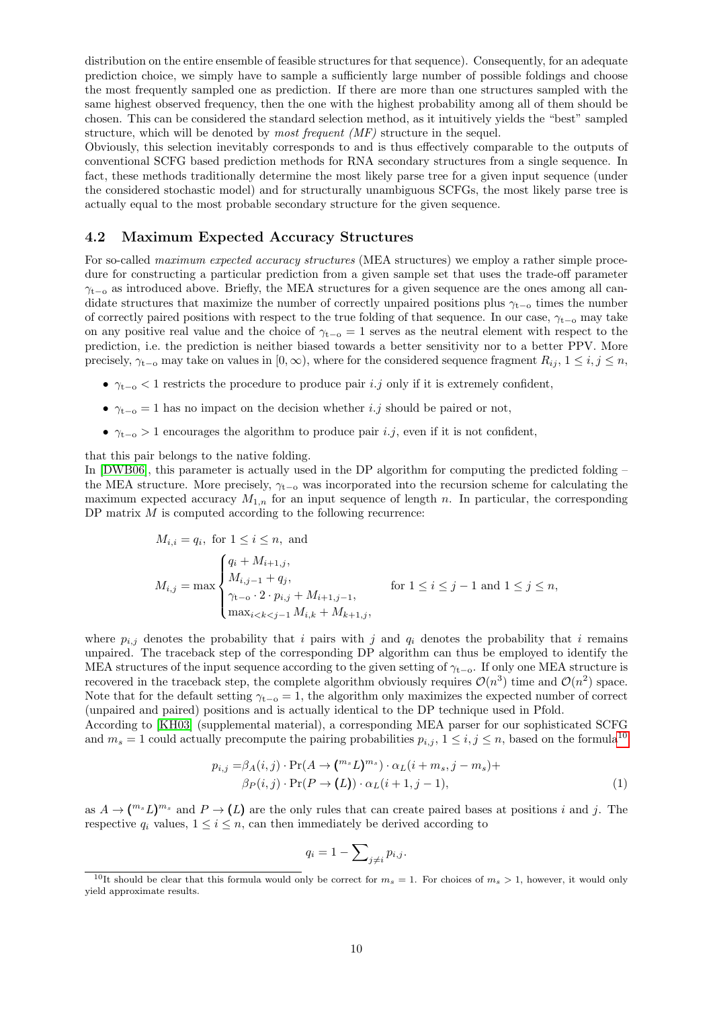distribution on the entire ensemble of feasible structures for that sequence). Consequently, for an adequate prediction choice, we simply have to sample a sufficiently large number of possible foldings and choose the most frequently sampled one as prediction. If there are more than one structures sampled with the same highest observed frequency, then the one with the highest probability among all of them should be chosen. This can be considered the standard selection method, as it intuitively yields the "best" sampled structure, which will be denoted by most frequent (MF) structure in the sequel.

Obviously, this selection inevitably corresponds to and is thus effectively comparable to the outputs of conventional SCFG based prediction methods for RNA secondary structures from a single sequence. In fact, these methods traditionally determine the most likely parse tree for a given input sequence (under the considered stochastic model) and for structurally unambiguous SCFGs, the most likely parse tree is actually equal to the most probable secondary structure for the given sequence.

### 4.2 Maximum Expected Accuracy Structures

For so-called *maximum expected accuracy structures* (MEA structures) we employ a rather simple procedure for constructing a particular prediction from a given sample set that uses the trade-off parameter  $\gamma_{t-0}$  as introduced above. Briefly, the MEA structures for a given sequence are the ones among all candidate structures that maximize the number of correctly unpaired positions plus  $\gamma_{t−o}$  times the number of correctly paired positions with respect to the true folding of that sequence. In our case,  $\gamma_{t-o}$  may take on any positive real value and the choice of  $\gamma_{t-o} = 1$  serves as the neutral element with respect to the prediction, i.e. the prediction is neither biased towards a better sensitivity nor to a better PPV. More precisely,  $\gamma_{t-0}$  may take on values in  $[0, \infty)$ , where for the considered sequence fragment  $R_{ij}$ ,  $1 \le i, j \le n$ ,

- $\gamma_{t-o}$  < 1 restricts the procedure to produce pair i.j only if it is extremely confident,
- $\gamma_{t-0} = 1$  has no impact on the decision whether i.j should be paired or not,
- $\gamma_{t-o} > 1$  encourages the algorithm to produce pair *i.j*, even if it is not confident,

that this pair belongs to the native folding.

In [\[DWB06\]](#page-23-4), this parameter is actually used in the DP algorithm for computing the predicted folding – the MEA structure. More precisely,  $\gamma_{t-o}$  was incorporated into the recursion scheme for calculating the maximum expected accuracy  $M_{1,n}$  for an input sequence of length n. In particular, the corresponding DP matrix M is computed according to the following recurrence:

$$
M_{i,i} = q_i, \text{ for } 1 \le i \le n, \text{ and}
$$
\n
$$
M_{i,j} = \max \begin{cases} q_i + M_{i+1,j}, \\ M_{i,j-1} + q_j, \\ \gamma_{t-o} \cdot 2 \cdot p_{i,j} + M_{i+1,j-1}, \\ \max_{i < k < j-1} M_{i,k} + M_{k+1,j}, \end{cases} \text{ for } 1 \le i \le j-1 \text{ and } 1 \le j \le n,
$$

where  $p_{i,j}$  denotes the probability that i pairs with j and  $q_i$  denotes the probability that i remains unpaired. The traceback step of the corresponding DP algorithm can thus be employed to identify the MEA structures of the input sequence according to the given setting of  $\gamma_{t-o}$ . If only one MEA structure is recovered in the traceback step, the complete algorithm obviously requires  $\mathcal{O}(n^3)$  time and  $\mathcal{O}(n^2)$  space. Note that for the default setting  $\gamma_{t-0} = 1$ , the algorithm only maximizes the expected number of correct (unpaired and paired) positions and is actually identical to the DP technique used in Pfold.

According to [\[KH03\]](#page-24-8) (supplemental material), a corresponding MEA parser for our sophisticated SCFG and  $m_s = 1$  could actually precompute the pairing probabilities  $p_{i,j}$ ,  $1 \leq i,j \leq n$ , based on the formula<sup>[10](#page-9-0)</sup>

$$
p_{i,j} = \beta_A(i,j) \cdot \Pr(A \to (\stackrel{m_s}{\to} \stackrel{m_s}{\to}) \cdot \alpha_L(i+m_s, j-m_s) +
$$
  
\n
$$
\beta_P(i,j) \cdot \Pr(P \to (L)) \cdot \alpha_L(i+1, j-1),
$$
\n(1)

as  $A \to (\ell^{m_s} L)^{m_s}$  and  $P \to (L)$  are the only rules that can create paired bases at positions i and j. The respective  $q_i$  values,  $1 \leq i \leq n$ , can then immediately be derived according to

<span id="page-9-1"></span>
$$
q_i = 1 - \sum_{j \neq i} p_{i,j}.
$$

<span id="page-9-0"></span><sup>&</sup>lt;sup>10</sup>It should be clear that this formula would only be correct for  $m_s = 1$ . For choices of  $m_s > 1$ , however, it would only yield approximate results.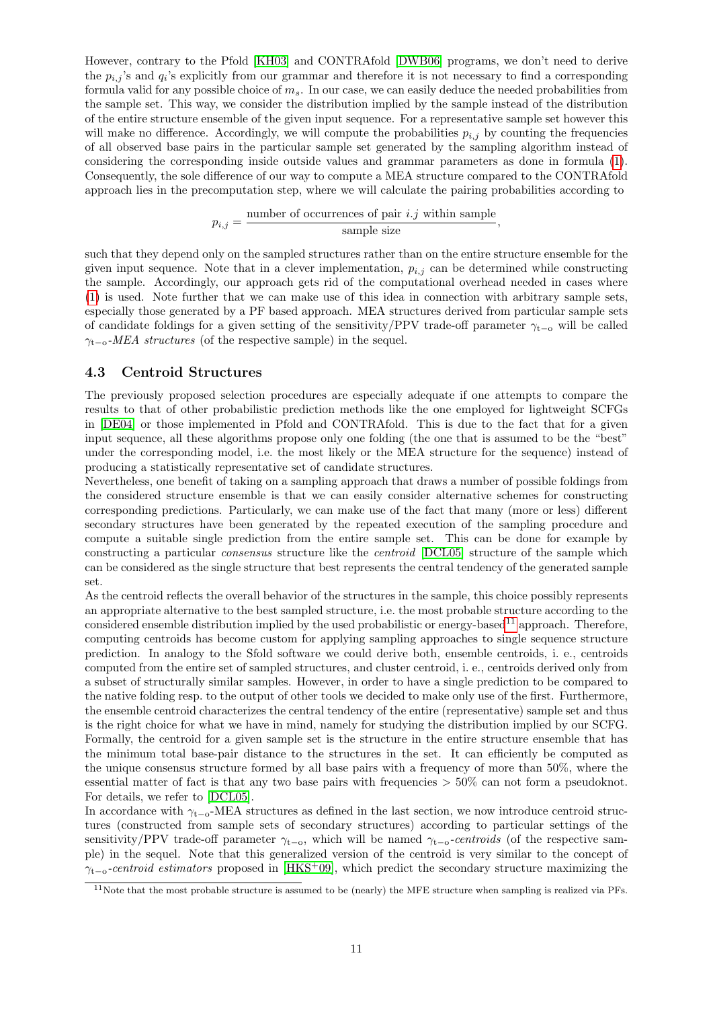However, contrary to the Pfold [\[KH03\]](#page-24-8) and CONTRAfold [\[DWB06\]](#page-23-4) programs, we don't need to derive the  $p_{i,j}$ 's and  $q_i$ 's explicitly from our grammar and therefore it is not necessary to find a corresponding formula valid for any possible choice of  $m_s$ . In our case, we can easily deduce the needed probabilities from the sample set. This way, we consider the distribution implied by the sample instead of the distribution of the entire structure ensemble of the given input sequence. For a representative sample set however this will make no difference. Accordingly, we will compute the probabilities  $p_{i,j}$  by counting the frequencies of all observed base pairs in the particular sample set generated by the sampling algorithm instead of considering the corresponding inside outside values and grammar parameters as done in formula [\(1\)](#page-9-1). Consequently, the sole difference of our way to compute a MEA structure compared to the CONTRAfold approach lies in the precomputation step, where we will calculate the pairing probabilities according to

$$
p_{i,j} = \frac{\text{number of occurrences of pair } i.j \text{ within sample}}{\text{sample size}},
$$

such that they depend only on the sampled structures rather than on the entire structure ensemble for the given input sequence. Note that in a clever implementation,  $p_{i,j}$  can be determined while constructing the sample. Accordingly, our approach gets rid of the computational overhead needed in cases where [\(1\)](#page-9-1) is used. Note further that we can make use of this idea in connection with arbitrary sample sets, especially those generated by a PF based approach. MEA structures derived from particular sample sets of candidate foldings for a given setting of the sensitivity/PPV trade-off parameter  $\gamma_{t-o}$  will be called  $\gamma_{t-o}$ -MEA structures (of the respective sample) in the sequel.

### 4.3 Centroid Structures

The previously proposed selection procedures are especially adequate if one attempts to compare the results to that of other probabilistic prediction methods like the one employed for lightweight SCFGs in [\[DE04\]](#page-23-3) or those implemented in Pfold and CONTRAfold. This is due to the fact that for a given input sequence, all these algorithms propose only one folding (the one that is assumed to be the "best" under the corresponding model, i.e. the most likely or the MEA structure for the sequence) instead of producing a statistically representative set of candidate structures.

Nevertheless, one benefit of taking on a sampling approach that draws a number of possible foldings from the considered structure ensemble is that we can easily consider alternative schemes for constructing corresponding predictions. Particularly, we can make use of the fact that many (more or less) different secondary structures have been generated by the repeated execution of the sampling procedure and compute a suitable single prediction from the entire sample set. This can be done for example by constructing a particular consensus structure like the centroid [\[DCL05\]](#page-23-8) structure of the sample which can be considered as the single structure that best represents the central tendency of the generated sample set.

As the centroid reflects the overall behavior of the structures in the sample, this choice possibly represents an appropriate alternative to the best sampled structure, i.e. the most probable structure according to the considered ensemble distribution implied by the used probabilistic or energy-based<sup>[11](#page-10-0)</sup> approach. Therefore, computing centroids has become custom for applying sampling approaches to single sequence structure prediction. In analogy to the Sfold software we could derive both, ensemble centroids, i. e., centroids computed from the entire set of sampled structures, and cluster centroid, i. e., centroids derived only from a subset of structurally similar samples. However, in order to have a single prediction to be compared to the native folding resp. to the output of other tools we decided to make only use of the first. Furthermore, the ensemble centroid characterizes the central tendency of the entire (representative) sample set and thus is the right choice for what we have in mind, namely for studying the distribution implied by our SCFG. Formally, the centroid for a given sample set is the structure in the entire structure ensemble that has the minimum total base-pair distance to the structures in the set. It can efficiently be computed as the unique consensus structure formed by all base pairs with a frequency of more than 50%, where the essential matter of fact is that any two base pairs with frequencies  $>50\%$  can not form a pseudoknot. For details, we refer to [\[DCL05\]](#page-23-8).

In accordance with  $\gamma_{t-o}$ -MEA structures as defined in the last section, we now introduce centroid structures (constructed from sample sets of secondary structures) according to particular settings of the sensitivity/PPV trade-off parameter  $\gamma_{t-o}$ , which will be named  $\gamma_{t-o}$ -centroids (of the respective sample) in the sequel. Note that this generalized version of the centroid is very similar to the concept of  $\gamma_{t-o}$ -centroid estimators proposed in [\[HKS](#page-24-13)+09], which predict the secondary structure maximizing the

<span id="page-10-0"></span> $11$ Note that the most probable structure is assumed to be (nearly) the MFE structure when sampling is realized via PFs.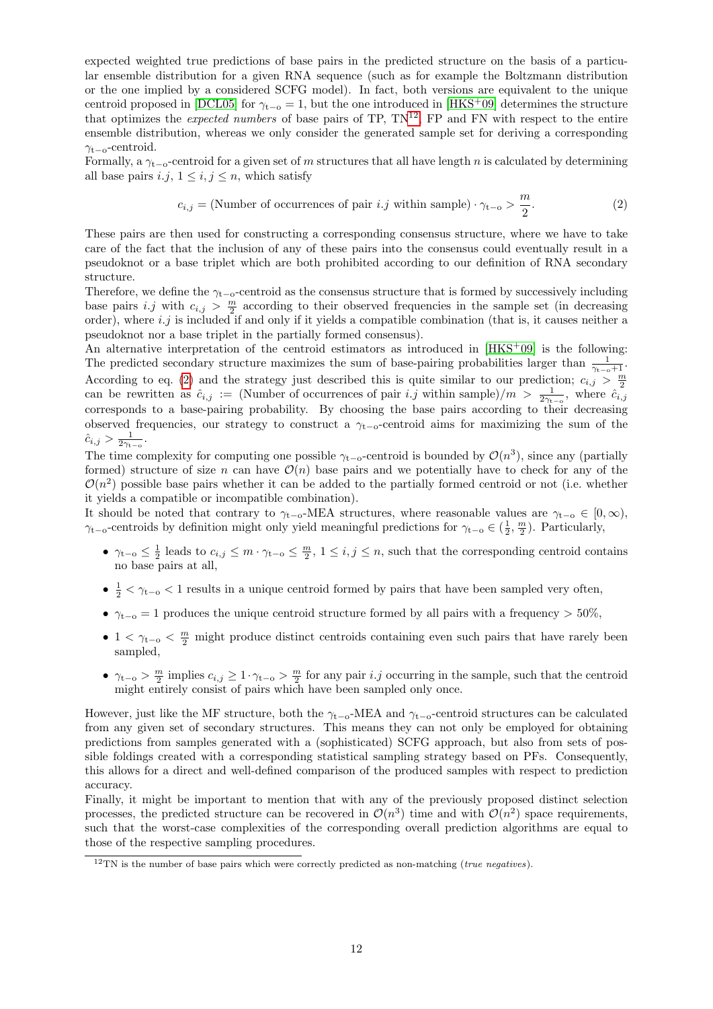expected weighted true predictions of base pairs in the predicted structure on the basis of a particular ensemble distribution for a given RNA sequence (such as for example the Boltzmann distribution or the one implied by a considered SCFG model). In fact, both versions are equivalent to the unique centroid proposed in [\[DCL05\]](#page-23-8) for  $\gamma_{t-0} = 1$ , but the one introduced in [\[HKS](#page-24-13)+09] determines the structure that optimizes the *expected numbers* of base pairs of TP,  $TN^{12}$  $TN^{12}$  $TN^{12}$ , FP and FN with respect to the entire ensemble distribution, whereas we only consider the generated sample set for deriving a corresponding  $\gamma_{t-o}$ -centroid.

Formally, a  $\gamma_{t-o}$ -centroid for a given set of m structures that all have length n is calculated by determining all base pairs  $i.j, 1 \leq i, j \leq n$ , which satisfy

<span id="page-11-1"></span>
$$
c_{i,j} = (\text{Number of occurrences of pair } i.j \text{ within sample}) \cdot \gamma_{t-o} > \frac{m}{2}.\tag{2}
$$

These pairs are then used for constructing a corresponding consensus structure, where we have to take care of the fact that the inclusion of any of these pairs into the consensus could eventually result in a pseudoknot or a base triplet which are both prohibited according to our definition of RNA secondary structure.

Therefore, we define the  $\gamma_{t-o}$ -centroid as the consensus structure that is formed by successively including base pairs i.j with  $c_{i,j} > \frac{m}{2}$  according to their observed frequencies in the sample set (in decreasing order), where  $i.j$  is included if and only if it yields a compatible combination (that is, it causes neither a pseudoknot nor a base triplet in the partially formed consensus).

An alternative interpretation of the centroid estimators as introduced in  $[HKS<sup>+</sup>09]$  $[HKS<sup>+</sup>09]$  is the following: The predicted secondary structure maximizes the sum of base-pairing probabilities larger than  $\frac{1}{\gamma_{t-o}+1}$ . According to eq. [\(2\)](#page-11-1) and the strategy just described this is quite similar to our prediction;  $c_{i,j} > \frac{m}{2}$ can be rewritten as  $\hat{c}_{i,j} := (\text{Number of occurrences of pair } i.j \text{ within sample})/m > \frac{1}{2\gamma_{t-o}}, \text{ where } \hat{c}_{i,j}$ corresponds to a base-pairing probability. By choosing the base pairs according to their decreasing observed frequencies, our strategy to construct a γt−o-centroid aims for maximizing the sum of the  $\hat{c}_{i,j} > \frac{1}{2\gamma_{\text{t}-\text{o}}}.$ 

The time complexity for computing one possible  $\gamma_{t-o}$ -centroid is bounded by  $\mathcal{O}(n^3)$ , since any (partially formed) structure of size n can have  $\mathcal{O}(n)$  base pairs and we potentially have to check for any of the  $\mathcal{O}(n^2)$  possible base pairs whether it can be added to the partially formed centroid or not (i.e. whether it yields a compatible or incompatible combination).

It should be noted that contrary to  $\gamma_{t-o}$ -MEA structures, where reasonable values are  $\gamma_{t-o} \in [0,\infty)$ ,  $\gamma_{t-o}$ -centroids by definition might only yield meaningful predictions for  $\gamma_{t-o} \in (\frac{1}{2}, \frac{m}{2})$ . Particularly,

- $\gamma_{t-0} \leq \frac{1}{2}$  leads to  $c_{i,j} \leq m \cdot \gamma_{t-0} \leq \frac{m}{2}$ ,  $1 \leq i,j \leq n$ , such that the corresponding centroid contains no base pairs at all,
- $\bullet$   $\frac{1}{2}$  <  $\gamma$ <sub>t−o</sub> < 1 results in a unique centroid formed by pairs that have been sampled very often,
- $\gamma_{t-o} = 1$  produces the unique centroid structure formed by all pairs with a frequency > 50%,
- 1 <  $\gamma_{t-0}$  <  $\frac{m}{2}$  might produce distinct centroids containing even such pairs that have rarely been sampled,
- $\gamma_{t-0} > \frac{m}{2}$  implies  $c_{i,j} \geq 1 \cdot \gamma_{t-0} > \frac{m}{2}$  for any pair *i.j* occurring in the sample, such that the centroid might entirely consist of pairs which have been sampled only once.

However, just like the MF structure, both the  $\gamma_{t-o}$ -MEA and  $\gamma_{t-o}$ -centroid structures can be calculated from any given set of secondary structures. This means they can not only be employed for obtaining predictions from samples generated with a (sophisticated) SCFG approach, but also from sets of possible foldings created with a corresponding statistical sampling strategy based on PFs. Consequently, this allows for a direct and well-defined comparison of the produced samples with respect to prediction accuracy.

Finally, it might be important to mention that with any of the previously proposed distinct selection processes, the predicted structure can be recovered in  $\mathcal{O}(n^3)$  time and with  $\mathcal{O}(n^2)$  space requirements, such that the worst-case complexities of the corresponding overall prediction algorithms are equal to those of the respective sampling procedures.

<span id="page-11-0"></span> $12$ TN is the number of base pairs which were correctly predicted as non-matching (*true negatives*).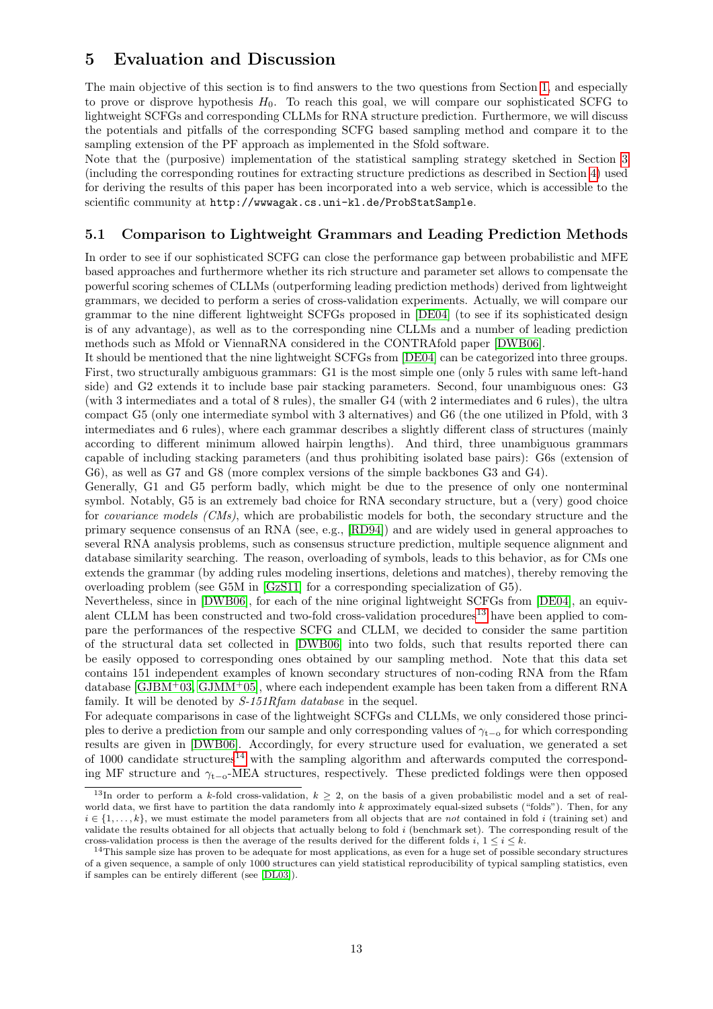### <span id="page-12-0"></span>5 Evaluation and Discussion

The main objective of this section is to find answers to the two questions from Section [1,](#page-0-0) and especially to prove or disprove hypothesis  $H_0$ . To reach this goal, we will compare our sophisticated SCFG to lightweight SCFGs and corresponding CLLMs for RNA structure prediction. Furthermore, we will discuss the potentials and pitfalls of the corresponding SCFG based sampling method and compare it to the sampling extension of the PF approach as implemented in the Sfold software.

Note that the (purposive) implementation of the statistical sampling strategy sketched in Section [3](#page-6-0) (including the corresponding routines for extracting structure predictions as described in Section [4\)](#page-8-0) used for deriving the results of this paper has been incorporated into a web service, which is accessible to the scientific community at http://wwwagak.cs.uni-kl.de/ProbStatSample.

### 5.1 Comparison to Lightweight Grammars and Leading Prediction Methods

In order to see if our sophisticated SCFG can close the performance gap between probabilistic and MFE based approaches and furthermore whether its rich structure and parameter set allows to compensate the powerful scoring schemes of CLLMs (outperforming leading prediction methods) derived from lightweight grammars, we decided to perform a series of cross-validation experiments. Actually, we will compare our grammar to the nine different lightweight SCFGs proposed in [\[DE04\]](#page-23-3) (to see if its sophisticated design is of any advantage), as well as to the corresponding nine CLLMs and a number of leading prediction methods such as Mfold or ViennaRNA considered in the CONTRAfold paper [\[DWB06\]](#page-23-4).

It should be mentioned that the nine lightweight SCFGs from [\[DE04\]](#page-23-3) can be categorized into three groups. First, two structurally ambiguous grammars: G1 is the most simple one (only 5 rules with same left-hand side) and G2 extends it to include base pair stacking parameters. Second, four unambiguous ones: G3 (with 3 intermediates and a total of 8 rules), the smaller G4 (with 2 intermediates and 6 rules), the ultra compact G5 (only one intermediate symbol with 3 alternatives) and G6 (the one utilized in Pfold, with 3 intermediates and 6 rules), where each grammar describes a slightly different class of structures (mainly according to different minimum allowed hairpin lengths). And third, three unambiguous grammars capable of including stacking parameters (and thus prohibiting isolated base pairs): G6s (extension of G6), as well as G7 and G8 (more complex versions of the simple backbones G3 and G4).

Generally, G1 and G5 perform badly, which might be due to the presence of only one nonterminal symbol. Notably, G5 is an extremely bad choice for RNA secondary structure, but a (very) good choice for *covariance models (CMs)*, which are probabilistic models for both, the secondary structure and the primary sequence consensus of an RNA (see, e.g., [\[RD94\]](#page-24-14)) and are widely used in general approaches to several RNA analysis problems, such as consensus structure prediction, multiple sequence alignment and database similarity searching. The reason, overloading of symbols, leads to this behavior, as for CMs one extends the grammar (by adding rules modeling insertions, deletions and matches), thereby removing the overloading problem (see G5M in [\[GzS11\]](#page-24-15) for a corresponding specialization of G5).

Nevertheless, since in [\[DWB06\]](#page-23-4), for each of the nine original lightweight SCFGs from [\[DE04\]](#page-23-3), an equivalent CLLM has been constructed and two-fold cross-validation procedures[13](#page-12-1) have been applied to compare the performances of the respective SCFG and CLLM, we decided to consider the same partition of the structural data set collected in [\[DWB06\]](#page-23-4) into two folds, such that results reported there can be easily opposed to corresponding ones obtained by our sampling method. Note that this data set contains 151 independent examples of known secondary structures of non-coding RNA from the Rfam database [\[GJBM](#page-23-9)+03, [GJMM](#page-23-10)+05], where each independent example has been taken from a different RNA family. It will be denoted by  $S$ -151Rfam database in the sequel.

For adequate comparisons in case of the lightweight SCFGs and CLLMs, we only considered those principles to derive a prediction from our sample and only corresponding values of  $\gamma_{t-0}$  for which corresponding results are given in [\[DWB06\]](#page-23-4). Accordingly, for every structure used for evaluation, we generated a set of 1000 candidate structures<sup>[14](#page-12-2)</sup> with the sampling algorithm and afterwards computed the corresponding MF structure and  $\gamma_{t-o}$ -MEA structures, respectively. These predicted foldings were then opposed

<span id="page-12-1"></span><sup>&</sup>lt;sup>13</sup>In order to perform a k-fold cross-validation,  $k \geq 2$ , on the basis of a given probabilistic model and a set of realworld data, we first have to partition the data randomly into  $k$  approximately equal-sized subsets ("folds"). Then, for any  $i \in \{1, \ldots, k\}$ , we must estimate the model parameters from all objects that are not contained in fold i (training set) and validate the results obtained for all objects that actually belong to fold i (benchmark set). The corresponding result of the cross-validation process is then the average of the results derived for the different folds i,  $1 \leq i \leq k$ .

<span id="page-12-2"></span><sup>&</sup>lt;sup>14</sup>This sample size has proven to be adequate for most applications, as even for a huge set of possible secondary structures of a given sequence, a sample of only 1000 structures can yield statistical reproducibility of typical sampling statistics, even if samples can be entirely different (see [\[DL03\]](#page-23-1)).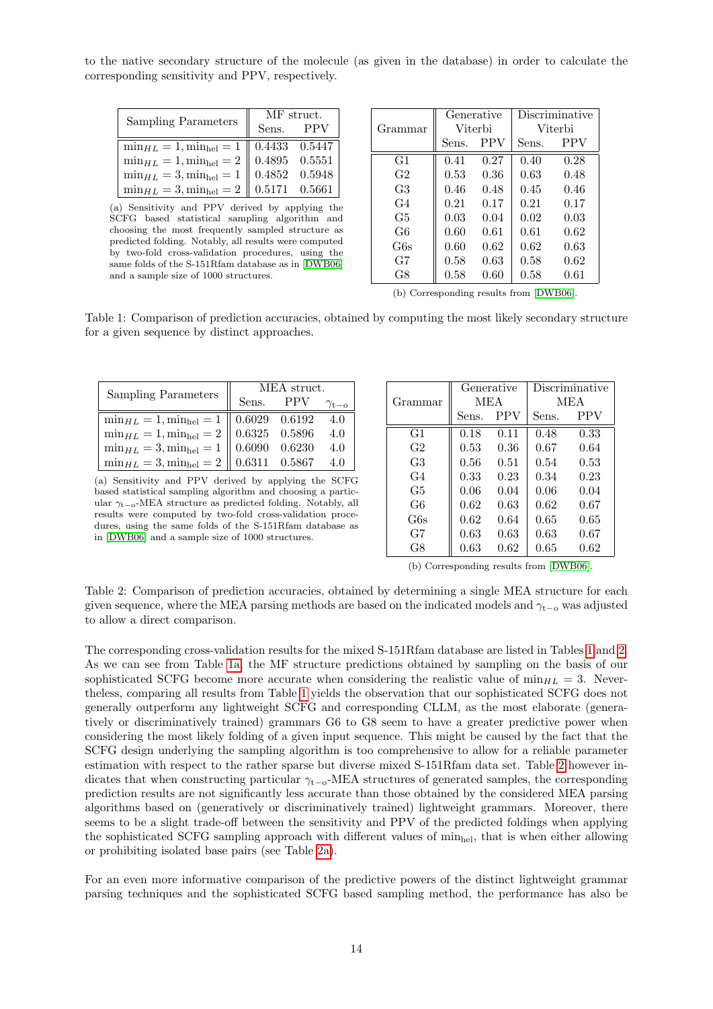<span id="page-13-0"></span>to the native secondary structure of the molecule (as given in the database) in order to calculate the corresponding sensitivity and PPV, respectively.

<span id="page-13-2"></span>

|                                 | MF struct.        |  |  |
|---------------------------------|-------------------|--|--|
| Sampling Parameters             | Sens. PPV         |  |  |
| $\min_{HL} = 1, \min_{hel} = 1$ | 0.4433 0.5447     |  |  |
| $\min_{HL} = 1, \min_{hel} = 2$ | $0.4895$ $0.5551$ |  |  |
| $\min_{HL} = 3, \min_{hel} = 1$ | 0.4852 0.5948     |  |  |
| $\min_{HL} = 3, \min_{hel} = 2$ | $0.5171$ $0.5661$ |  |  |

(a) Sensitivity and PPV derived by applying the SCFG based statistical sampling algorithm and choosing the most frequently sampled structure as predicted folding. Notably, all results were computed by two-fold cross-validation procedures, using the same folds of the S-151Rfam database as in [\[DWB06\]](#page-23-4) and a sample size of 1000 structures.

|                | Generative          |      | Discriminative |            |  |
|----------------|---------------------|------|----------------|------------|--|
| Grammar        | Viterbi             |      |                | Viterbi    |  |
|                | <b>PPV</b><br>Sens. |      | Sens.          | <b>PPV</b> |  |
| G <sub>1</sub> | 0.41                | 0.27 | 0.40           | 0.28       |  |
| G <sub>2</sub> | 0.53                | 0.36 | 0.63           | 0.48       |  |
| C <sub>3</sub> | 0.46                | 0.48 | 0.45           | 0.46       |  |
| G4             | 0.21                | 0.17 | 0.21           | 0.17       |  |
| G5             | 0.03                | 0.04 | 0.02           | 0.03       |  |
| G6             | 0.60                | 0.61 | 0.61           | 0.62       |  |
| G6s            | 0.60                | 0.62 | 0.62           | 0.63       |  |
| G7             | 0.58                | 0.63 | 0.58           | 0.62       |  |
| G8             | 0.58                | 0.60 | 0.58           | 0.61       |  |

(b) Corresponding results from [\[DWB06\]](#page-23-4).

Table 1: Comparison of prediction accuracies, obtained by computing the most likely secondary structure for a given sequence by distinct approaches.

<span id="page-13-3"></span><span id="page-13-1"></span>

|                                                                                                                                                                                                               | MEA struct. |     |     |  |  |
|---------------------------------------------------------------------------------------------------------------------------------------------------------------------------------------------------------------|-------------|-----|-----|--|--|
| $\operatorname{Sampling\; Parameters}$                                                                                                                                                                        | Sens.       | PPV |     |  |  |
| $\min_{HL} = 1, \min_{hel} = 1 \parallel 0.6029 \quad 0.6192$                                                                                                                                                 |             |     | 4.0 |  |  |
|                                                                                                                                                                                                               |             |     | 4.0 |  |  |
|                                                                                                                                                                                                               |             |     | 4.0 |  |  |
| $\begin{array}{l l l} \min_{HL} = 1, \min_{\text{hel}} = 2 & 0.6325 & 0.5896 \\ \min_{HL} = 3, \min_{\text{hel}} = 1 & 0.6090 & 0.6230 \\ \min_{HL} = 3, \min_{\text{hel}} = 2 & 0.6311 & 0.5867 \end{array}$ |             |     | 4.0 |  |  |

(a) Sensitivity and PPV derived by applying the SCFG based statistical sampling algorithm and choosing a particular  $\gamma_{t-o}$ -MEA structure as predicted folding. Notably, all results were computed by two-fold cross-validation procedures, using the same folds of the S-151Rfam database as in [\[DWB06\]](#page-23-4) and a sample size of 1000 structures.

|                | Generative |            | Discriminative |            |  |
|----------------|------------|------------|----------------|------------|--|
| Grammar        | MEA        |            | MEA            |            |  |
|                | Sens.      | <b>PPV</b> | Sens.          | <b>PPV</b> |  |
| G <sub>1</sub> | 0.18       | 0.11       | 0.48           | 0.33       |  |
| G <sub>2</sub> | 0.53       | 0.36       | 0.67           | 0.64       |  |
| G3             | 0.56       | 0.51       | 0.54           | 0.53       |  |
| G4             | 0.33       | 0.23       | 0.34           | 0.23       |  |
| G5             | 0.06       | 0.04       | 0.06           | 0.04       |  |
| G6             | 0.62       | 0.63       | 0.62           | 0.67       |  |
| G6s            | 0.62       | 0.64       | 0.65           | 0.65       |  |
| G7             | 0.63       | 0.63       | 0.63           | 0.67       |  |
| G8             | 0.63       | 0.62       | 0.65           | 0.62       |  |

(b) Corresponding results from [\[DWB06\]](#page-23-4).

Table 2: Comparison of prediction accuracies, obtained by determining a single MEA structure for each given sequence, where the MEA parsing methods are based on the indicated models and  $\gamma_{t-0}$  was adjusted to allow a direct comparison.

The corresponding cross-validation results for the mixed S-151Rfam database are listed in Tables [1](#page-13-0) and [2.](#page-13-1) As we can see from Table [1a,](#page-13-2) the MF structure predictions obtained by sampling on the basis of our sophisticated SCFG become more accurate when considering the realistic value of  $\min_{HL} = 3$ . Nevertheless, comparing all results from Table [1](#page-13-0) yields the observation that our sophisticated SCFG does not generally outperform any lightweight SCFG and corresponding CLLM, as the most elaborate (generatively or discriminatively trained) grammars G6 to G8 seem to have a greater predictive power when considering the most likely folding of a given input sequence. This might be caused by the fact that the SCFG design underlying the sampling algorithm is too comprehensive to allow for a reliable parameter estimation with respect to the rather sparse but diverse mixed S-151Rfam data set. Table [2](#page-13-1) however indicates that when constructing particular  $\gamma_{t-o}$ -MEA structures of generated samples, the corresponding prediction results are not significantly less accurate than those obtained by the considered MEA parsing algorithms based on (generatively or discriminatively trained) lightweight grammars. Moreover, there seems to be a slight trade-off between the sensitivity and PPV of the predicted foldings when applying the sophisticated SCFG sampling approach with different values of minhel, that is when either allowing or prohibiting isolated base pairs (see Table [2a\)](#page-13-3).

For an even more informative comparison of the predictive powers of the distinct lightweight grammar parsing techniques and the sophisticated SCFG based sampling method, the performance has also be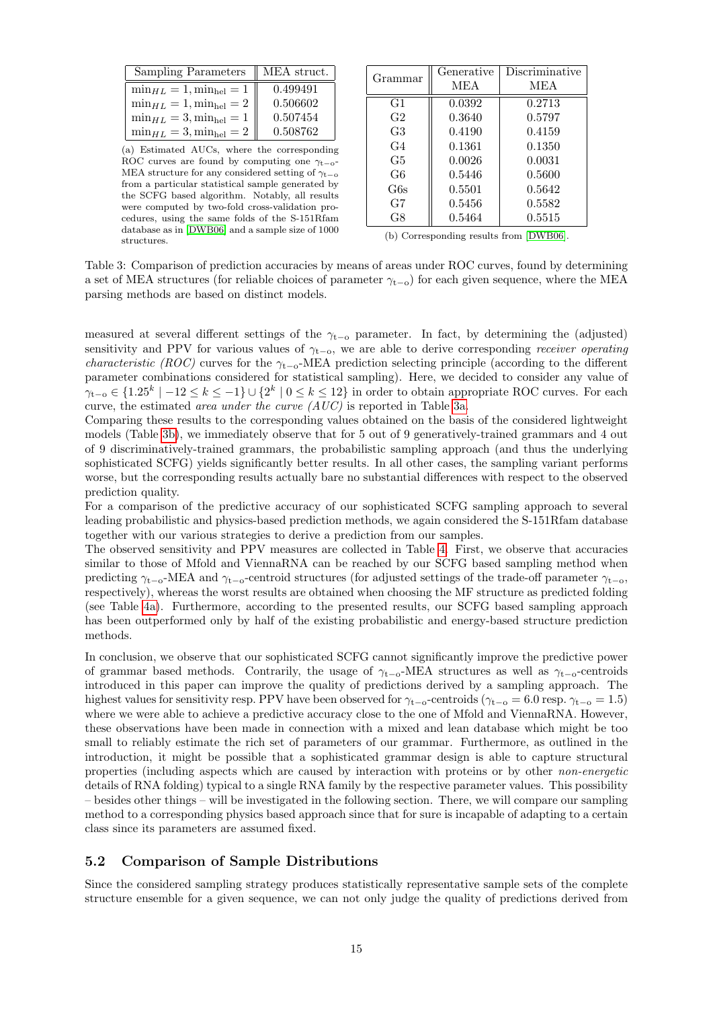<span id="page-14-0"></span>

| Sampling Parameters             | MEA struct. |
|---------------------------------|-------------|
| $\min_{HL} = 1, \min_{hel} = 1$ | 0.499491    |
| $\min_{HL} = 1, \min_{hel} = 2$ | 0.506602    |
| $\min_{HL} = 3, \min_{hel} = 1$ | 0.507454    |
| $\min_{HL} = 3, \min_{hel} = 2$ | 0.508762    |

(a) Estimated AUCs, where the corresponding ROC curves are found by computing one  $\gamma_{t-o}$ -MEA structure for any considered setting of  $\gamma_{t-\alpha}$ from a particular statistical sample generated by the SCFG based algorithm. Notably, all results were computed by two-fold cross-validation procedures, using the same folds of the S-151Rfam database as in [\[DWB06\]](#page-23-4) and a sample size of 1000 structures.

<span id="page-14-1"></span>

| Grammar        | Generative | Discriminative |
|----------------|------------|----------------|
|                | MEA        | MEA            |
| G1             | 0.0392     | 0.2713         |
| G <sub>2</sub> | 0.3640     | 0.5797         |
| G3             | 0.4190     | 0.4159         |
| G4             | 0.1361     | 0.1350         |
| G5             | 0.0026     | 0.0031         |
| G6             | 0.5446     | 0.5600         |
| G6s            | 0.5501     | 0.5642         |
| G7             | 0.5456     | 0.5582         |
| G8             | 0.5464     | 0.5515         |

(b) Corresponding results from [\[DWB06\]](#page-23-4).

Table 3: Comparison of prediction accuracies by means of areas under ROC curves, found by determining a set of MEA structures (for reliable choices of parameter  $\gamma_{t-o}$ ) for each given sequence, where the MEA parsing methods are based on distinct models.

measured at several different settings of the  $\gamma_{t-o}$  parameter. In fact, by determining the (adjusted) sensitivity and PPV for various values of  $\gamma_{t-0}$ , we are able to derive corresponding *receiver operating characteristic (ROC)* curves for the  $\gamma_{t-0}$ -MEA prediction selecting principle (according to the different parameter combinations considered for statistical sampling). Here, we decided to consider any value of  $\gamma_{t-o}$  ∈  $\{1.25^k \mid -12 \leq k \leq -1\}$  ∪  $\{2^k \mid 0 \leq k \leq 12\}$  in order to obtain appropriate ROC curves. For each curve, the estimated area under the curve (AUC) is reported in Table [3a.](#page-14-0)

Comparing these results to the corresponding values obtained on the basis of the considered lightweight models (Table [3b\)](#page-14-1), we immediately observe that for 5 out of 9 generatively-trained grammars and 4 out of 9 discriminatively-trained grammars, the probabilistic sampling approach (and thus the underlying sophisticated SCFG) yields significantly better results. In all other cases, the sampling variant performs worse, but the corresponding results actually bare no substantial differences with respect to the observed prediction quality.

For a comparison of the predictive accuracy of our sophisticated SCFG sampling approach to several leading probabilistic and physics-based prediction methods, we again considered the S-151Rfam database together with our various strategies to derive a prediction from our samples.

The observed sensitivity and PPV measures are collected in Table [4.](#page-15-0) First, we observe that accuracies similar to those of Mfold and ViennaRNA can be reached by our SCFG based sampling method when predicting  $\gamma_{t-o}$ -MEA and  $\gamma_{t-o}$ -centroid structures (for adjusted settings of the trade-off parameter  $\gamma_{t-o}$ , respectively), whereas the worst results are obtained when choosing the MF structure as predicted folding (see Table [4a\)](#page-15-1). Furthermore, according to the presented results, our SCFG based sampling approach has been outperformed only by half of the existing probabilistic and energy-based structure prediction methods.

In conclusion, we observe that our sophisticated SCFG cannot significantly improve the predictive power of grammar based methods. Contrarily, the usage of  $\gamma_{t-o}$ -MEA structures as well as  $\gamma_{t-o}$ -centroids introduced in this paper can improve the quality of predictions derived by a sampling approach. The highest values for sensitivity resp. PPV have been observed for  $\gamma_{t-o}$ -centroids ( $\gamma_{t-o} = 6.0$  resp.  $\gamma_{t-o} = 1.5$ ) where we were able to achieve a predictive accuracy close to the one of Mfold and ViennaRNA. However, these observations have been made in connection with a mixed and lean database which might be too small to reliably estimate the rich set of parameters of our grammar. Furthermore, as outlined in the introduction, it might be possible that a sophisticated grammar design is able to capture structural properties (including aspects which are caused by interaction with proteins or by other non-energetic details of RNA folding) typical to a single RNA family by the respective parameter values. This possibility – besides other things – will be investigated in the following section. There, we will compare our sampling method to a corresponding physics based approach since that for sure is incapable of adapting to a certain class since its parameters are assumed fixed.

### 5.2 Comparison of Sample Distributions

Since the considered sampling strategy produces statistically representative sample sets of the complete structure ensemble for a given sequence, we can not only judge the quality of predictions derived from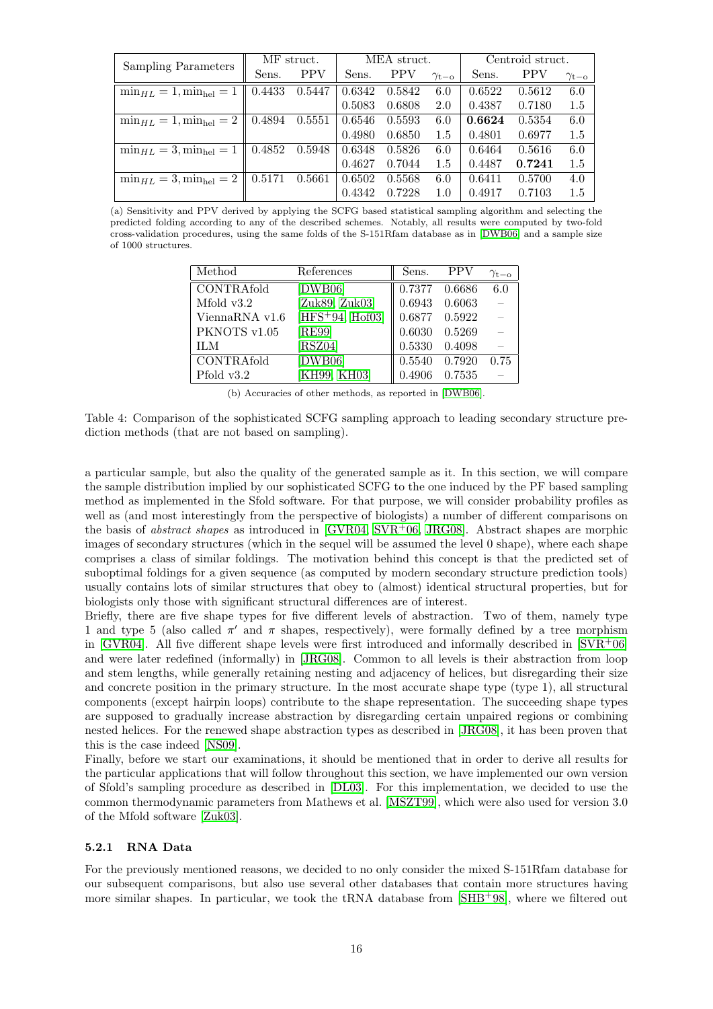<span id="page-15-1"></span><span id="page-15-0"></span>

|                                 | MF struct. |            | MEA struct. |            |                    | Centroid struct. |        |                    |
|---------------------------------|------------|------------|-------------|------------|--------------------|------------------|--------|--------------------|
| Sampling Parameters             | Sens.      | <b>PPV</b> | Sens.       | <b>PPV</b> | $\gamma_{\rm t-o}$ | Sens.            | PPV    | $\gamma_{\rm t-o}$ |
| $\min_{HL} = 1, \min_{hel} = 1$ | 0.4433     | 0.5447     | 0.6342      | 0.5842     | 6.0                | 0.6522           | 0.5612 | 6.0                |
|                                 |            |            | 0.5083      | 0.6808     | 2.0                | 0.4387           | 0.7180 | 1.5                |
| $\min_{HL} = 1, \min_{hel} = 2$ | 0.4894     | 0.5551     | 0.6546      | 0.5593     | 6.0                | 0.6624           | 0.5354 | 6.0                |
|                                 |            |            | 0.4980      | 0.6850     | 1.5                | 0.4801           | 0.6977 | 1.5                |
| $\min_{HL} = 3, \min_{hel} = 1$ | 0.4852     | 0.5948     | 0.6348      | 0.5826     | 6.0                | 0.6464           | 0.5616 | 6.0                |
|                                 |            |            | 0.4627      | 0.7044     | 1.5                | 0.4487           | 0.7241 | 1.5                |
| $\min_{HL} = 3, \min_{hel} = 2$ | 0.5171     | 0.5661     | 0.6502      | 0.5568     | 6.0                | 0.6411           | 0.5700 | 4.0                |
|                                 |            |            | 0.4342      | 0.7228     | 1.0                | 0.4917           | 0.7103 | 1.5                |

(a) Sensitivity and PPV derived by applying the SCFG based statistical sampling algorithm and selecting the predicted folding according to any of the described schemes. Notably, all results were computed by two-fold cross-validation procedures, using the same folds of the S-151Rfam database as in [\[DWB06\]](#page-23-4) and a sample size of 1000 structures.

| Method         | References        | Sens.         | <b>PPV</b>        | $\gamma_{\rm t-o}$ |
|----------------|-------------------|---------------|-------------------|--------------------|
| CONTRAfold     | [DWB06]           | 0.7377 0.6686 |                   | 6.0                |
| Mfold $v3.2$   | [Zuk89, Zuk03]    |               | $0.6943$ $0.6063$ |                    |
| ViennaRNA v1.6 | $[HFS+94, Hof03]$ | 0.6877        | 0.5922            |                    |
| PKNOTS v1.05   | [RE99]            | 0.6030        | 0.5269            |                    |
| ĦМ             | [RSZ04]           | 0.5330        | 0.4098            |                    |
| CONTRAfold     | [DWB06]           | 0.5540        | 0.7920            | 0.75               |
| Pfold $v3.2$   | [KH99, KH03]      | 0.4906        | 0.7535            |                    |

(b) Accuracies of other methods, as reported in [\[DWB06\]](#page-23-4).

Table 4: Comparison of the sophisticated SCFG sampling approach to leading secondary structure prediction methods (that are not based on sampling).

a particular sample, but also the quality of the generated sample as it. In this section, we will compare the sample distribution implied by our sophisticated SCFG to the one induced by the PF based sampling method as implemented in the Sfold software. For that purpose, we will consider probability profiles as well as (and most interestingly from the perspective of biologists) a number of different comparisons on the basis of abstract shapes as introduced in [\[GVR04,](#page-24-17) [SVR](#page-25-10)+06, [JRG08\]](#page-24-10). Abstract shapes are morphic images of secondary structures (which in the sequel will be assumed the level 0 shape), where each shape comprises a class of similar foldings. The motivation behind this concept is that the predicted set of suboptimal foldings for a given sequence (as computed by modern secondary structure prediction tools) usually contains lots of similar structures that obey to (almost) identical structural properties, but for biologists only those with significant structural differences are of interest.

Briefly, there are five shape types for five different levels of abstraction. Two of them, namely type 1 and type 5 (also called  $\pi'$  and  $\pi$  shapes, respectively), were formally defined by a tree morphism in [\[GVR04\]](#page-24-17). All five different shape levels were first introduced and informally described in  $[SVR^+06]$  $[SVR^+06]$ and were later redefined (informally) in [\[JRG08\]](#page-24-10). Common to all levels is their abstraction from loop and stem lengths, while generally retaining nesting and adjacency of helices, but disregarding their size and concrete position in the primary structure. In the most accurate shape type (type 1), all structural components (except hairpin loops) contribute to the shape representation. The succeeding shape types are supposed to gradually increase abstraction by disregarding certain unpaired regions or combining nested helices. For the renewed shape abstraction types as described in [\[JRG08\]](#page-24-10), it has been proven that this is the case indeed [\[NS09\]](#page-24-18).

Finally, before we start our examinations, it should be mentioned that in order to derive all results for the particular applications that will follow throughout this section, we have implemented our own version of Sfold's sampling procedure as described in [\[DL03\]](#page-23-1). For this implementation, we decided to use the common thermodynamic parameters from Mathews et al. [\[MSZT99\]](#page-24-4), which were also used for version 3.0 of the Mfold software [\[Zuk03\]](#page-25-4).

### 5.2.1 RNA Data

For the previously mentioned reasons, we decided to no only consider the mixed S-151Rfam database for our subsequent comparisons, but also use several other databases that contain more structures having more similar shapes. In particular, we took the tRNA database from [\[SHB](#page-25-11)+98], where we filtered out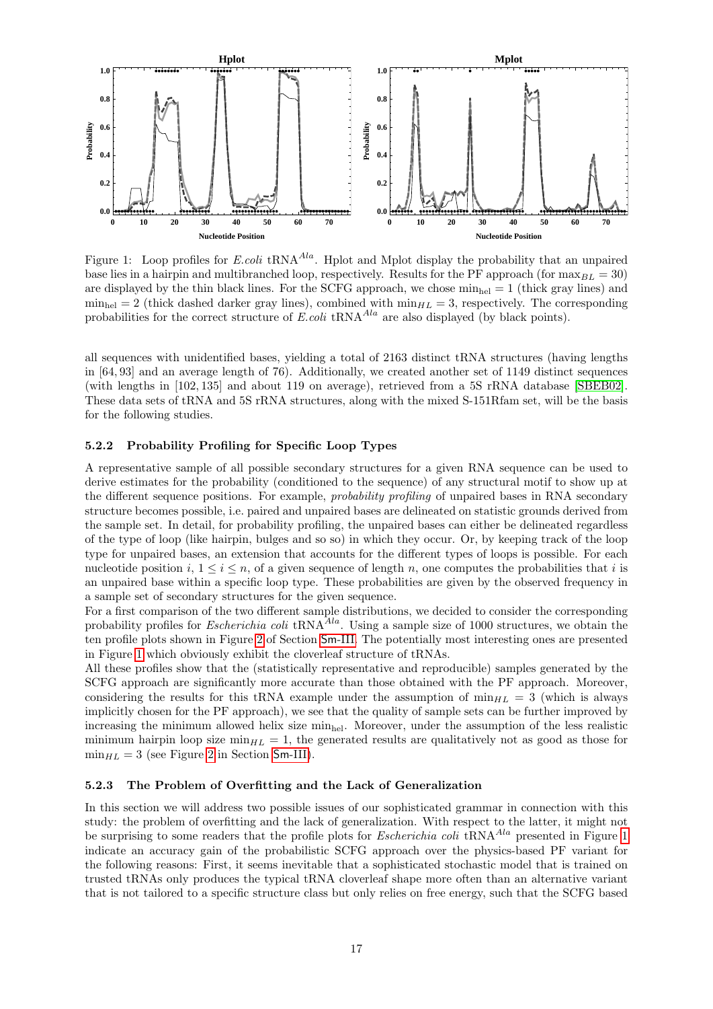<span id="page-16-1"></span>

Figure 1: Loop profiles for E.coli tRNA<sup> $A$ la</sup>. Hplot and Mplot display the probability that an unpaired base lies in a hairpin and multibranched loop, respectively. Results for the PF approach (for  $\max_{BL} = 30$ ) are displayed by the thin black lines. For the SCFG approach, we chose  $\min_{\text{hel}} = 1$  (thick gray lines) and  $\min_{hel} = 2$  (thick dashed darker gray lines), combined with  $\min_{HL} = 3$ , respectively. The corresponding probabilities for the correct structure of  $E\text{.}coli$  tRNA<sup> $A la$ </sup> are also displayed (by black points).

all sequences with unidentified bases, yielding a total of 2163 distinct tRNA structures (having lengths in [64, 93] and an average length of 76). Additionally, we created another set of 1149 distinct sequences (with lengths in [102, 135] and about 119 on average), retrieved from a 5S rRNA database [\[SBEB02\]](#page-25-12). These data sets of tRNA and 5S rRNA structures, along with the mixed S-151Rfam set, will be the basis for the following studies.

### 5.2.2 Probability Profiling for Specific Loop Types

A representative sample of all possible secondary structures for a given RNA sequence can be used to derive estimates for the probability (conditioned to the sequence) of any structural motif to show up at the different sequence positions. For example, probability profiling of unpaired bases in RNA secondary structure becomes possible, i.e. paired and unpaired bases are delineated on statistic grounds derived from the sample set. In detail, for probability profiling, the unpaired bases can either be delineated regardless of the type of loop (like hairpin, bulges and so so) in which they occur. Or, by keeping track of the loop type for unpaired bases, an extension that accounts for the different types of loops is possible. For each nucleotide position i,  $1 \le i \le n$ , of a given sequence of length n, one computes the probabilities that i is an unpaired base within a specific loop type. These probabilities are given by the observed frequency in a sample set of secondary structures for the given sequence.

For a first comparison of the two different sample distributions, we decided to consider the corresponding probability profiles for *Escherichia coli* tRNA<sup> $A$ la</sup>. Using a sample size of 1000 structures, we obtain the ten profile plots shown in Figure [2](#page-44-0) of Section Sm[-III.](#page-6-0) The potentially most interesting ones are presented in Figure [1](#page-16-1) which obviously exhibit the cloverleaf structure of tRNAs.

All these profiles show that the (statistically representative and reproducible) samples generated by the SCFG approach are significantly more accurate than those obtained with the PF approach. Moreover, considering the results for this tRNA example under the assumption of  $\min_{HL} = 3$  (which is always implicitly chosen for the PF approach), we see that the quality of sample sets can be further improved by increasing the minimum allowed helix size  $\min_{h\in\mathcal{H}}$ . Moreover, under the assumption of the less realistic minimum hairpin loop size  $\min_{HL} = 1$ , the generated results are qualitatively not as good as those for  $\min_{HL} = 3$  (see Figure [2](#page-44-0) in Section Sm[-III\)](#page-6-0).

#### <span id="page-16-0"></span>5.2.3 The Problem of Overfitting and the Lack of Generalization

In this section we will address two possible issues of our sophisticated grammar in connection with this study: the problem of overfitting and the lack of generalization. With respect to the latter, it might not be surprising to some readers that the profile plots for *Escherichia coli* tRNA<sup> $A$ la</sup> presented in Figure [1](#page-16-1) indicate an accuracy gain of the probabilistic SCFG approach over the physics-based PF variant for the following reasons: First, it seems inevitable that a sophisticated stochastic model that is trained on trusted tRNAs only produces the typical tRNA cloverleaf shape more often than an alternative variant that is not tailored to a specific structure class but only relies on free energy, such that the SCFG based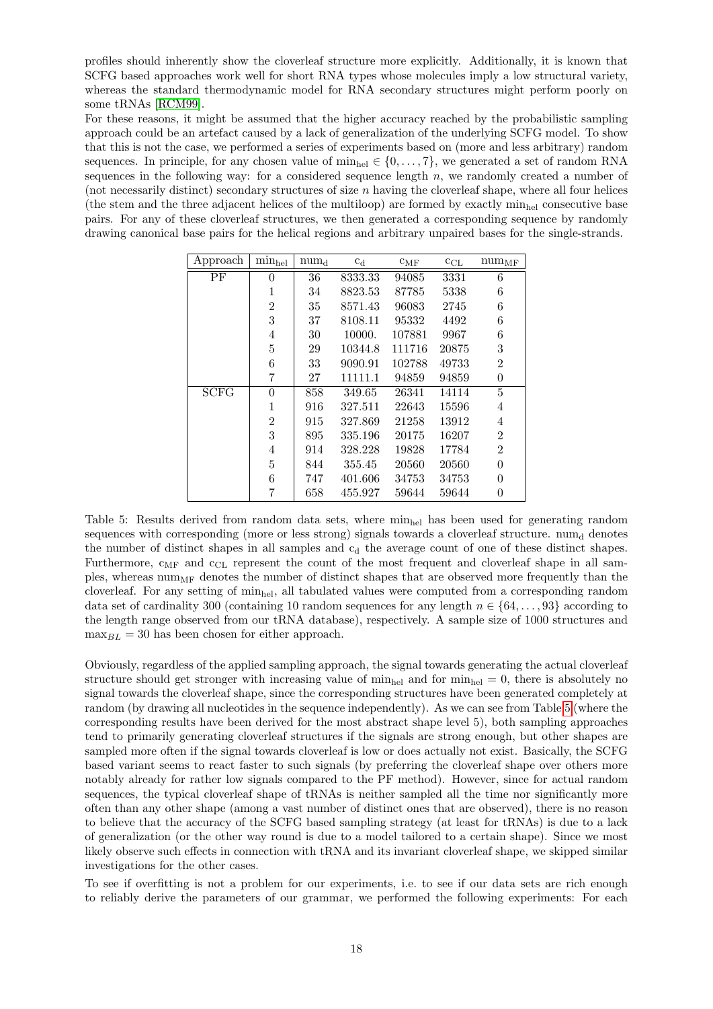profiles should inherently show the cloverleaf structure more explicitly. Additionally, it is known that SCFG based approaches work well for short RNA types whose molecules imply a low structural variety, whereas the standard thermodynamic model for RNA secondary structures might perform poorly on some tRNAs [\[RCM99\]](#page-24-5).

For these reasons, it might be assumed that the higher accuracy reached by the probabilistic sampling approach could be an artefact caused by a lack of generalization of the underlying SCFG model. To show that this is not the case, we performed a series of experiments based on (more and less arbitrary) random sequences. In principle, for any chosen value of  $\min_{\text{hel}} \in \{0, \ldots, 7\}$ , we generated a set of random RNA sequences in the following way: for a considered sequence length  $n$ , we randomly created a number of (not necessarily distinct) secondary structures of size n having the cloverleaf shape, where all four helices (the stem and the three adjacent helices of the multiloop) are formed by exactly  $\min_{h\in\mathcal{H}}$  consecutive base pairs. For any of these cloverleaf structures, we then generated a corresponding sequence by randomly drawing canonical base pairs for the helical regions and arbitrary unpaired bases for the single-strands.

<span id="page-17-0"></span>

| Approach | $min_{hel}$    | num <sub>d</sub> | $c_d$   | $\rm c_{\rm MF}$ | $\mathrm{c_{CL}}$ | $num_{MF}$     |
|----------|----------------|------------------|---------|------------------|-------------------|----------------|
| PF       | $\theta$       | 36               | 8333.33 | 94085            | 3331              | 6              |
|          | 1              | 34               | 8823.53 | 87785            | 5338              | 6              |
|          | $\overline{2}$ | 35               | 8571.43 | 96083            | 2745              | 6              |
|          | 3              | 37               | 8108.11 | 95332            | 4492              | 6              |
|          | 4              | 30               | 10000.  | 107881           | 9967              | 6              |
|          | 5              | 29               | 10344.8 | 111716           | 20875             | 3              |
|          | 6              | 33               | 9090.91 | 102788           | 49733             | $\overline{2}$ |
|          | 7              | 27               | 11111.1 | 94859            | 94859             | $\theta$       |
| SCFG     | $\Omega$       | 858              | 349.65  | 26341            | 14114             | 5              |
|          | 1              | 916              | 327.511 | 22643            | 15596             | 4              |
|          | $\overline{2}$ | 915              | 327.869 | 21258            | 13912             | 4              |
|          | 3              | 895              | 335.196 | 20175            | 16207             | $\overline{2}$ |
|          | 4              | 914              | 328.228 | 19828            | 17784             | $\overline{2}$ |
|          | 5              | 844              | 355.45  | 20560            | 20560             | $\overline{0}$ |
|          | 6              | 747              | 401.606 | 34753            | 34753             | 0              |
|          | 7              | 658              | 455.927 | 59644            | 59644             | 0              |

Table 5: Results derived from random data sets, where  $\min_{h \in \mathbb{N}} h$  has been used for generating random sequences with corresponding (more or less strong) signals towards a cloverleaf structure.  $num<sub>d</sub>$  denotes the number of distinct shapes in all samples and  $c<sub>d</sub>$  the average count of one of these distinct shapes. Furthermore,  $c_{MF}$  and  $c_{CL}$  represent the count of the most frequent and cloverleaf shape in all samples, whereas  $\text{num}_{\text{MF}}$  denotes the number of distinct shapes that are observed more frequently than the cloverleaf. For any setting of minhel, all tabulated values were computed from a corresponding random data set of cardinality 300 (containing 10 random sequences for any length  $n \in \{64, \ldots, 93\}$  according to the length range observed from our tRNA database), respectively. A sample size of 1000 structures and  $\max_{BL} = 30$  has been chosen for either approach.

Obviously, regardless of the applied sampling approach, the signal towards generating the actual cloverleaf structure should get stronger with increasing value of  $\min_{\text{hel}}$  and for  $\min_{\text{hel}} = 0$ , there is absolutely no signal towards the cloverleaf shape, since the corresponding structures have been generated completely at random (by drawing all nucleotides in the sequence independently). As we can see from Table [5](#page-17-0) (where the corresponding results have been derived for the most abstract shape level 5), both sampling approaches tend to primarily generating cloverleaf structures if the signals are strong enough, but other shapes are sampled more often if the signal towards cloverleaf is low or does actually not exist. Basically, the SCFG based variant seems to react faster to such signals (by preferring the cloverleaf shape over others more notably already for rather low signals compared to the PF method). However, since for actual random sequences, the typical cloverleaf shape of tRNAs is neither sampled all the time nor significantly more often than any other shape (among a vast number of distinct ones that are observed), there is no reason to believe that the accuracy of the SCFG based sampling strategy (at least for tRNAs) is due to a lack of generalization (or the other way round is due to a model tailored to a certain shape). Since we most likely observe such effects in connection with tRNA and its invariant cloverleaf shape, we skipped similar investigations for the other cases.

To see if overfitting is not a problem for our experiments, i.e. to see if our data sets are rich enough to reliably derive the parameters of our grammar, we performed the following experiments: For each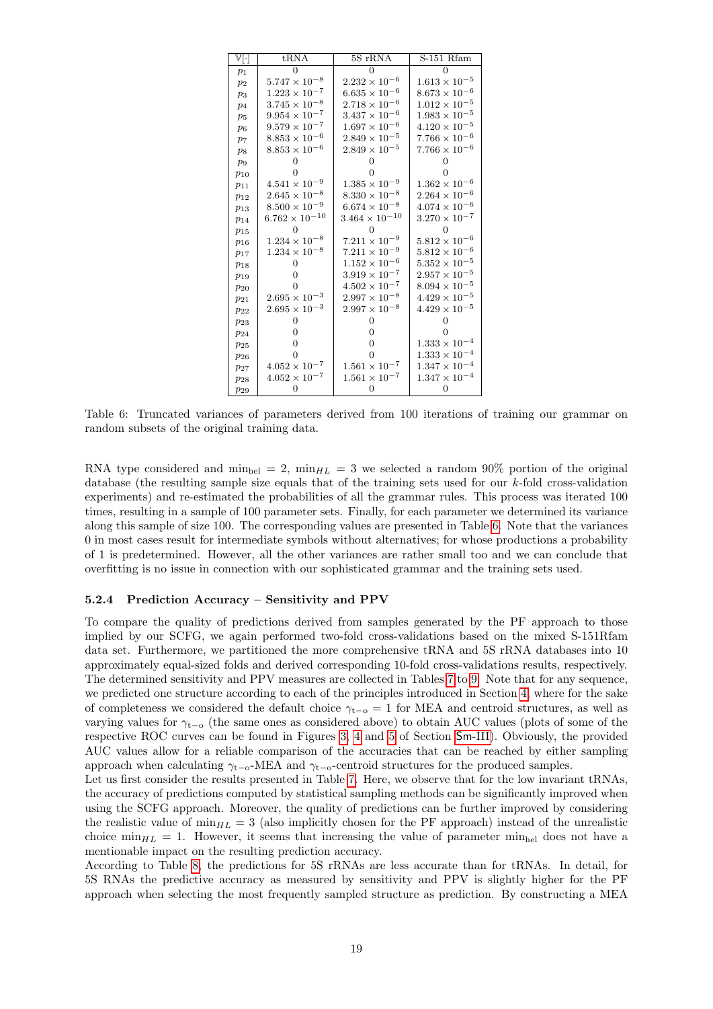<span id="page-18-0"></span>

| $\mathbb{V}[\cdot]$ | tRNA                    | 5S rRNA                 | S-151 Rfam             |
|---------------------|-------------------------|-------------------------|------------------------|
| p <sub>1</sub>      | $\Omega$                | 0                       |                        |
| $p_2$               | $5.747\times10^{-8}$    | $2.232 \times 10^{-6}$  | $1.613 \times 10^{-5}$ |
| $p_3$               | $1.223\times10^{-7}$    | $6.635 \times 10^{-6}$  | $8.673\times10^{-6}$   |
| p <sub>4</sub>      | $3.745\times10^{-8}$    | $2.718 \times 10^{-6}$  | $1.012\times10^{-5}$   |
| $p_5$               | $9.954\times10^{-7}$    | $3.437 \times 10^{-6}$  | $1.983 \times 10^{-5}$ |
| $p_6$               | $9.579\times10^{-7}$    | $1.697 \times 10^{-6}$  | $4.120 \times 10^{-5}$ |
| p <sub>7</sub>      | $8.853\times10^{-6}$    | $2.849 \times 10^{-5}$  | $7.766\times10^{-6}$   |
| $p_8$               | $8.853\times10^{-6}$    | $2.849 \times 10^{-5}$  | $7.766 \times 10^{-6}$ |
| $p_9$               | 0                       | 0                       | 0                      |
| $p_{10}$            |                         |                         |                        |
| $p_{11}$            | $4.541\times10^{-9}$    | $1.385 \times 10^{-9}$  | $1.362\times10^{-6}$   |
| $p_{12}$            | $2.645\times10^{-8}$    | $8.330 \times 10^{-8}$  | $2.264\times10^{-6}$   |
| $p_{13}$            | $8.500\times10^{-9}$    | $6.674\times10^{-8}$    | $4.074\times10^{-6}$   |
| $p_{14}$            | $6.762 \times 10^{-10}$ | $3.464 \times 10^{-10}$ | $3.270 \times 10^{-7}$ |
| $p_{15}$            | 0                       |                         | 0                      |
| $p_{16}$            | $1.234\times10^{-8}$    | $7.211\times10^{-9}$    | $5.812\times10^{-6}$   |
| $p_{17}$            | $1.234 \times 10^{-8}$  | $7.211 \times 10^{-9}$  | $5.812\times10^{-6}$   |
| $p_{18}$            | 0                       | $1.152\times10^{-6}$    | $5.352\times10^{-5}$   |
| $p_{19}$            | $\overline{0}$          | $3.919 \times 10^{-7}$  | $2.957\times10^{-5}$   |
| $p_{20}$            | $\Omega$                | $4.502\times10^{-7}$    | $8.094\times10^{-5}$   |
| $p_{21}$            | $2.695\times10^{-3}$    | $2.997\times10^{-8}$    | $4.429\times10^{-5}$   |
| $p_{22}$            | $2.695 \times 10^{-3}$  | $2.997 \times 10^{-8}$  | $4.429 \times 10^{-5}$ |
| $p_{23}$            | $\overline{0}$          | $\Omega$                | $\Omega$               |
| $p_{24}$            | $\overline{0}$          | $\Omega$                | 0                      |
| $p_{25}$            | $\overline{0}$          | 0                       | $1.333\times10^{-4}$   |
| $p_{26}$            | $\Omega$                | 0                       | $1.333\times10^{-4}$   |
| $p_{27}$            | $4.052 \times 10^{-7}$  | $1.561 \times 10^{-7}$  | $1.347\times10^{-4}$   |
| $p_{28}$            | $4.052 \times 10^{-7}$  | $1.561 \times 10^{-7}$  | $1.347\times10^{-4}$   |
| $p_{29}$            | $\Omega$                | 0                       | 0                      |

Table 6: Truncated variances of parameters derived from 100 iterations of training our grammar on random subsets of the original training data.

RNA type considered and  $\min_{\text{hel}} = 2$ ,  $\min_{HL} = 3$  we selected a random 90% portion of the original database (the resulting sample size equals that of the training sets used for our k-fold cross-validation experiments) and re-estimated the probabilities of all the grammar rules. This process was iterated 100 times, resulting in a sample of 100 parameter sets. Finally, for each parameter we determined its variance along this sample of size 100. The corresponding values are presented in Table [6.](#page-18-0) Note that the variances 0 in most cases result for intermediate symbols without alternatives; for whose productions a probability of 1 is predetermined. However, all the other variances are rather small too and we can conclude that overfitting is no issue in connection with our sophisticated grammar and the training sets used.

### 5.2.4 Prediction Accuracy – Sensitivity and PPV

To compare the quality of predictions derived from samples generated by the PF approach to those implied by our SCFG, we again performed two-fold cross-validations based on the mixed S-151Rfam data set. Furthermore, we partitioned the more comprehensive tRNA and 5S rRNA databases into 10 approximately equal-sized folds and derived corresponding 10-fold cross-validations results, respectively. The determined sensitivity and PPV measures are collected in Tables [7](#page-19-0) to [9.](#page-20-0) Note that for any sequence, we predicted one structure according to each of the principles introduced in Section [4,](#page-8-0) where for the sake of completeness we considered the default choice  $\gamma_{t-0} = 1$  for MEA and centroid structures, as well as varying values for  $\gamma_{t-0}$  (the same ones as considered above) to obtain AUC values (plots of some of the respective ROC curves can be found in Figures [3,](#page-45-0) [4](#page-46-0) and [5](#page-47-0) of Section Sm[-III\)](#page-6-0). Obviously, the provided AUC values allow for a reliable comparison of the accuracies that can be reached by either sampling approach when calculating  $\gamma_{t-o}$ -MEA and  $\gamma_{t-o}$ -centroid structures for the produced samples.

Let us first consider the results presented in Table [7.](#page-19-0) Here, we observe that for the low invariant tRNAs, the accuracy of predictions computed by statistical sampling methods can be significantly improved when using the SCFG approach. Moreover, the quality of predictions can be further improved by considering the realistic value of  $\min_{HL} = 3$  (also implicitly chosen for the PF approach) instead of the unrealistic choice  $\min_{HL} = 1$ . However, it seems that increasing the value of parameter  $\min_{hel}$  does not have a mentionable impact on the resulting prediction accuracy.

According to Table [8,](#page-19-1) the predictions for 5S rRNAs are less accurate than for tRNAs. In detail, for 5S RNAs the predictive accuracy as measured by sensitivity and PPV is slightly higher for the PF approach when selecting the most frequently sampled structure as prediction. By constructing a MEA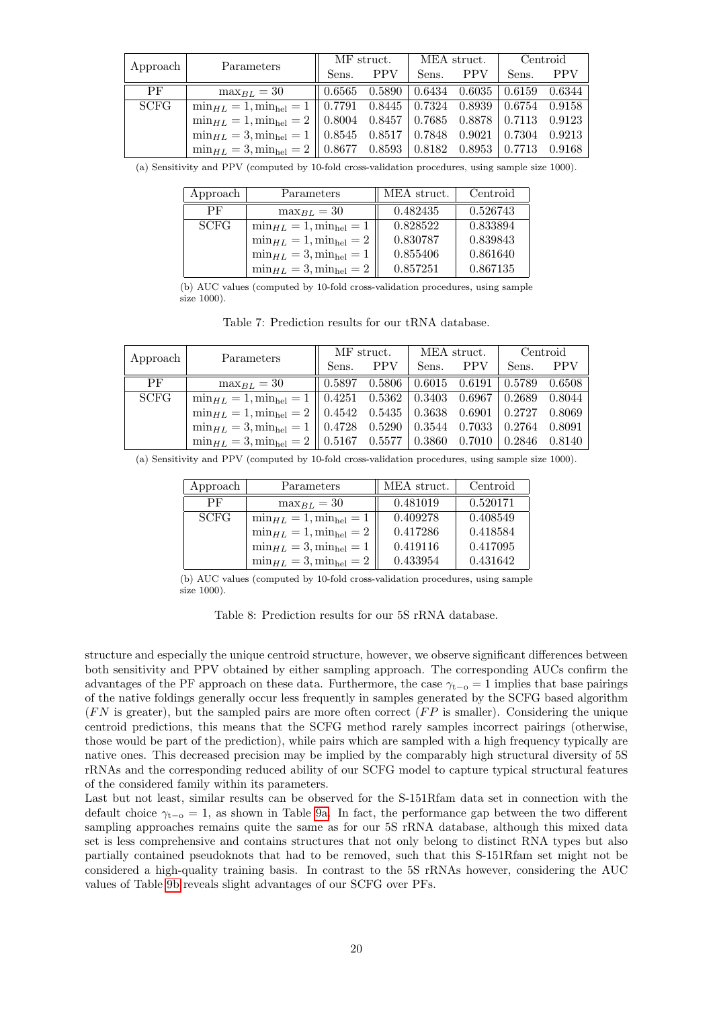<span id="page-19-2"></span><span id="page-19-0"></span>

| Approach $ $<br>Parameters |                                                                                                                         | MF struct.                                                |            | MEA struct. |  | Centroid              |  |
|----------------------------|-------------------------------------------------------------------------------------------------------------------------|-----------------------------------------------------------|------------|-------------|--|-----------------------|--|
|                            |                                                                                                                         | Sens.                                                     | <b>PPV</b> |             |  | Sens. PPV   Sens. PPV |  |
| PF                         | $\max_{BL} = 30$                                                                                                        | $\parallel$ 0.6565 0.5890   0.6434 0.6035   0.6159 0.6344 |            |             |  |                       |  |
| <b>SCFG</b>                | $\min_{HL} = 1$ , $\min_{hel} = 1$   0.7791 0.8445   0.7324 0.8939   0.6754 0.9158                                      |                                                           |            |             |  |                       |  |
|                            | $\min_{HL} = 1$ , $\min_{hel} = 2 \parallel 0.8004$ $0.8457 \mid 0.7685$ $0.8878 \mid 0.7113$ $0.9123$                  |                                                           |            |             |  |                       |  |
|                            | $\min_{HL} = 3$ , $\min_{hel} = 1 \parallel 0.8545$ $0.8517 \mid 0.7848$ $0.9021 \mid 0.7304$ $0.9213$                  |                                                           |            |             |  |                       |  |
|                            | $\min_{HL} = 3$ , $\min_{hel} = 2 \parallel 0.8677 \quad 0.8593 \mid 0.8182 \quad 0.8953 \mid 0.7713 \quad 0.9168 \mid$ |                                                           |            |             |  |                       |  |

(a) Sensitivity and PPV (computed by 10-fold cross-validation procedures, using sample size 1000).

| Approach    | Parameters                      | MEA struct. | Centroid |
|-------------|---------------------------------|-------------|----------|
| РF          | $\max_{BL} = 30$                | 0.482435    | 0.526743 |
| <b>SCFG</b> | $\min_{HL} = 1, \min_{hel} = 1$ | 0.828522    | 0.833894 |
|             | $\min_{HL} = 1, \min_{hel} = 2$ | 0.830787    | 0.839843 |
|             | $\min_{HL} = 3, \min_{hel} = 1$ | 0.855406    | 0.861640 |
|             | $\min_{HL} = 3, \min_{hel} = 2$ | 0.857251    | 0.867135 |

(b) AUC values (computed by 10-fold cross-validation procedures, using sample size 1000).

<span id="page-19-3"></span><span id="page-19-1"></span>

|             | Parameters                                                                                                           | MF struct.                                                |           | MEA struct.         | Centroid |  |
|-------------|----------------------------------------------------------------------------------------------------------------------|-----------------------------------------------------------|-----------|---------------------|----------|--|
| Approach    |                                                                                                                      |                                                           | Sens. PPV | Sens. PPV Sens. PPV |          |  |
| PF          | $\max_{BI} = 30$                                                                                                     | $\parallel$ 0.5897 0.5806   0.6015 0.6191   0.5789 0.6508 |           |                     |          |  |
| <b>SCFG</b> | $\min_{HL} = 1$ , $\min_{hel} = 1$   0.4251 0.5362   0.3403 0.6967   0.2689 0.8044                                   |                                                           |           |                     |          |  |
|             | $\min_{HL} = 1, \min_{hel} = 2 \parallel 0.4542 \quad 0.5435 \mid 0.3638 \quad 0.6901 \mid 0.2727 \quad 0.8069$      |                                                           |           |                     |          |  |
|             | $\min_{HL} = 3$ , $\min_{hel} = 1 \parallel 0.4728$ $0.5290 \parallel 0.3544$ $0.7033 \parallel 0.2764$ $0.8091$     |                                                           |           |                     |          |  |
|             | $\min_{HL} = 3, \min_{hel} = 2 \parallel 0.5167 \quad 0.5577 \mid 0.3860 \quad 0.7010 \mid 0.2846 \quad 0.8140 \mid$ |                                                           |           |                     |          |  |

(a) Sensitivity and PPV (computed by 10-fold cross-validation procedures, using sample size 1000).

| Approach    | Parameters                      | MEA struct. | Centroid |
|-------------|---------------------------------|-------------|----------|
| PF.         | $\max_{BL} = 30$                | 0.481019    | 0.520171 |
| <b>SCFG</b> | $\min_{HL} = 1, \min_{hel} = 1$ | 0.409278    | 0.408549 |
|             | $\min_{HL} = 1, \min_{hel} = 2$ | 0.417286    | 0.418584 |
|             | $\min_{HL} = 3, \min_{hel} = 1$ | 0.419116    | 0.417095 |
|             | $\min_{HL} = 3, \min_{hel} = 2$ | 0.433954    | 0.431642 |

(b) AUC values (computed by 10-fold cross-validation procedures, using sample size 1000).

Table 8: Prediction results for our 5S rRNA database.

structure and especially the unique centroid structure, however, we observe significant differences between both sensitivity and PPV obtained by either sampling approach. The corresponding AUCs confirm the advantages of the PF approach on these data. Furthermore, the case  $\gamma_{t-0} = 1$  implies that base pairings of the native foldings generally occur less frequently in samples generated by the SCFG based algorithm  $(FN)$  is greater), but the sampled pairs are more often correct  $(FP)$  is smaller). Considering the unique centroid predictions, this means that the SCFG method rarely samples incorrect pairings (otherwise, those would be part of the prediction), while pairs which are sampled with a high frequency typically are native ones. This decreased precision may be implied by the comparably high structural diversity of 5S rRNAs and the corresponding reduced ability of our SCFG model to capture typical structural features of the considered family within its parameters.

Last but not least, similar results can be observed for the S-151Rfam data set in connection with the default choice  $\gamma_{t-0} = 1$ , as shown in Table [9a.](#page-20-1) In fact, the performance gap between the two different sampling approaches remains quite the same as for our 5S rRNA database, although this mixed data set is less comprehensive and contains structures that not only belong to distinct RNA types but also partially contained pseudoknots that had to be removed, such that this S-151Rfam set might not be considered a high-quality training basis. In contrast to the 5S rRNAs however, considering the AUC values of Table [9b](#page-20-2) reveals slight advantages of our SCFG over PFs.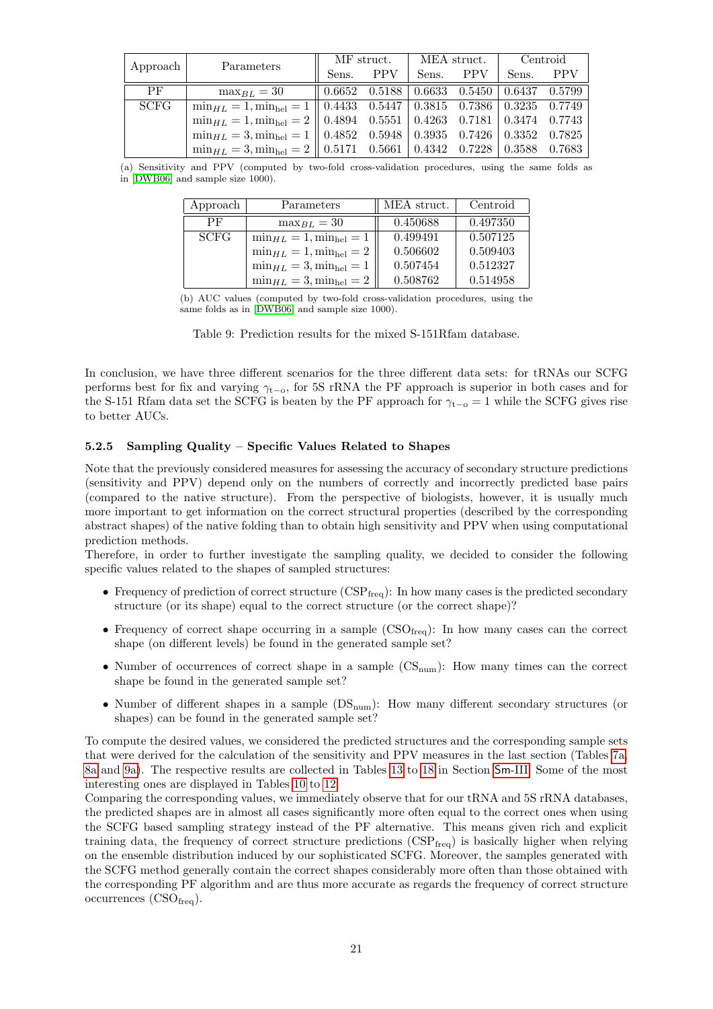<span id="page-20-1"></span><span id="page-20-0"></span>

|           | Parameters                                                                                                                | MF struct.                                                                    |           | MEA struct.           | Centroid |  |
|-----------|---------------------------------------------------------------------------------------------------------------------------|-------------------------------------------------------------------------------|-----------|-----------------------|----------|--|
| Approach  |                                                                                                                           |                                                                               | Sens. PPV | Sens. PPV   Sens. PPV |          |  |
| <b>PF</b> | $\max_{BL} = 30$                                                                                                          | $\parallel$ 0.6652 0.5188 $\parallel$ 0.6633 0.5450 $\parallel$ 0.6437 0.5799 |           |                       |          |  |
| SCFG      | $\min_{HL} = 1$ , $\min_{hel} = 1$   0.4433 0.5447   0.3815 0.7386   0.3235 0.7749                                        |                                                                               |           |                       |          |  |
|           | $\min_{HL} = 1, \min_{hel} = 2 \parallel 0.4894 \quad 0.5551 \mid 0.4263 \quad 0.7181 \mid 0.3474 \quad 0.7743$           |                                                                               |           |                       |          |  |
|           | $\min_{HL} = 3, \min_{hel} = 1 \parallel 0.4852 \quad 0.5948 \parallel 0.3935 \quad 0.7426 \parallel 0.3352 \quad 0.7825$ |                                                                               |           |                       |          |  |
|           | $\min_{HL} = 3, \min_{hel} = 2 \parallel 0.5171 \quad 0.5661 \mid 0.4342 \quad 0.7228 \mid 0.3588 \quad 0.7683 \mid$      |                                                                               |           |                       |          |  |

<span id="page-20-2"></span>(a) Sensitivity and PPV (computed by two-fold cross-validation procedures, using the same folds as in [\[DWB06\]](#page-23-4) and sample size 1000).

| Approach    | Parameters                          | MEA struct. | Centroid |
|-------------|-------------------------------------|-------------|----------|
| PF          | $\max_{BL} = 30$                    | 0.450688    | 0.497350 |
| <b>SCFG</b> | $\min_{H/L} = 1$ , $\min_{hel} = 1$ | 0.499491    | 0.507125 |
|             | $\min_{HL} = 1, \min_{hel} = 2$     | 0.506602    | 0.509403 |
|             | $\min_{HL} = 3, \min_{hel} = 1$     | 0.507454    | 0.512327 |
|             | $\min_{HL} = 3, \min_{hel} = 2$     | 0.508762    | 0.514958 |

(b) AUC values (computed by two-fold cross-validation procedures, using the same folds as in [\[DWB06\]](#page-23-4) and sample size 1000).

Table 9: Prediction results for the mixed S-151Rfam database.

In conclusion, we have three different scenarios for the three different data sets: for tRNAs our SCFG performs best for fix and varying  $\gamma_{t-0}$ , for 5S rRNA the PF approach is superior in both cases and for the S-151 Rfam data set the SCFG is beaten by the PF approach for  $\gamma_{t-0} = 1$  while the SCFG gives rise to better AUCs.

### 5.2.5 Sampling Quality – Specific Values Related to Shapes

Note that the previously considered measures for assessing the accuracy of secondary structure predictions (sensitivity and PPV) depend only on the numbers of correctly and incorrectly predicted base pairs (compared to the native structure). From the perspective of biologists, however, it is usually much more important to get information on the correct structural properties (described by the corresponding abstract shapes) of the native folding than to obtain high sensitivity and PPV when using computational prediction methods.

Therefore, in order to further investigate the sampling quality, we decided to consider the following specific values related to the shapes of sampled structures:

- Frequency of prediction of correct structure  $(CSP_{freq})$ : In how many cases is the predicted secondary structure (or its shape) equal to the correct structure (or the correct shape)?
- Frequency of correct shape occurring in a sample  $\text{CSO}_{\text{freq}}$ : In how many cases can the correct shape (on different levels) be found in the generated sample set?
- Number of occurrences of correct shape in a sample  $(\text{CS}_{num})$ : How many times can the correct shape be found in the generated sample set?
- Number of different shapes in a sample  $(DS_{num})$ : How many different secondary structures (or shapes) can be found in the generated sample set?

To compute the desired values, we considered the predicted structures and the corresponding sample sets that were derived for the calculation of the sensitivity and PPV measures in the last section (Tables [7a,](#page-19-2) [8a](#page-19-3) and [9a\)](#page-20-1). The respective results are collected in Tables [13](#page-37-0) to [18](#page-42-0) in Section Sm[-III.](#page-6-0) Some of the most interesting ones are displayed in Tables [10](#page-21-0) to [12.](#page-21-1)

Comparing the corresponding values, we immediately observe that for our tRNA and 5S rRNA databases, the predicted shapes are in almost all cases significantly more often equal to the correct ones when using the SCFG based sampling strategy instead of the PF alternative. This means given rich and explicit training data, the frequency of correct structure predictions  $\text{CSP}_{\text{freq}}$  is basically higher when relying on the ensemble distribution induced by our sophisticated SCFG. Moreover, the samples generated with the SCFG method generally contain the correct shapes considerably more often than those obtained with the corresponding PF algorithm and are thus more accurate as regards the frequency of correct structure occurrences  $(CSO_{\text{freq}})$ .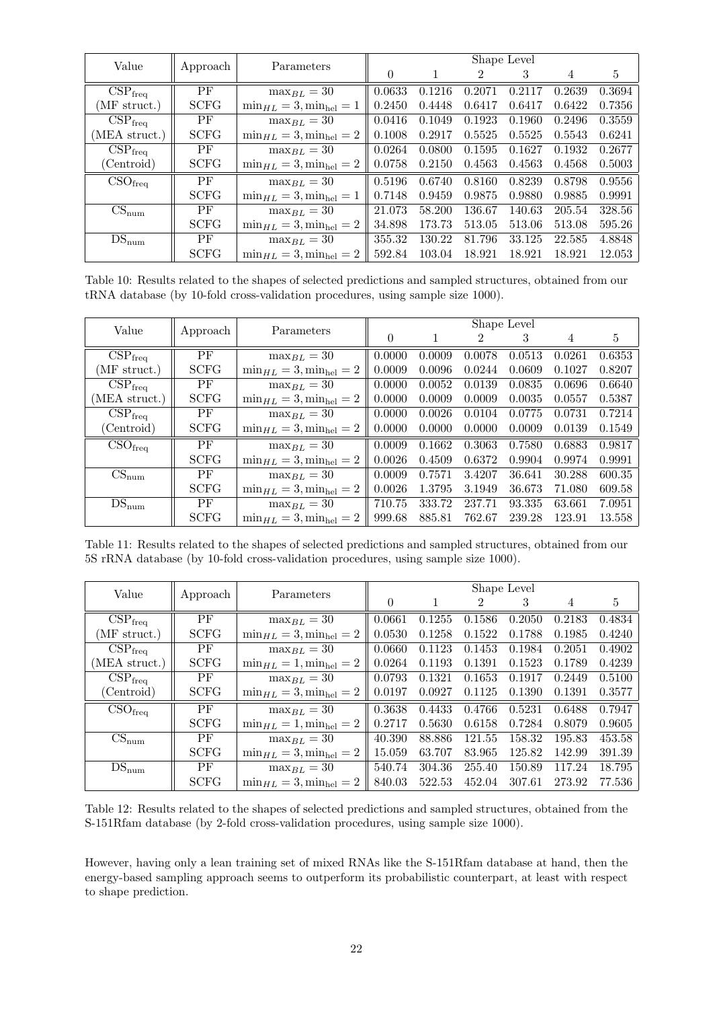<span id="page-21-0"></span>

| Value                                 | Approach    | Parameters                                       | Shape Level      |        |        |        |        |        |  |  |
|---------------------------------------|-------------|--------------------------------------------------|------------------|--------|--------|--------|--------|--------|--|--|
|                                       |             |                                                  | $\left( \right)$ |        | 2      | 3      | 4      | 5      |  |  |
| $\overline{\text{CSP}}_{\text{freq}}$ | PF          | $\max_{BL} = 30$                                 | 0.0633           | 0.1216 | 0.2071 | 0.2117 | 0.2639 | 0.3694 |  |  |
| $(MF$ struct.)                        | SCFG        | $\min_{HL} = 3$ , $\min_{hel} = 1$               | 0.2450           | 0.4448 | 0.6417 | 0.6417 | 0.6422 | 0.7356 |  |  |
| $CSP_{freq}$                          | PF          | $\max_{BL} = 30$                                 | 0.0416           | 0.1049 | 0.1923 | 0.1960 | 0.2496 | 0.3559 |  |  |
| (MEA struct.)                         | <b>SCFG</b> | $\min_{H/L} = 3$ , $\min_{h \in \mathbb{R}} = 2$ | 0.1008           | 0.2917 | 0.5525 | 0.5525 | 0.5543 | 0.6241 |  |  |
| $CSP_{\text{freq}}$                   | PF          | $\max_{BL} = 30$                                 | 0.0264           | 0.0800 | 0.1595 | 0.1627 | 0.1932 | 0.2677 |  |  |
| (Centroid)                            | SCFG        | $\min_{HL} = 3$ , $\min_{hel} = 2$               | 0.0758           | 0.2150 | 0.4563 | 0.4563 | 0.4568 | 0.5003 |  |  |
| $\mathrm{CSO}_\mathrm{freq}$          | PF          | $\max_{BL} = 30$                                 | 0.5196           | 0.6740 | 0.8160 | 0.8239 | 0.8798 | 0.9556 |  |  |
|                                       | <b>SCFG</b> | $\min_{HL} = 3$ , $\min_{hel} = 1$               | 0.7148           | 0.9459 | 0.9875 | 0.9880 | 0.9885 | 0.9991 |  |  |
| $CS_{num}$                            | PF          | $\max_{BL} = 30$                                 | 21.073           | 58.200 | 136.67 | 140.63 | 205.54 | 328.56 |  |  |
|                                       | <b>SCFG</b> | $\min_{H/L} = 3$ , $\min_{h \in \mathbb{R}} = 2$ | 34.898           | 173.73 | 513.05 | 513.06 | 513.08 | 595.26 |  |  |
| $DS_{num}$                            | PF          | $\max_{BL} = 30$                                 | 355.32           | 130.22 | 81.796 | 33.125 | 22.585 | 4.8848 |  |  |
|                                       | SCFG        | $\min_{HL} = 3$ , $\min_{hel} = 2$               | 592.84           | 103.04 | 18.921 | 18.921 | 18.921 | 12.053 |  |  |

Table 10: Results related to the shapes of selected predictions and sampled structures, obtained from our tRNA database (by 10-fold cross-validation procedures, using sample size 1000).

| Value               | Approach    | Parameters                                       | Shape Level |        |        |        |        |        |  |  |
|---------------------|-------------|--------------------------------------------------|-------------|--------|--------|--------|--------|--------|--|--|
|                     |             |                                                  | $\Omega$    |        | 2      | 3      | 4      | 5      |  |  |
| $CSP_{freq}$        | PF          | $\max_{BL} = 30$                                 | 0.0000      | 0.0009 | 0.0078 | 0.0513 | 0.0261 | 0.6353 |  |  |
| $(MF$ struct.)      | <b>SCFG</b> | $\min_{H/L} = 3$ , $\min_{h \in \mathbb{R}} = 2$ | 0.0009      | 0.0096 | 0.0244 | 0.0609 | 0.1027 | 0.8207 |  |  |
| $CSP_{\text{freq}}$ | PF          | $\max_{BL} = 30$                                 | 0.0000      | 0.0052 | 0.0139 | 0.0835 | 0.0696 | 0.6640 |  |  |
| (MEA struct.)       | <b>SCFG</b> | $\min_{HL} = 3$ , $\min_{hel} = 2$               | 0.0000      | 0.0009 | 0.0009 | 0.0035 | 0.0557 | 0.5387 |  |  |
| $CSP_{freq}$        | PF          | $\max_{BL} = 30$                                 | 0.0000      | 0.0026 | 0.0104 | 0.0775 | 0.0731 | 0.7214 |  |  |
| (Centroid)          | <b>SCFG</b> | $\min_{HL} = 3$ , $\min_{hel} = 2$               | 0.0000      | 0.0000 | 0.0000 | 0.0009 | 0.0139 | 0.1549 |  |  |
| CSO <sub>freq</sub> | PF          | $\max_{BL} = 30$                                 | 0.0009      | 0.1662 | 0.3063 | 0.7580 | 0.6883 | 0.9817 |  |  |
|                     | <b>SCFG</b> | $\min_{H/L} = 3$ , $\min_{hel} = 2$              | 0.0026      | 0.4509 | 0.6372 | 0.9904 | 0.9974 | 0.9991 |  |  |
| $CS_{num}$          | PF          | $\max_{BL} = 30$                                 | 0.0009      | 0.7571 | 3.4207 | 36.641 | 30.288 | 600.35 |  |  |
|                     | <b>SCFG</b> | $\min_{HL} = 3, \min_{hel} = 2$                  | 0.0026      | 1.3795 | 3.1949 | 36.673 | 71.080 | 609.58 |  |  |
| $DS_{num}$          | PF          | $\max_{BL} = 30$                                 | 710.75      | 333.72 | 237.71 | 93.335 | 63.661 | 7.0951 |  |  |
|                     | <b>SCFG</b> | $\min_{HL} = 3$ , $\min_{hel} = 2$               | 999.68      | 885.81 | 762.67 | 239.28 | 123.91 | 13.558 |  |  |

Table 11: Results related to the shapes of selected predictions and sampled structures, obtained from our 5S rRNA database (by 10-fold cross-validation procedures, using sample size 1000).

<span id="page-21-1"></span>

| Value          | Approach    | Parameters                         |          |        |        | Shape Level |        |        |
|----------------|-------------|------------------------------------|----------|--------|--------|-------------|--------|--------|
|                |             |                                    | $\Omega$ |        | 2      | 3           | 4      | 5      |
| $CSP_{freq}$   | PF          | $\max_{BL} = 30$                   | 0.0661   | 0.1255 | 0.1586 | 0.2050      | 0.2183 | 0.4834 |
| $(MF$ struct.) | <b>SCFG</b> | $\min_{HL} = 3$ , $\min_{hel} = 2$ | 0.0530   | 0.1258 | 0.1522 | 0.1788      | 0.1985 | 0.4240 |
| $CSP_{freq}$   | PF          | $\max_{BL} = 30$                   | 0.0660   | 0.1123 | 0.1453 | 0.1984      | 0.2051 | 0.4902 |
| 'MEA struct.)  | <b>SCFG</b> | $\min_{HL} = 1$ , $\min_{hel} = 2$ | 0.0264   | 0.1193 | 0.1391 | 0.1523      | 0.1789 | 0.4239 |
| $CSP_{freq}$   | PF          | $\max_{BL} = 30$                   | 0.0793   | 0.1321 | 0.1653 | 0.1917      | 0.2449 | 0.5100 |
| (Centroid)     | <b>SCFG</b> | $\min_{HL} = 3$ , $\min_{hel} = 2$ | 0.0197   | 0.0927 | 0.1125 | 0.1390      | 0.1391 | 0.3577 |
| $CSO_{freq}$   | <b>PF</b>   | $\max_{BL} = 30$                   | 0.3638   | 0.4433 | 0.4766 | 0.5231      | 0.6488 | 0.7947 |
|                | <b>SCFG</b> | $\min_{HL} = 1$ , $\min_{hel} = 2$ | 0.2717   | 0.5630 | 0.6158 | 0.7284      | 0.8079 | 0.9605 |
| $CS_{num}$     | PF          | $\max_{BL} = 30$                   | 40.390   | 88.886 | 121.55 | 158.32      | 195.83 | 453.58 |
|                | <b>SCFG</b> | $\min_{HL} = 3, \min_{hel} = 2$    | 15.059   | 63.707 | 83.965 | 125.82      | 142.99 | 391.39 |
| $DS_{num}$     | PF          | $\max_{BL} = 30$                   | 540.74   | 304.36 | 255.40 | 150.89      | 117.24 | 18.795 |
|                | <b>SCFG</b> | $\min_{HL} = 3$ , $\min_{hel} = 2$ | 840.03   | 522.53 | 452.04 | 307.61      | 273.92 | 77.536 |

Table 12: Results related to the shapes of selected predictions and sampled structures, obtained from the S-151Rfam database (by 2-fold cross-validation procedures, using sample size 1000).

However, having only a lean training set of mixed RNAs like the S-151Rfam database at hand, then the energy-based sampling approach seems to outperform its probabilistic counterpart, at least with respect to shape prediction.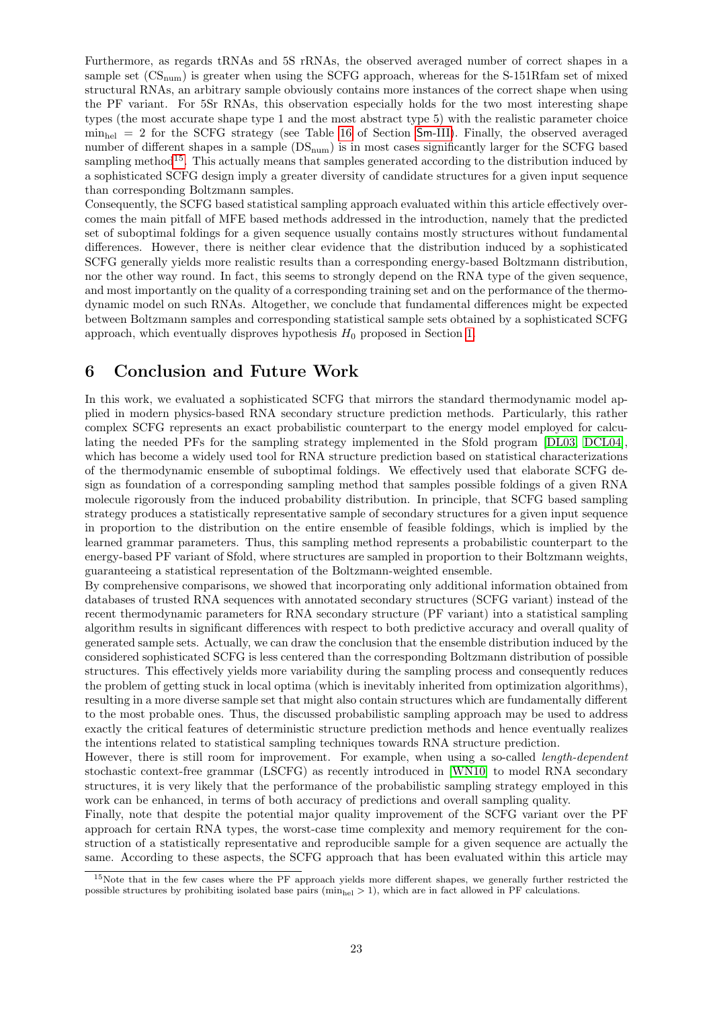Furthermore, as regards tRNAs and 5S rRNAs, the observed averaged number of correct shapes in a sample set  $(\text{CS}_{num})$  is greater when using the SCFG approach, whereas for the S-151Rfam set of mixed structural RNAs, an arbitrary sample obviously contains more instances of the correct shape when using the PF variant. For 5Sr RNAs, this observation especially holds for the two most interesting shape types (the most accurate shape type 1 and the most abstract type 5) with the realistic parameter choice  $\min_{hel}$  = 2 for the SCFG strategy (see Table [16](#page-40-0) of Section Sm[-III\)](#page-6-0). Finally, the observed averaged number of different shapes in a sample  $(DS_{num})$  is in most cases significantly larger for the SCFG based sampling method<sup>[15](#page-22-1)</sup>. This actually means that samples generated according to the distribution induced by a sophisticated SCFG design imply a greater diversity of candidate structures for a given input sequence than corresponding Boltzmann samples.

Consequently, the SCFG based statistical sampling approach evaluated within this article effectively overcomes the main pitfall of MFE based methods addressed in the introduction, namely that the predicted set of suboptimal foldings for a given sequence usually contains mostly structures without fundamental differences. However, there is neither clear evidence that the distribution induced by a sophisticated SCFG generally yields more realistic results than a corresponding energy-based Boltzmann distribution, nor the other way round. In fact, this seems to strongly depend on the RNA type of the given sequence, and most importantly on the quality of a corresponding training set and on the performance of the thermodynamic model on such RNAs. Altogether, we conclude that fundamental differences might be expected between Boltzmann samples and corresponding statistical sample sets obtained by a sophisticated SCFG approach, which eventually disproves hypothesis  $H_0$  proposed in Section [1.](#page-0-0)

### <span id="page-22-0"></span>6 Conclusion and Future Work

In this work, we evaluated a sophisticated SCFG that mirrors the standard thermodynamic model applied in modern physics-based RNA secondary structure prediction methods. Particularly, this rather complex SCFG represents an exact probabilistic counterpart to the energy model employed for calculating the needed PFs for the sampling strategy implemented in the Sfold program [\[DL03,](#page-23-1) [DCL04\]](#page-23-2), which has become a widely used tool for RNA structure prediction based on statistical characterizations of the thermodynamic ensemble of suboptimal foldings. We effectively used that elaborate SCFG design as foundation of a corresponding sampling method that samples possible foldings of a given RNA molecule rigorously from the induced probability distribution. In principle, that SCFG based sampling strategy produces a statistically representative sample of secondary structures for a given input sequence in proportion to the distribution on the entire ensemble of feasible foldings, which is implied by the learned grammar parameters. Thus, this sampling method represents a probabilistic counterpart to the energy-based PF variant of Sfold, where structures are sampled in proportion to their Boltzmann weights, guaranteeing a statistical representation of the Boltzmann-weighted ensemble.

By comprehensive comparisons, we showed that incorporating only additional information obtained from databases of trusted RNA sequences with annotated secondary structures (SCFG variant) instead of the recent thermodynamic parameters for RNA secondary structure (PF variant) into a statistical sampling algorithm results in significant differences with respect to both predictive accuracy and overall quality of generated sample sets. Actually, we can draw the conclusion that the ensemble distribution induced by the considered sophisticated SCFG is less centered than the corresponding Boltzmann distribution of possible structures. This effectively yields more variability during the sampling process and consequently reduces the problem of getting stuck in local optima (which is inevitably inherited from optimization algorithms), resulting in a more diverse sample set that might also contain structures which are fundamentally different to the most probable ones. Thus, the discussed probabilistic sampling approach may be used to address exactly the critical features of deterministic structure prediction methods and hence eventually realizes the intentions related to statistical sampling techniques towards RNA structure prediction.

However, there is still room for improvement. For example, when using a so-called *length-dependent* stochastic context-free grammar (LSCFG) as recently introduced in [\[WN10\]](#page-25-13) to model RNA secondary structures, it is very likely that the performance of the probabilistic sampling strategy employed in this work can be enhanced, in terms of both accuracy of predictions and overall sampling quality.

Finally, note that despite the potential major quality improvement of the SCFG variant over the PF approach for certain RNA types, the worst-case time complexity and memory requirement for the construction of a statistically representative and reproducible sample for a given sequence are actually the same. According to these aspects, the SCFG approach that has been evaluated within this article may

<span id="page-22-1"></span><sup>&</sup>lt;sup>15</sup>Note that in the few cases where the PF approach yields more different shapes, we generally further restricted the possible structures by prohibiting isolated base pairs ( $\min_{hel}$  > 1), which are in fact allowed in PF calculations.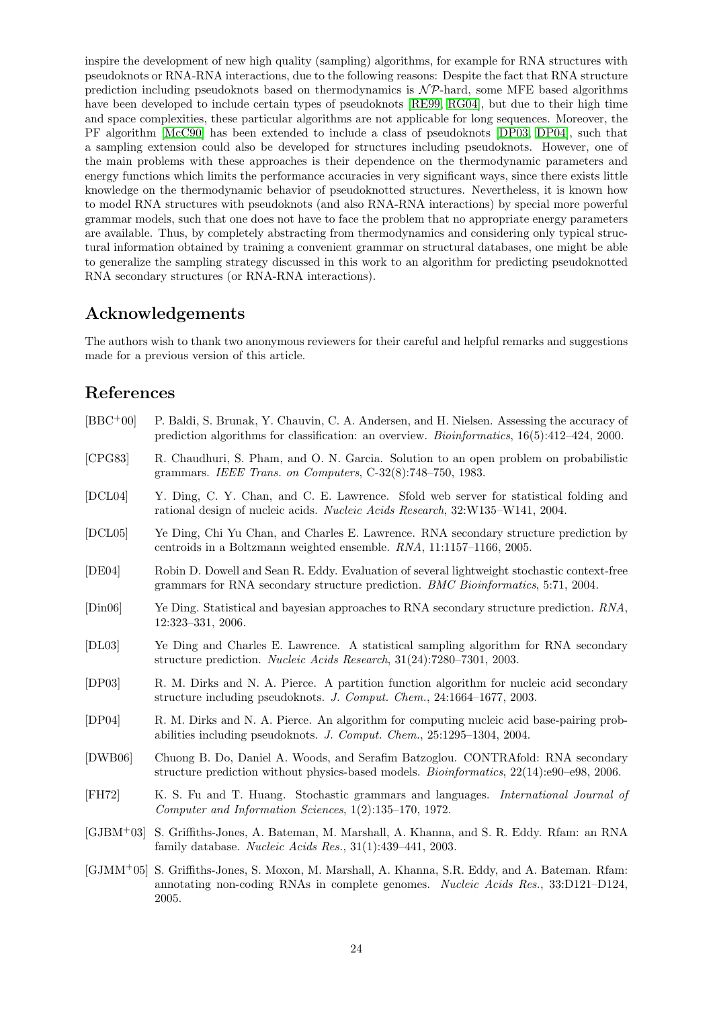inspire the development of new high quality (sampling) algorithms, for example for RNA structures with pseudoknots or RNA-RNA interactions, due to the following reasons: Despite the fact that RNA structure prediction including pseudoknots based on thermodynamics is  $N\mathcal{P}$ -hard, some MFE based algorithms have been developed to include certain types of pseudoknots [\[RE99,](#page-24-16) [RG04\]](#page-25-14), but due to their high time and space complexities, these particular algorithms are not applicable for long sequences. Moreover, the PF algorithm [\[McC90\]](#page-24-6) has been extended to include a class of pseudoknots [\[DP03,](#page-23-11) [DP04\]](#page-23-12), such that a sampling extension could also be developed for structures including pseudoknots. However, one of the main problems with these approaches is their dependence on the thermodynamic parameters and energy functions which limits the performance accuracies in very significant ways, since there exists little knowledge on the thermodynamic behavior of pseudoknotted structures. Nevertheless, it is known how to model RNA structures with pseudoknots (and also RNA-RNA interactions) by special more powerful grammar models, such that one does not have to face the problem that no appropriate energy parameters are available. Thus, by completely abstracting from thermodynamics and considering only typical structural information obtained by training a convenient grammar on structural databases, one might be able to generalize the sampling strategy discussed in this work to an algorithm for predicting pseudoknotted RNA secondary structures (or RNA-RNA interactions).

### Acknowledgements

The authors wish to thank two anonymous reviewers for their careful and helpful remarks and suggestions made for a previous version of this article.

### References

<span id="page-23-12"></span><span id="page-23-11"></span><span id="page-23-10"></span><span id="page-23-9"></span><span id="page-23-8"></span><span id="page-23-7"></span><span id="page-23-6"></span><span id="page-23-5"></span><span id="page-23-4"></span><span id="page-23-3"></span><span id="page-23-2"></span><span id="page-23-1"></span><span id="page-23-0"></span>

| $[BBC + 00]$   | P. Baldi, S. Brunak, Y. Chauvin, C. A. Andersen, and H. Nielsen. Assessing the accuracy of<br>prediction algorithms for classification: an overview. <i>Bioinformatics</i> , $16(5):412-424$ , $2000$ . |
|----------------|---------------------------------------------------------------------------------------------------------------------------------------------------------------------------------------------------------|
| [CPG83]        | R. Chaudhuri, S. Pham, and O. N. Garcia. Solution to an open problem on probabilistic<br>grammars. IEEE Trans. on Computers, C-32(8):748-750, 1983.                                                     |
| [DCL04]        | Y. Ding, C. Y. Chan, and C. E. Lawrence. Sfold web server for statistical folding and<br>rational design of nucleic acids. Nucleic Acids Research, 32:W135-W141, 2004.                                  |
| [DCL05]        | Ye Ding, Chi Yu Chan, and Charles E. Lawrence. RNA secondary structure prediction by<br>centroids in a Boltzmann weighted ensemble. $RNA$ , $11:1157-1166$ , $2005$ .                                   |
| [DE04]         | Robin D. Dowell and Sean R. Eddy. Evaluation of several lightweight stochastic context-free<br>grammars for RNA secondary structure prediction. <i>BMC Bioinformatics</i> , 5:71, 2004.                 |
| [Din06]        | Ye Ding. Statistical and bayesian approaches to RNA secondary structure prediction. RNA,<br>12:323-331, 2006.                                                                                           |
| [DL03]         | Ye Ding and Charles E. Lawrence. A statistical sampling algorithm for RNA secondary<br>structure prediction. Nucleic Acids Research, 31(24):7280-7301, 2003.                                            |
| [DP03]         | R. M. Dirks and N. A. Pierce. A partition function algorithm for nucleic acid secondary<br>structure including pseudoknots. J. Comput. Chem., 24:1664-1677, 2003.                                       |
| [DP04]         | R. M. Dirks and N. A. Pierce. An algorithm for computing nucleic acid base-pairing prob-<br>abilities including pseudoknots. J. Comput. Chem., 25:1295-1304, 2004.                                      |
| [DWB06]        | Chuong B. Do, Daniel A. Woods, and Serafim Batzoglou. CONTRAfold: RNA secondary<br>structure prediction without physics-based models. <i>Bioinformatics</i> , 22(14):e90-e98, 2006.                     |
| [FH72]         | K. S. Fu and T. Huang. Stochastic grammars and languages. International Journal of<br>Computer and Information Sciences, $1(2):135-170$ , 1972.                                                         |
| $[GJBM^+03]$   | S. Griffiths-Jones, A. Bateman, M. Marshall, A. Khanna, and S. R. Eddy. Rfam: an RNA<br>family database. Nucleic Acids Res., $31(1):439-441$ , 2003.                                                    |
| $[GJMM^{+}05]$ | S. Griffiths-Jones, S. Moxon, M. Marshall, A. Khanna, S.R. Eddy, and A. Bateman. Rfam:<br>annotating non-coding RNAs in complete genomes. <i>Nucleic Acids Res.</i> , 33:D121-D124,<br>2005.            |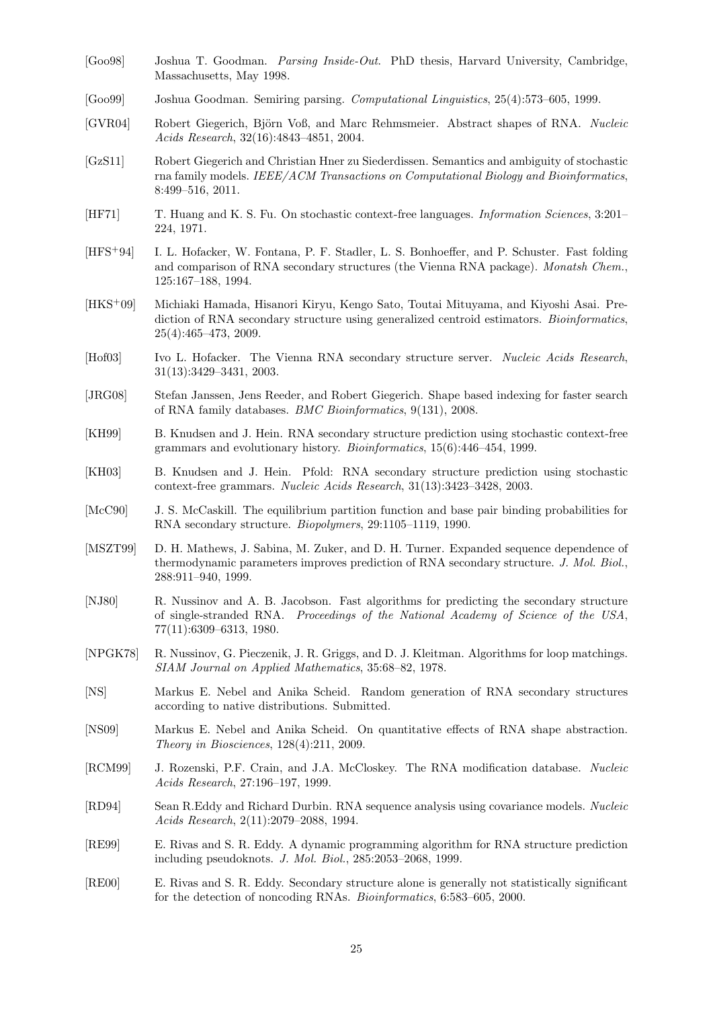- <span id="page-24-19"></span>[Goo98] Joshua T. Goodman. Parsing Inside-Out. PhD thesis, Harvard University, Cambridge, Massachusetts, May 1998.
- <span id="page-24-20"></span>[Goo99] Joshua Goodman. Semiring parsing. Computational Linguistics, 25(4):573–605, 1999.
- <span id="page-24-17"></span>[GVR04] Robert Giegerich, Björn Voß, and Marc Rehmsmeier. Abstract shapes of RNA. Nucleic Acids Research, 32(16):4843–4851, 2004.
- <span id="page-24-15"></span>[GzS11] Robert Giegerich and Christian Hner zu Siederdissen. Semantics and ambiguity of stochastic rna family models. IEEE/ACM Transactions on Computational Biology and Bioinformatics, 8:499–516, 2011.
- <span id="page-24-11"></span>[HF71] T. Huang and K. S. Fu. On stochastic context-free languages. Information Sciences, 3:201– 224, 1971.
- <span id="page-24-2"></span>[HFS+94] I. L. Hofacker, W. Fontana, P. F. Stadler, L. S. Bonhoeffer, and P. Schuster. Fast folding and comparison of RNA secondary structures (the Vienna RNA package). Monatsh Chem., 125:167–188, 1994.
- <span id="page-24-13"></span>[HKS+09] Michiaki Hamada, Hisanori Kiryu, Kengo Sato, Toutai Mituyama, and Kiyoshi Asai. Prediction of RNA secondary structure using generalized centroid estimators. Bioinformatics, 25(4):465–473, 2009.
- <span id="page-24-3"></span>[Hof03] Ivo L. Hofacker. The Vienna RNA secondary structure server. Nucleic Acids Research, 31(13):3429–3431, 2003.
- <span id="page-24-10"></span>[JRG08] Stefan Janssen, Jens Reeder, and Robert Giegerich. Shape based indexing for faster search of RNA family databases. BMC Bioinformatics, 9(131), 2008.
- <span id="page-24-7"></span>[KH99] B. Knudsen and J. Hein. RNA secondary structure prediction using stochastic context-free grammars and evolutionary history. Bioinformatics, 15(6):446–454, 1999.
- <span id="page-24-8"></span>[KH03] B. Knudsen and J. Hein. Pfold: RNA secondary structure prediction using stochastic context-free grammars. Nucleic Acids Research, 31(13):3423–3428, 2003.
- <span id="page-24-6"></span>[McC90] J. S. McCaskill. The equilibrium partition function and base pair binding probabilities for RNA secondary structure. Biopolymers, 29:1105–1119, 1990.
- <span id="page-24-4"></span>[MSZT99] D. H. Mathews, J. Sabina, M. Zuker, and D. H. Turner. Expanded sequence dependence of thermodynamic parameters improves prediction of RNA secondary structure. J. Mol. Biol., 288:911–940, 1999.
- <span id="page-24-1"></span>[NJ80] R. Nussinov and A. B. Jacobson. Fast algorithms for predicting the secondary structure of single-stranded RNA. Proceedings of the National Academy of Science of the USA, 77(11):6309–6313, 1980.
- <span id="page-24-0"></span>[NPGK78] R. Nussinov, G. Pieczenik, J. R. Griggs, and D. J. Kleitman. Algorithms for loop matchings. SIAM Journal on Applied Mathematics, 35:68–82, 1978.
- <span id="page-24-12"></span>[NS] Markus E. Nebel and Anika Scheid. Random generation of RNA secondary structures according to native distributions. Submitted.
- <span id="page-24-18"></span>[NS09] Markus E. Nebel and Anika Scheid. On quantitative effects of RNA shape abstraction. Theory in Biosciences, 128(4):211, 2009.
- <span id="page-24-5"></span>[RCM99] J. Rozenski, P.F. Crain, and J.A. McCloskey. The RNA modification database. Nucleic Acids Research, 27:196–197, 1999.
- <span id="page-24-14"></span>[RD94] Sean R.Eddy and Richard Durbin. RNA sequence analysis using covariance models. Nucleic Acids Research, 2(11):2079–2088, 1994.
- <span id="page-24-16"></span>[RE99] E. Rivas and S. R. Eddy. A dynamic programming algorithm for RNA structure prediction including pseudoknots. J. Mol. Biol., 285:2053–2068, 1999.
- <span id="page-24-9"></span>[RE00] E. Rivas and S. R. Eddy. Secondary structure alone is generally not statistically significant for the detection of noncoding RNAs. Bioinformatics, 6:583–605, 2000.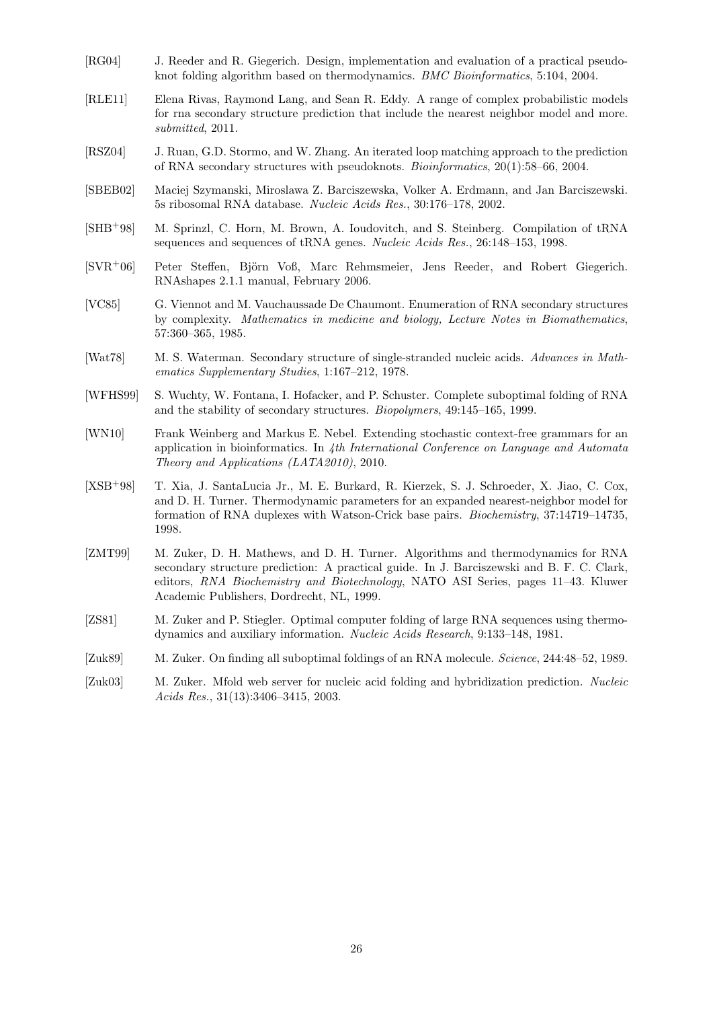- <span id="page-25-14"></span>[RG04] J. Reeder and R. Giegerich. Design, implementation and evaluation of a practical pseudoknot folding algorithm based on thermodynamics. BMC Bioinformatics, 5:104, 2004.
- <span id="page-25-6"></span>[RLE11] Elena Rivas, Raymond Lang, and Sean R. Eddy. A range of complex probabilistic models for rna secondary structure prediction that include the nearest neighbor model and more. submitted, 2011.
- <span id="page-25-9"></span>[RSZ04] J. Ruan, G.D. Stormo, and W. Zhang. An iterated loop matching approach to the prediction of RNA secondary structures with pseudoknots. Bioinformatics, 20(1):58–66, 2004.
- <span id="page-25-12"></span>[SBEB02] Maciej Szymanski, Miroslawa Z. Barciszewska, Volker A. Erdmann, and Jan Barciszewski. 5s ribosomal RNA database. Nucleic Acids Res., 30:176–178, 2002.
- <span id="page-25-11"></span>[SHB+98] M. Sprinzl, C. Horn, M. Brown, A. Ioudovitch, and S. Steinberg. Compilation of tRNA sequences and sequences of tRNA genes. Nucleic Acids Res., 26:148–153, 1998.
- <span id="page-25-10"></span>[SVR+06] Peter Steffen, Björn Voß, Marc Rehmsmeier, Jens Reeder, and Robert Giegerich. RNAshapes 2.1.1 manual, February 2006.
- <span id="page-25-8"></span>[VC85] G. Viennot and M. Vauchaussade De Chaumont. Enumeration of RNA secondary structures by complexity. Mathematics in medicine and biology, Lecture Notes in Biomathematics, 57:360–365, 1985.
- <span id="page-25-0"></span>[Wat78] M. S. Waterman. Secondary structure of single-stranded nucleic acids. Advances in Mathematics Supplementary Studies, 1:167–212, 1978.
- <span id="page-25-2"></span>[WFHS99] S. Wuchty, W. Fontana, I. Hofacker, and P. Schuster. Complete suboptimal folding of RNA and the stability of secondary structures. Biopolymers, 49:145–165, 1999.
- <span id="page-25-13"></span>[WN10] Frank Weinberg and Markus E. Nebel. Extending stochastic context-free grammars for an application in bioinformatics. In  $4th$  International Conference on Language and Automata Theory and Applications (LATA2010), 2010.
- <span id="page-25-5"></span>[XSB+98] T. Xia, J. SantaLucia Jr., M. E. Burkard, R. Kierzek, S. J. Schroeder, X. Jiao, C. Cox, and D. H. Turner. Thermodynamic parameters for an expanded nearest-neighbor model for formation of RNA duplexes with Watson-Crick base pairs. Biochemistry, 37:14719–14735, 1998.
- <span id="page-25-7"></span>[ZMT99] M. Zuker, D. H. Mathews, and D. H. Turner. Algorithms and thermodynamics for RNA secondary structure prediction: A practical guide. In J. Barciszewski and B. F. C. Clark, editors, RNA Biochemistry and Biotechnology, NATO ASI Series, pages 11–43. Kluwer Academic Publishers, Dordrecht, NL, 1999.
- <span id="page-25-1"></span>[ZS81] M. Zuker and P. Stiegler. Optimal computer folding of large RNA sequences using thermodynamics and auxiliary information. Nucleic Acids Research, 9:133–148, 1981.
- <span id="page-25-3"></span>[Zuk89] M. Zuker. On finding all suboptimal foldings of an RNA molecule. Science, 244:48–52, 1989.
- <span id="page-25-4"></span>[Zuk03] M. Zuker. Mfold web server for nucleic acid folding and hybridization prediction. Nucleic Acids Res., 31(13):3406–3415, 2003.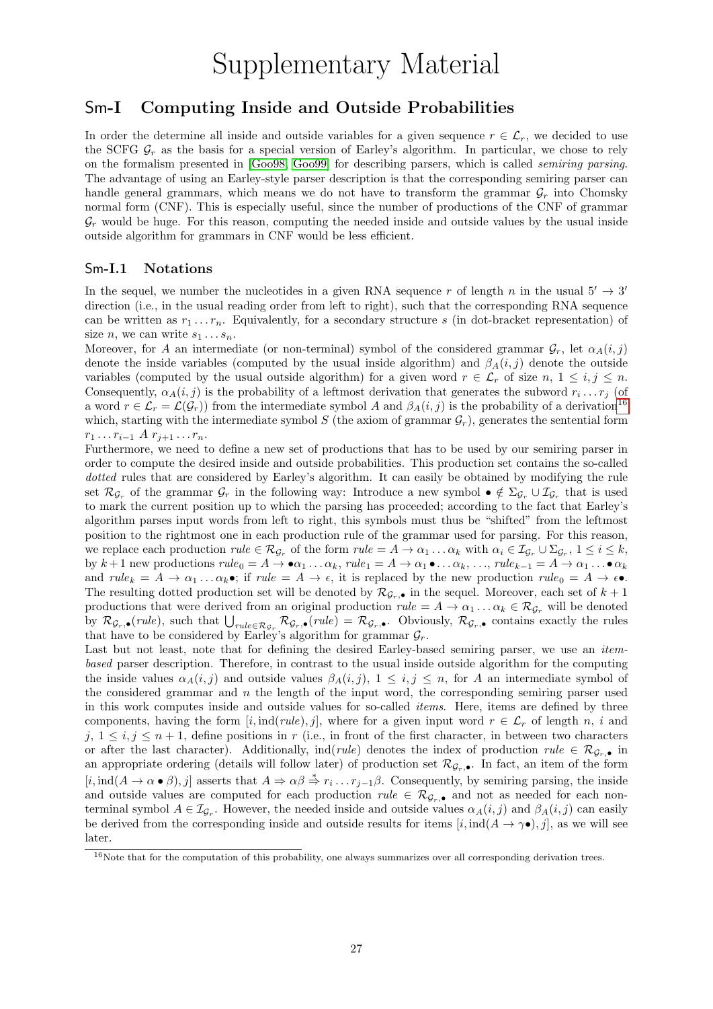# Supplementary Material

### Sm-I Computing Inside and Outside Probabilities

In order the determine all inside and outside variables for a given sequence  $r \in \mathcal{L}_r$ , we decided to use the SCFG  $G_r$  as the basis for a special version of Earley's algorithm. In particular, we chose to rely on the formalism presented in [\[Goo98,](#page-24-19) [Goo99\]](#page-24-20) for describing parsers, which is called semiring parsing. The advantage of using an Earley-style parser description is that the corresponding semiring parser can handle general grammars, which means we do not have to transform the grammar  $\mathcal{G}_r$  into Chomsky normal form (CNF). This is especially useful, since the number of productions of the CNF of grammar  $\mathcal{G}_r$  would be huge. For this reason, computing the needed inside and outside values by the usual inside outside algorithm for grammars in CNF would be less efficient.

### Sm-I.1 Notations

In the sequel, we number the nucleotides in a given RNA sequence r of length n in the usual  $5' \rightarrow 3'$ direction (i.e., in the usual reading order from left to right), such that the corresponding RNA sequence can be written as  $r_1 \ldots r_n$ . Equivalently, for a secondary structure s (in dot-bracket representation) of size *n*, we can write  $s_1 \ldots s_n$ .

Moreover, for A an intermediate (or non-terminal) symbol of the considered grammar  $\mathcal{G}_r$ , let  $\alpha_A(i, j)$ denote the inside variables (computed by the usual inside algorithm) and  $\beta_A(i, j)$  denote the outside variables (computed by the usual outside algorithm) for a given word  $r \in \mathcal{L}_r$  of size  $n, 1 \leq i, j \leq n$ . Consequently,  $\alpha_A(i,j)$  is the probability of a leftmost derivation that generates the subword  $r_i \dots r_j$  (of a word  $r \in \mathcal{L}_r = \mathcal{L}(\mathcal{G}_r)$  from the intermediate symbol A and  $\beta_A(i,j)$  is the probability of a derivation<sup>[16](#page-26-0)</sup> which, starting with the intermediate symbol  $S$  (the axiom of grammar  $\mathcal{G}_r$ ), generates the sentential form  $r_1 \ldots r_{i-1} \land r_{i+1} \ldots r_n$ .

Furthermore, we need to define a new set of productions that has to be used by our semiring parser in order to compute the desired inside and outside probabilities. This production set contains the so-called dotted rules that are considered by Earley's algorithm. It can easily be obtained by modifying the rule set  $\mathcal{R}_{\mathcal{G}_r}$  of the grammar  $\mathcal{G}_r$  in the following way: Introduce a new symbol  $\bullet \notin \Sigma_{\mathcal{G}_r} \cup \mathcal{I}_{\mathcal{G}_r}$  that is used to mark the current position up to which the parsing has proceeded; according to the fact that Earley's algorithm parses input words from left to right, this symbols must thus be "shifted" from the leftmost position to the rightmost one in each production rule of the grammar used for parsing. For this reason, we replace each production  $rule \in \mathcal{R}_{\mathcal{G}_r}$  of the form  $rule = A \rightarrow \alpha_1 \dots \alpha_k$  with  $\alpha_i \in \mathcal{I}_{\mathcal{G}_r} \cup \Sigma_{\mathcal{G}_r}$ ,  $1 \leq i \leq k$ , by  $k+1$  new productions  $rule_0 = A \rightarrow \bullet \alpha_1 \ldots \alpha_k$ ,  $rule_1 = A \rightarrow \alpha_1 \bullet \ldots \alpha_k$ ,  $\ldots$ ,  $rule_{k-1} = A \rightarrow \alpha_1 \ldots \bullet \alpha_k$ and  $rule_{k} = A \rightarrow \alpha_{1} \ldots \alpha_{k} \bullet$ ; if  $rule = A \rightarrow \epsilon$ , it is replaced by the new production  $rule_{0} = A \rightarrow \epsilon \bullet$ . The resulting dotted production set will be denoted by  $\mathcal{R}_{\mathcal{G}_r,\bullet}$  in the sequel. Moreover, each set of  $k+1$ productions that were derived from an original production  $rule = A \rightarrow \alpha_1 \dots \alpha_k \in \mathcal{R}_{\mathcal{G}_r}$  will be denoted by  $\mathcal{R}_{\mathcal{G}_r,\bullet}(rule)$ , such that  $\bigcup_{rule \in \mathcal{R}_{\mathcal{G}_r},\bullet}(rule) = \mathcal{R}_{\mathcal{G}_r,\bullet}$ . Obviously,  $\mathcal{R}_{\mathcal{G}_r,\bullet}$  contains exactly the rules that have to be considered by Earley's algorithm for grammar  $\mathcal{G}_r$ .

Last but not least, note that for defining the desired Earley-based semiring parser, we use an *item*based parser description. Therefore, in contrast to the usual inside outside algorithm for the computing the inside values  $\alpha_A(i, j)$  and outside values  $\beta_A(i, j)$ ,  $1 \leq i, j \leq n$ , for A an intermediate symbol of the considered grammar and  $n$  the length of the input word, the corresponding semiring parser used in this work computes inside and outside values for so-called *items*. Here, items are defined by three components, having the form [i, ind(rule), j], where for a given input word  $r \in \mathcal{L}_r$  of length n, i and j,  $1 \le i, j \le n+1$ , define positions in r (i.e., in front of the first character, in between two characters or after the last character). Additionally, ind(*rule*) denotes the index of production *rule*  $\in \mathcal{R}_{G_r,\bullet}$  in an appropriate ordering (details will follow later) of production set  $\mathcal{R}_{\mathcal{G}_r,\bullet}$ . In fact, an item of the form  $[i, \text{ind}(A \to \alpha \bullet \beta), j]$  asserts that  $A \Rightarrow \alpha \beta \stackrel{*}{\Rightarrow} r_i \dots r_{j-1} \beta$ . Consequently, by semiring parsing, the inside and outside values are computed for each production  $rule \in \mathcal{R}_{\mathcal{G}_r,\bullet}$  and not as needed for each nonterminal symbol  $A \in \mathcal{I}_{\mathcal{G}_r}$ . However, the needed inside and outside values  $\alpha_A(i,j)$  and  $\beta_A(i,j)$  can easily be derived from the corresponding inside and outside results for items  $[i, ind(A \rightarrow \gamma \bullet), j]$ , as we will see later.

<span id="page-26-0"></span> $16$ Note that for the computation of this probability, one always summarizes over all corresponding derivation trees.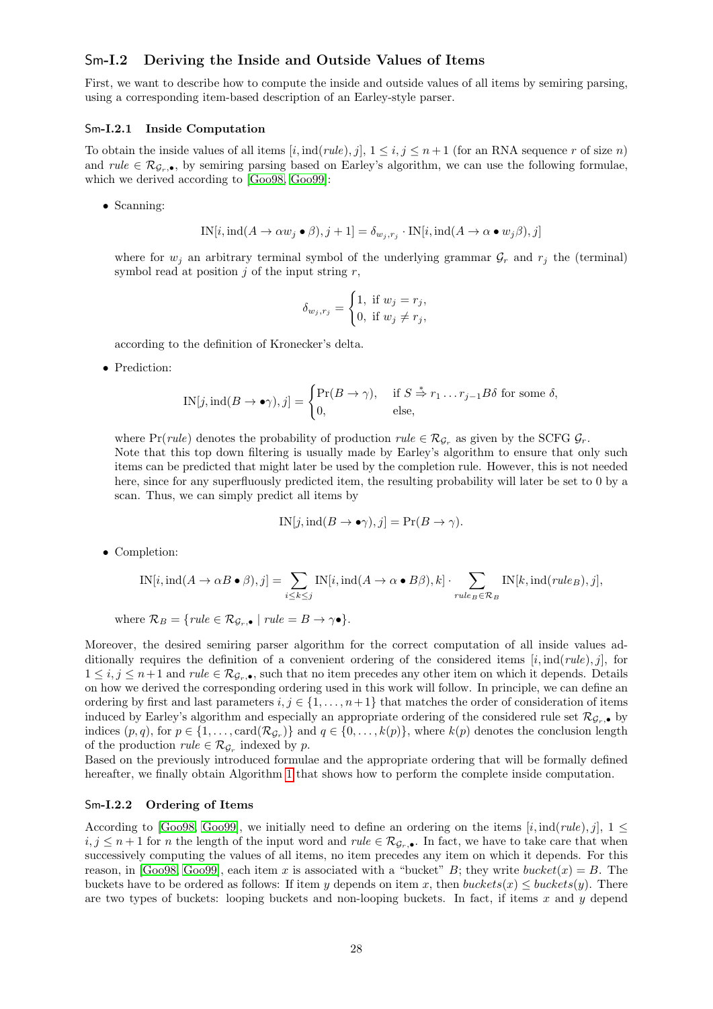### Sm-I.2 Deriving the Inside and Outside Values of Items

First, we want to describe how to compute the inside and outside values of all items by semiring parsing, using a corresponding item-based description of an Earley-style parser.

#### Sm-I.2.1 Inside Computation

To obtain the inside values of all items  $[i, \text{ind}(rule), j]$ ,  $1 \leq i, j \leq n+1$  (for an RNA sequence r of size n) and  $rule \in \mathcal{R}_{\mathcal{G}_r,\bullet}$ , by semiring parsing based on Earley's algorithm, we can use the following formulae, which we derived according to [\[Goo98,](#page-24-19) [Goo99\]](#page-24-20):

• Scanning:

$$
IN[i, ind(A \to \alpha w_j \bullet \beta), j+1] = \delta_{w_j, r_j} \cdot IN[i, ind(A \to \alpha \bullet w_j \beta), j]
$$

where for  $w_i$  an arbitrary terminal symbol of the underlying grammar  $\mathcal{G}_r$  and  $r_i$  the (terminal) symbol read at position  $j$  of the input string  $r$ ,

$$
\delta_{w_j,r_j} = \begin{cases} 1, & \text{if } w_j = r_j, \\ 0, & \text{if } w_j \neq r_j, \end{cases}
$$

according to the definition of Kronecker's delta.

• Prediction:

$$
IN[j, ind(B \to \bullet \gamma), j] = \begin{cases} Pr(B \to \gamma), & \text{if } S \stackrel{*}{\Rightarrow} r_1 \dots r_{j-1} B \delta \text{ for some } \delta, \\ 0, & \text{else,} \end{cases}
$$

where Pr(rule) denotes the probability of production  $rule \in \mathcal{R}_{G_r}$  as given by the SCFG  $\mathcal{G}_r$ . Note that this top down filtering is usually made by Earley's algorithm to ensure that only such items can be predicted that might later be used by the completion rule. However, this is not needed here, since for any superfluously predicted item, the resulting probability will later be set to 0 by a scan. Thus, we can simply predict all items by

$$
IN[j, ind(B \to \bullet \gamma), j] = Pr(B \to \gamma).
$$

• Completion:

$$
IN[i, ind(A \to \alpha B \bullet \beta), j] = \sum_{i \le k \le j} IN[i, ind(A \to \alpha \bullet B\beta), k] \cdot \sum_{rule_B \in \mathcal{R}_B} IN[k, ind(rule_B), j],
$$

where  $\mathcal{R}_B = \{ rule \in \mathcal{R}_{\mathcal{G}_r,\bullet} \mid rule = B \to \gamma \bullet \}.$ 

Moreover, the desired semiring parser algorithm for the correct computation of all inside values additionally requires the definition of a convenient ordering of the considered items [i, ind(rule), j], for  $1 \leq i, j \leq n+1$  and  $rule \in \mathcal{R}_{\mathcal{G}_r,\bullet}$ , such that no item precedes any other item on which it depends. Details on how we derived the corresponding ordering used in this work will follow. In principle, we can define an ordering by first and last parameters  $i, j \in \{1, ..., n+1\}$  that matches the order of consideration of items induced by Earley's algorithm and especially an appropriate ordering of the considered rule set  $\mathcal{R}_{\mathcal{G}_r,\bullet}$  by indices  $(p, q)$ , for  $p \in \{1, ..., \text{card}(\mathcal{R}_{\mathcal{G}_r})\}$  and  $q \in \{0, ..., k(p)\}$ , where  $k(p)$  denotes the conclusion length of the production  $rule \in \mathcal{R}_{\mathcal{G}_r}$  indexed by p.

Based on the previously introduced formulae and the appropriate ordering that will be formally defined hereafter, we finally obtain Algorithm [1](#page-0-1) that shows how to perform the complete inside computation.

#### Sm-I.2.2 Ordering of Items

According to [\[Goo98,](#page-24-19) [Goo99\]](#page-24-20), we initially need to define an ordering on the items [i, ind(rule), j],  $1 \leq$  $i, j \leq n+1$  for n the length of the input word and  $rule \in \mathcal{R}_{\mathcal{G}_r,\bullet}$ . In fact, we have to take care that when successively computing the values of all items, no item precedes any item on which it depends. For this reason, in [\[Goo98,](#page-24-19) [Goo99\]](#page-24-20), each item x is associated with a "bucket" B; they write bucket(x) = B. The buckets have to be ordered as follows: If item y depends on item x, then buckets $(x) \leq buckets(y)$ . There are two types of buckets: looping buckets and non-looping buckets. In fact, if items  $x$  and  $y$  depend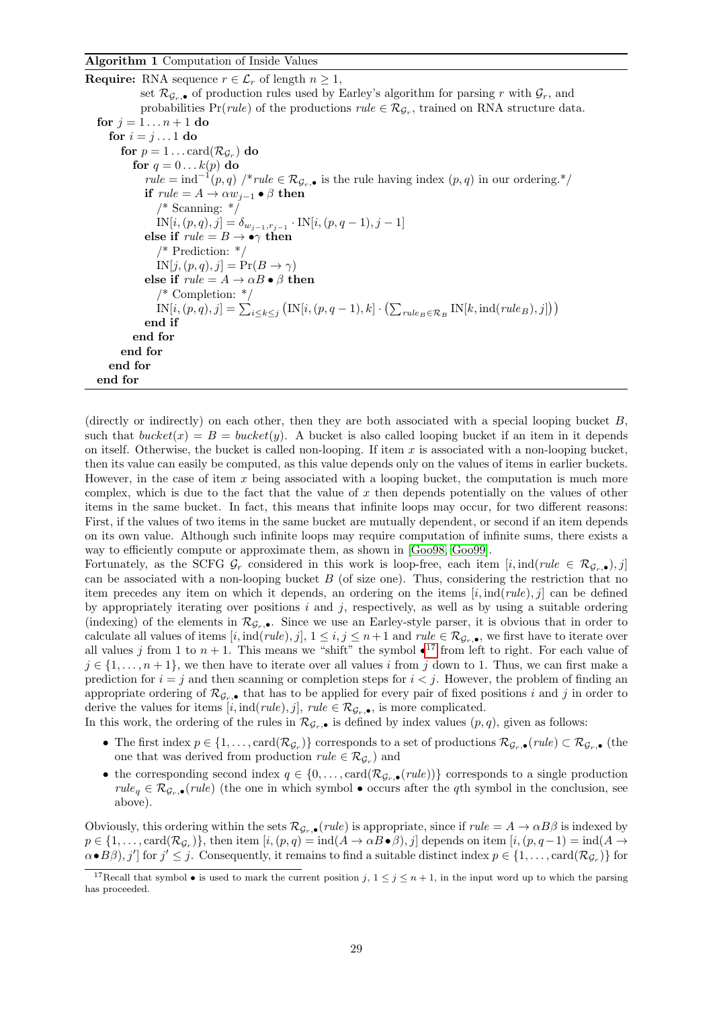```
Require: RNA sequence r \in \mathcal{L}_r of length n \geq 1,
             set \mathcal{R}_{\mathcal{G}_r,\bullet} of production rules used by Earley's algorithm for parsing r with \mathcal{G}_r, and
             probabilities Pr(\text{rule}) of the productions \text{rule} \in \mathcal{R}_{\mathcal{G}_r}, trained on RNA structure data.
 for j = 1 ... n + 1 do
    for i = j \dots 1 do
        for p=1\dots \text{card}(\mathcal{R}_{\mathcal{G}_r}) do
          for q = 0...k(p) do
              rule = ind^{-1}(p,q) /*rule \in \mathcal{R}_{\mathcal{G}_r,\bullet} is the rule having index (p,q) in our ordering.*/
             if rule = A \rightarrow \alpha w_{i-1} \bullet \beta then
                 /* Scanning: */IN[i,(p,q),j] = \delta_{w_{j-1},r_{j-1}} \cdot IN[i,(p,q-1),j-1]else if rule = B \rightarrow \bullet \gamma then
                 /* Prediction: */
                 IN[j,(p,q), j] = Pr(B \rightarrow \gamma)else if rule = A \rightarrow \alpha B \bullet \beta then
                 /* Completion: */
                 IN[i,(p,q),j] = \sum_{i \leq k \leq j} (IN[i,(p,q-1),k] \cdot (\sum_{rule_B \in \mathcal{R}_B} IN[k,ind(rule_B),j]) )end if
          end for
       end for
    end for
 end for
```
(directly or indirectly) on each other, then they are both associated with a special looping bucket  $B$ , such that  $bucket(x) = B = bucket(y)$ . A bucket is also called looping bucket if an item in it depends on itself. Otherwise, the bucket is called non-looping. If item  $x$  is associated with a non-looping bucket, then its value can easily be computed, as this value depends only on the values of items in earlier buckets. However, in the case of item  $x$  being associated with a looping bucket, the computation is much more complex, which is due to the fact that the value of  $x$  then depends potentially on the values of other items in the same bucket. In fact, this means that infinite loops may occur, for two different reasons: First, if the values of two items in the same bucket are mutually dependent, or second if an item depends on its own value. Although such infinite loops may require computation of infinite sums, there exists a way to efficiently compute or approximate them, as shown in [\[Goo98,](#page-24-19) [Goo99\]](#page-24-20).

Fortunately, as the SCFG  $\mathcal{G}_r$  considered in this work is loop-free, each item  $[i, \text{ind}(rule \in \mathcal{R}_{\mathcal{G}_r,\bullet}), j]$ can be associated with a non-looping bucket  $B$  (of size one). Thus, considering the restriction that no item precedes any item on which it depends, an ordering on the items  $[i, ind(rule), j]$  can be defined by appropriately iterating over positions  $i$  and  $j$ , respectively, as well as by using a suitable ordering (indexing) of the elements in  $\mathcal{R}_{\mathcal{G}_r,\bullet}$ . Since we use an Earley-style parser, it is obvious that in order to calculate all values of items  $[i, \text{ind}(rule), j]$ ,  $1 \leq i, j \leq n+1$  and  $rule \in \mathcal{R}_{\mathcal{G}_r,\bullet}$ , we first have to iterate over all values j from 1 to  $n + 1$ . This means we "shift" the symbol  $\bullet^{17}$  $\bullet^{17}$  $\bullet^{17}$  from left to right. For each value of  $j \in \{1, \ldots, n+1\}$ , we then have to iterate over all values i from j down to 1. Thus, we can first make a prediction for  $i = j$  and then scanning or completion steps for  $i < j$ . However, the problem of finding an appropriate ordering of  $\mathcal{R}_{\mathcal{G}_r,\bullet}$  that has to be applied for every pair of fixed positions i and j in order to derive the values for items [i, ind(rule), j], rule  $\in \mathcal{R}_{\mathcal{G}_r,\bullet}$ , is more complicated.

In this work, the ordering of the rules in  $\mathcal{R}_{\mathcal{G}_r,\bullet}$  is defined by index values  $(p,q)$ , given as follows:

- The first index  $p \in \{1, \ldots, \text{card}(\mathcal{R}_{\mathcal{G}_r})\}$  corresponds to a set of productions  $\mathcal{R}_{\mathcal{G}_r,\bullet}(rule) \subset \mathcal{R}_{\mathcal{G}_r,\bullet}$  (the one that was derived from production  $rule \in \mathcal{R}_{\mathcal{G}_r}$  and
- the corresponding second index  $q \in \{0, \ldots, \text{card}(\mathcal{R}_{\mathcal{G}_r,\bullet}(rule))\}$  corresponds to a single production  $rule_{q} \in \mathcal{R}_{\mathcal{G}_{r},\bullet}(rule)$  (the one in which symbol  $\bullet$  occurs after the qth symbol in the conclusion, see above).

Obviously, this ordering within the sets  $\mathcal{R}_{\mathcal{G}_r,\bullet}(rule)$  is appropriate, since if  $rule = A \rightarrow \alpha B\beta$  is indexed by  $p \in \{1, \ldots, \text{card}(\mathcal{R}_{\mathcal{G}_r})\}\$ , then item  $[i,(p,q) = \text{ind}(A \to \alpha B \bullet \beta), j]$  depends on item  $[i,(p,q-1) = \text{ind}(A \to \alpha B \bullet \beta)]$  $\alpha \bullet B\beta$ , j'] for  $j' \leq j$ . Consequently, it remains to find a suitable distinct index  $p \in \{1, \ldots, \text{card}(\mathcal{R}_{\mathcal{G}_r})\}$  for

<span id="page-28-0"></span><sup>&</sup>lt;sup>17</sup>Recall that symbol • is used to mark the current position j,  $1 \le j \le n + 1$ , in the input word up to which the parsing has proceeded.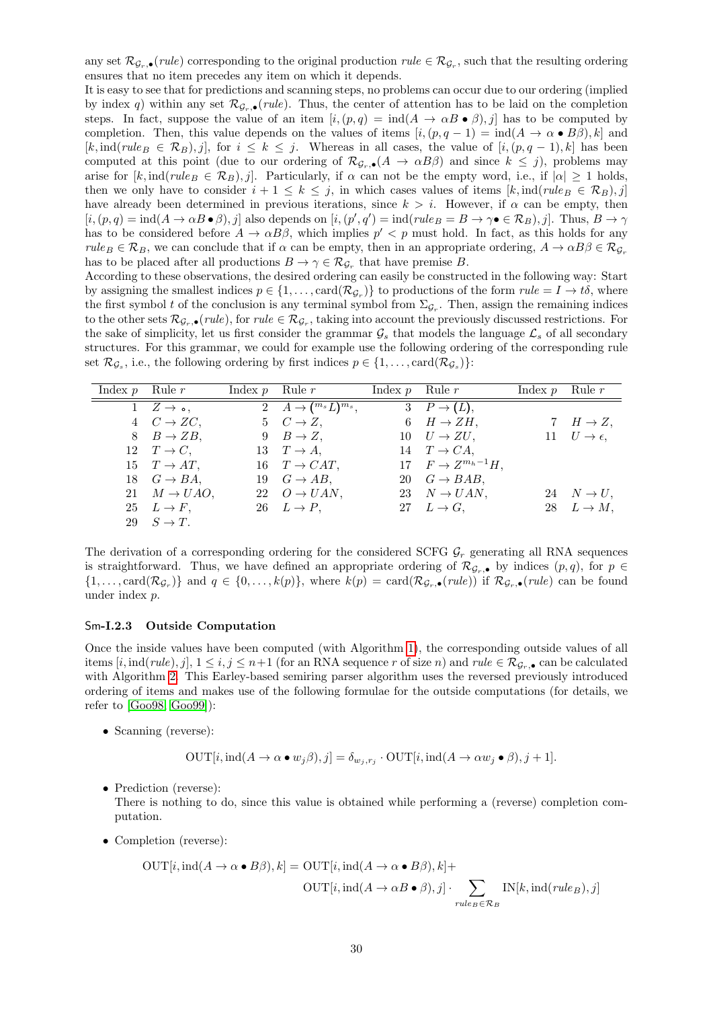any set  $\mathcal{R}_{\mathcal{G}_r,\bullet}(rule)$  corresponding to the original production  $rule \in \mathcal{R}_{\mathcal{G}_r}$ , such that the resulting ordering ensures that no item precedes any item on which it depends.

It is easy to see that for predictions and scanning steps, no problems can occur due to our ordering (implied by index q) within any set  $\mathcal{R}_{G_r,\bullet}(rule)$ . Thus, the center of attention has to be laid on the completion steps. In fact, suppose the value of an item  $[i,(p,q) = ind(A \rightarrow \alpha B \bullet \beta),j]$  has to be computed by completion. Then, this value depends on the values of items  $[i,(p,q-1) = ind(A \rightarrow \alpha \bullet B\beta),k]$  and  $[k, \text{ind}(rule_B \in \mathcal{R}_B), j],$  for  $i \leq k \leq j$ . Whereas in all cases, the value of  $[i, (p, q-1), k]$  has been computed at this point (due to our ordering of  $\mathcal{R}_{\mathcal{G}_r,\bullet}(A \to \alpha B\beta)$  and since  $k \leq j$ ), problems may arise for  $[k, \text{ind}(rule_B \in \mathcal{R}_B), j]$ . Particularly, if  $\alpha$  can not be the empty word, i.e., if  $|\alpha| \ge 1$  holds, then we only have to consider  $i + 1 \leq k \leq j$ , in which cases values of items  $[k, \text{ind}(rule_B \in \mathcal{R}_B), j]$ have already been determined in previous iterations, since  $k > i$ . However, if  $\alpha$  can be empty, then  $[i, (p, q) = \text{ind}(A \to \alpha B \bullet \beta), j]$  also depends on  $[i, (p', q') = \text{ind}(rule_B = B \to \gamma \bullet \in \mathcal{R}_B), j]$ . Thus,  $B \to \gamma$ has to be considered before  $A \to \alpha B\beta$ , which implies  $p' < p$  must hold. In fact, as this holds for any  $rule_B \in \mathcal{R}_B$ , we can conclude that if  $\alpha$  can be empty, then in an appropriate ordering,  $A \to \alpha B\beta \in \mathcal{R}_{\mathcal{G}_r}$ has to be placed after all productions  $B \to \gamma \in \mathcal{R}_{\mathcal{G}_r}$  that have premise B.

According to these observations, the desired ordering can easily be constructed in the following way: Start by assigning the smallest indices  $p \in \{1, \ldots, \text{card}(\mathcal{R}_{\mathcal{G}_r})\}$  to productions of the form  $rule = I \rightarrow t\delta$ , where the first symbol t of the conclusion is any terminal symbol from  $\Sigma_{\mathcal{G}_r}$ . Then, assign the remaining indices to the other sets  $\mathcal{R}_{\mathcal{G}_r,\bullet}(rule)$ , for  $rule \in \mathcal{R}_{\mathcal{G}_r}$ , taking into account the previously discussed restrictions. For the sake of simplicity, let us first consider the grammar  $\mathcal{G}_s$  that models the language  $\mathcal{L}_s$  of all secondary structures. For this grammar, we could for example use the following ordering of the corresponding rule set  $\mathcal{R}_{\mathcal{G}_s}$ , i.e., the following ordering by first indices  $p \in \{1, \ldots, \text{card}(\mathcal{R}_{\mathcal{G}_s})\}$ :

| Index $p$ Rule $r$ |                                          | Index $p$ Rule $r$ |                                                 | Index $p$ Rule $r$ |                              | Index $p$ Rule $r$ |                               |
|--------------------|------------------------------------------|--------------------|-------------------------------------------------|--------------------|------------------------------|--------------------|-------------------------------|
|                    | $\overline{1}$ $Z \rightarrow \bullet$ , |                    | 2 $\overline{A \rightarrow ({}^{m_s}L)^{m_s}},$ |                    | $3 \quad P \rightarrow (L),$ |                    |                               |
|                    | 4 $C \rightarrow ZC$ ,                   |                    | $5\quad C\rightarrow Z,$                        |                    | 6 $H \rightarrow ZH$ ,       |                    | $7 \quad H \to Z,$            |
|                    | $8 \quad B \to ZB$ ,                     |                    | $9 \quad B \to Z,$                              |                    | $10 \quad U \rightarrow ZU,$ |                    | 11 $U \rightarrow \epsilon$ , |
|                    | 12 $T \rightarrow C$ ,                   |                    | 13 $T \rightarrow A$ ,                          |                    | 14 $T \rightarrow CA$ ,      |                    |                               |
|                    | 15 $T \rightarrow AT$ ,                  |                    | 16 $T \rightarrow CAT$ ,                        |                    | 17 $F \to Z^{m_h-1}H$ ,      |                    |                               |
|                    | 18 $G \rightarrow BA$ ,                  |                    | 19 $G \rightarrow AB$ ,                         |                    | 20 $G \rightarrow BAB$ ,     |                    |                               |
|                    | 21 $M \rightarrow UAO$ ,                 |                    | 22 $O \rightarrow UAN$ ,                        |                    | 23 $N \rightarrow UAN$ ,     |                    | 24 $N \rightarrow U$ ,        |
|                    | 25 $L \rightarrow F$ ,                   |                    | 26 $L \rightarrow P$ ,                          |                    | 27 $L \rightarrow G$ ,       |                    | 28 $L \rightarrow M$ ,        |
|                    | 29 $S \rightarrow T$ .                   |                    |                                                 |                    |                              |                    |                               |

The derivation of a corresponding ordering for the considered SCFG  $\mathcal{G}_r$  generating all RNA sequences is straightforward. Thus, we have defined an appropriate ordering of  $\mathcal{R}_{\mathcal{G}_r,\bullet}$  by indices  $(p,q)$ , for  $p \in$  $\{1,\ldots,\text{card}(\mathcal{R}_{\mathcal{G}_r})\}\$ and  $q \in \{0,\ldots,k(p)\}\$ , where  $k(p) = \text{card}(\mathcal{R}_{\mathcal{G}_r,\bullet}(rule))$  if  $\mathcal{R}_{\mathcal{G}_r,\bullet}(rule)$  can be found under index p.

#### Sm-I.2.3 Outside Computation

Once the inside values have been computed (with Algorithm [1\)](#page-0-1), the corresponding outside values of all items  $[i, \text{ind}(rule), j]$ ,  $1 \le i, j \le n+1$  (for an RNA sequence r of size n) and rule  $\in \mathcal{R}_{G_n,\bullet}$  can be calculated with Algorithm [2.](#page-0-1) This Earley-based semiring parser algorithm uses the reversed previously introduced ordering of items and makes use of the following formulae for the outside computations (for details, we refer to [\[Goo98,](#page-24-19) [Goo99\]](#page-24-20)):

• Scanning (reverse):

$$
\text{OUT}[i,\text{ind}(A \to \alpha \bullet w_j \beta),j] = \delta_{w_j,r_j} \cdot \text{OUT}[i,\text{ind}(A \to \alpha w_j \bullet \beta),j+1].
$$

• Prediction (reverse):

There is nothing to do, since this value is obtained while performing a (reverse) completion computation.

• Completion (reverse):

$$
OUT[i, ind(A \to \alpha \bullet B\beta), k] = OUT[i, ind(A \to \alpha \bullet B\beta), k] +
$$
  

$$
OUT[i, ind(A \to \alpha B \bullet \beta), j] \cdot \sum_{rule_B \in \mathcal{R}_B} IN[k, ind(rule_B), j]
$$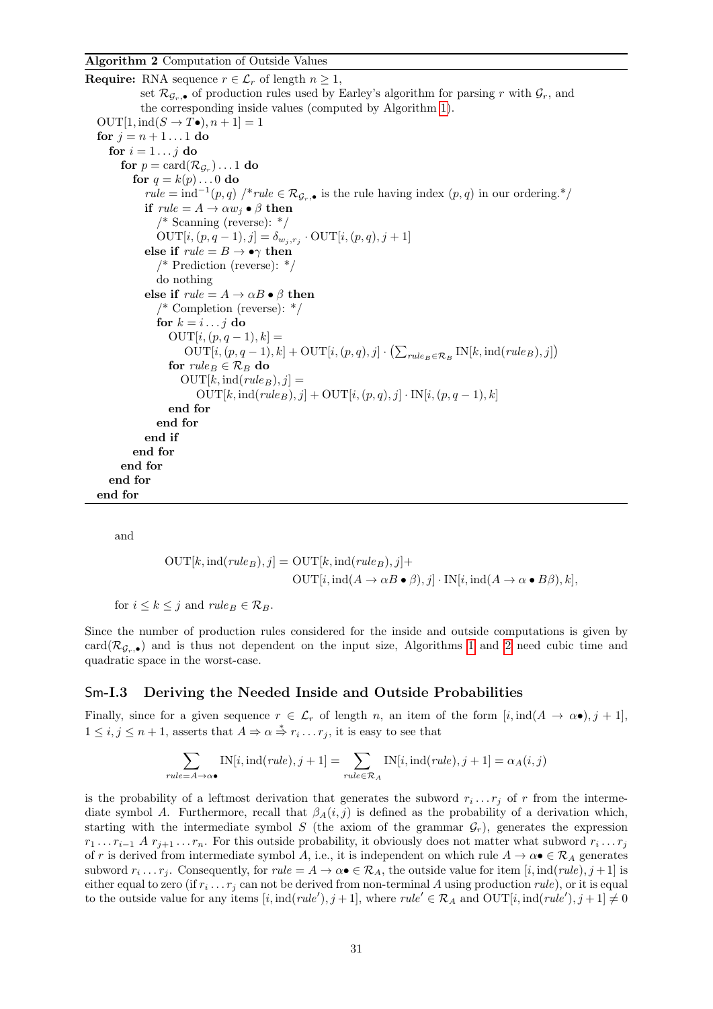```
Require: RNA sequence r \in \mathcal{L}_r of length n \geq 1,
           set \mathcal{R}_{G_n,\bullet} of production rules used by Earley's algorithm for parsing r with \mathcal{G}_r, and
           the corresponding inside values (computed by Algorithm 1).
 OUT[1,ind(S \rightarrow T\bullet), n+1] = 1for j = n + 1...1 do
   for i = 1 \dots j do
       for p=\text{card}(\mathcal{R}_{\mathcal{G}_r})\ldots 1 do
         for q = k(p) \dots 0 do
            rule = ind^{-1}(p,q) /*rule \in \mathcal{R}_{\mathcal{G}_r,\bullet} is the rule having index (p,q) in our ordering.*/
            if rule = A \rightarrow \alpha w_i \bullet \beta then
               /* Scanning (reverse): */
               \text{OUT}[i,(p,q-1),j] = \delta_{w_j,r_j} \cdot \text{OUT}[i,(p,q),j+1]else if rule = B \rightarrow \bullet \gamma then
               /* Prediction (reverse): */
               do nothing
            else if rule = A \rightarrow \alpha B \bullet \beta then
               /* Completion (reverse): */
               for k = i \dots j do
                  OUT[i,(p,q-1),k] =OUT[i,(p,q-1),k] + OUT[i,(p,q),j] \cdot (\sum_{rule_B \in \mathcal{R}_B} IN[k,ind(rule_B),j])for rule_B \in \mathcal{R}_B do
                     OUT[k, ind(rule_B), i] =OUT[k,ind(rule_B), j] + OUT[i,(p,q), j] \cdot IN[i,(p,q-1), k]end for
               end for
            end if
         end for
      end for
   end for
end for
```
and

$$
OUT[k, ind(rule_B), j] = OUT[k, ind(rule_B), j] +
$$
  

$$
OUT[i, ind(A \rightarrow \alpha B \bullet \beta), j] \cdot IN[i, ind(A \rightarrow \alpha \bullet B\beta), k],
$$

for  $i \leq k \leq j$  and  $rule_B \in \mathcal{R}_B$ .

Since the number of production rules considered for the inside and outside computations is given by card( $\mathcal{R}_{\mathcal{G}_r,\bullet}$ ) and is thus not dependent on the input size, Algorithms [1](#page-0-1) and [2](#page-0-1) need cubic time and quadratic space in the worst-case.

### Sm-I.3 Deriving the Needed Inside and Outside Probabilities

Finally, since for a given sequence  $r \in \mathcal{L}_r$  of length n, an item of the form  $[i, \text{ind}(A \to \alpha \bullet), j + 1]$ ,  $1 \leq i, j \leq n+1$ , asserts that  $A \Rightarrow \alpha \stackrel{*}{\Rightarrow} r_i \dots r_j$ , it is easy to see that

$$
\sum_{rule=A\rightarrow\alpha\bullet} \text{IN}[i,\text{ind}(rule),j+1] = \sum_{rule\in\mathcal{R}_A} \text{IN}[i,\text{ind}(rule),j+1] = \alpha_A(i,j)
$$

is the probability of a leftmost derivation that generates the subword  $r_i \dots r_j$  of r from the intermediate symbol A. Furthermore, recall that  $\beta_A(i,j)$  is defined as the probability of a derivation which, starting with the intermediate symbol  $S$  (the axiom of the grammar  $\mathcal{G}_r$ ), generates the expression  $r_1 \ldots r_{i-1}$  A  $r_{j+1} \ldots r_n$ . For this outside probability, it obviously does not matter what subword  $r_i \ldots r_j$ of r is derived from intermediate symbol A, i.e., it is independent on which rule  $A \to \alpha \bullet \in \mathcal{R}_A$  generates subword  $r_i \dots r_j$ . Consequently, for  $rule = A \rightarrow \alpha \bullet \in \mathcal{R}_A$ , the outside value for item  $[i, \text{ind}(rule), j+1]$  is either equal to zero (if  $r_i \ldots r_j$  can not be derived from non-terminal A using production  $rule$ ), or it is equal to the outside value for any items  $[i, ind(rule'), j + 1]$ , where  $rule' \in \mathcal{R}_A$  and  $OUT[i, ind(rule'), j + 1] \neq 0$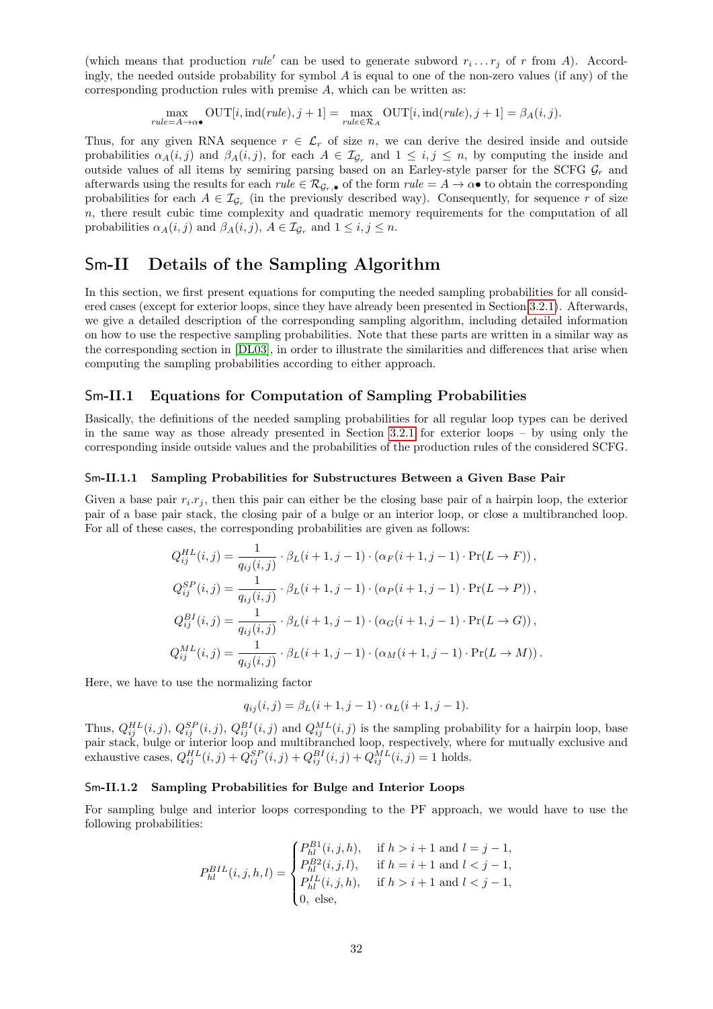(which means that production *rule'* can be used to generate subword  $r_i \dots r_j$  of r from A). Accordingly, the needed outside probability for symbol  $A$  is equal to one of the non-zero values (if any) of the corresponding production rules with premise  $A$ , which can be written as:

$$
\max_{rule=A\rightarrow\alpha\bullet} \text{OUT}[i,\text{ind}(rule),j+1] = \max_{rule\in\mathcal{R}_A} \text{OUT}[i,\text{ind}(rule),j+1] = \beta_A(i,j).
$$

Thus, for any given RNA sequence  $r \in \mathcal{L}_r$  of size n, we can derive the desired inside and outside probabilities  $\alpha_A(i,j)$  and  $\beta_A(i,j)$ , for each  $A \in \mathcal{I}_{\mathcal{G}_r}$  and  $1 \leq i,j \leq n$ , by computing the inside and outside values of all items by semiring parsing based on an Earley-style parser for the SCFG  $\mathcal{G}_r$  and afterwards using the results for each  $rule \in \mathcal{R}_{\mathcal{G}_r,\bullet}$  of the form  $rule = A \rightarrow \alpha \bullet$  to obtain the corresponding probabilities for each  $A \in \mathcal{I}_{\mathcal{G}_r}$  (in the previously described way). Consequently, for sequence r of size n, there result cubic time complexity and quadratic memory requirements for the computation of all probabilities  $\alpha_A(i,j)$  and  $\beta_A(i,j)$ ,  $A \in \mathcal{I}_{\mathcal{G}_r}$  and  $1 \leq i, j \leq n$ .

### Sm-II Details of the Sampling Algorithm

In this section, we first present equations for computing the needed sampling probabilities for all considered cases (except for exterior loops, since they have already been presented in Section [3.2.1\)](#page-7-0). Afterwards, we give a detailed description of the corresponding sampling algorithm, including detailed information on how to use the respective sampling probabilities. Note that these parts are written in a similar way as the corresponding section in [\[DL03\]](#page-23-1), in order to illustrate the similarities and differences that arise when computing the sampling probabilities according to either approach.

### <span id="page-31-1"></span>Sm-II.1 Equations for Computation of Sampling Probabilities

Basically, the definitions of the needed sampling probabilities for all regular loop types can be derived in the same way as those already presented in Section [3.2.1](#page-7-0) for exterior loops – by using only the corresponding inside outside values and the probabilities of the production rules of the considered SCFG.

### Sm-II.1.1 Sampling Probabilities for Substructures Between a Given Base Pair

Given a base pair  $r_i \cdot r_j$ , then this pair can either be the closing base pair of a hairpin loop, the exterior pair of a base pair stack, the closing pair of a bulge or an interior loop, or close a multibranched loop. For all of these cases, the corresponding probabilities are given as follows:

$$
Q_{ij}^{HL}(i,j) = \frac{1}{q_{ij}(i,j)} \cdot \beta_L(i+1,j-1) \cdot (\alpha_F(i+1,j-1) \cdot \Pr(L \to F)),
$$
  
\n
$$
Q_{ij}^{SP}(i,j) = \frac{1}{q_{ij}(i,j)} \cdot \beta_L(i+1,j-1) \cdot (\alpha_P(i+1,j-1) \cdot \Pr(L \to P)),
$$
  
\n
$$
Q_{ij}^{BI}(i,j) = \frac{1}{q_{ij}(i,j)} \cdot \beta_L(i+1,j-1) \cdot (\alpha_G(i+1,j-1) \cdot \Pr(L \to G)),
$$
  
\n
$$
Q_{ij}^{ML}(i,j) = \frac{1}{q_{ij}(i,j)} \cdot \beta_L(i+1,j-1) \cdot (\alpha_M(i+1,j-1) \cdot \Pr(L \to M)).
$$

Here, we have to use the normalizing factor

$$
q_{ij}(i,j) = \beta_L(i+1,j-1) \cdot \alpha_L(i+1,j-1).
$$

Thus,  $Q_{ij}^{HL}(i,j)$ ,  $Q_{ij}^{SP}(i,j)$ ,  $Q_{ij}^{BI}(i,j)$  and  $Q_{ij}^{ML}(i,j)$  is the sampling probability for a hairpin loop, base pair stack, bulge or interior loop and multibranched loop, respectively, where for mutually exclusive and exhaustive cases,  $Q_{ij}^{HL}(i, j) + Q_{ij}^{SP}(i, j) + Q_{ij}^{BI}(i, j) + Q_{ij}^{ML}(i, j) = 1$  holds.

#### <span id="page-31-0"></span>Sm-II.1.2 Sampling Probabilities for Bulge and Interior Loops

For sampling bulge and interior loops corresponding to the PF approach, we would have to use the following probabilities:

$$
P_{hl}^{BIL}(i, j, h, l) = \begin{cases} P_{hl}^{B1}(i, j, h), & \text{if } h > i + 1 \text{ and } l = j - 1, \\ P_{hl}^{B2}(i, j, l), & \text{if } h = i + 1 \text{ and } l < j - 1, \\ P_{hl}^{IL}(i, j, h), & \text{if } h > i + 1 \text{ and } l < j - 1, \\ 0, \text{ else,} \end{cases}
$$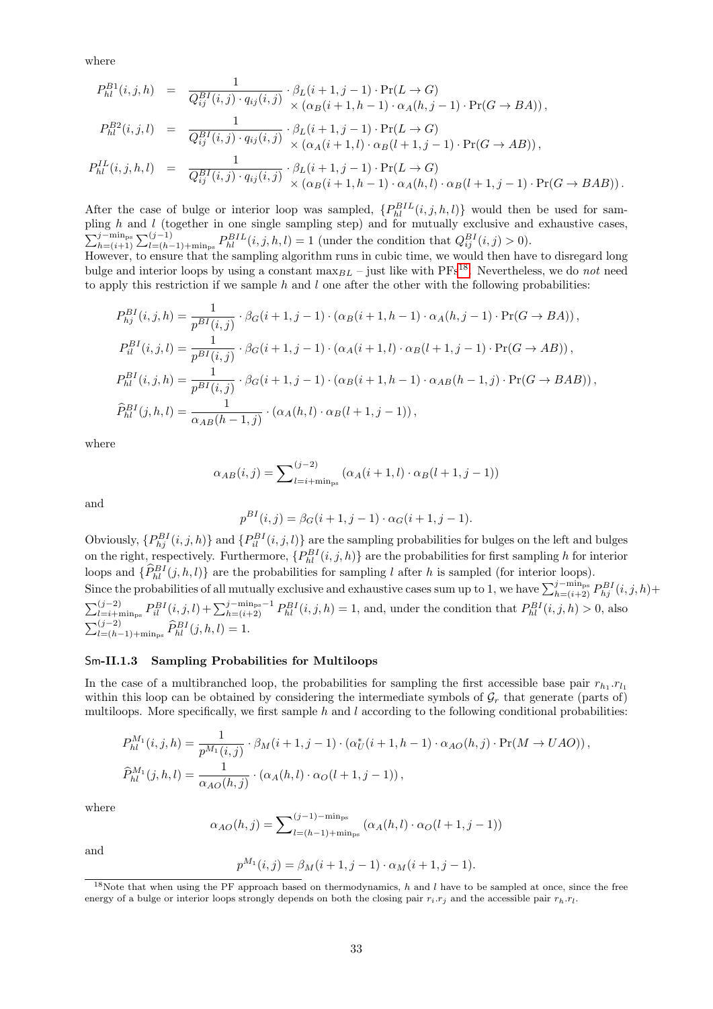where

$$
P_{hl}^{B1}(i,j,h) = \frac{1}{Q_{ij}^{BI}(i,j) \cdot q_{ij}(i,j)} \cdot \beta_L(i+1,j-1) \cdot \Pr(L \to G)
$$
  
\n
$$
P_{hl}^{B2}(i,j,l) = \frac{1}{Q_{ij}^{BI}(i,j) \cdot q_{ij}(i,j)} \cdot \beta_L(i+1,j-1) \cdot \Pr(L \to G)
$$
  
\n
$$
P_{hl}^{B2}(i,j,l) = \frac{1}{Q_{ij}^{BI}(i,j) \cdot q_{ij}(i,j)} \cdot \beta_L(i+1,j-1) \cdot \Pr(L \to G)
$$
  
\n
$$
P_{hl}^{IL}(i,j,h,l) = \frac{1}{Q_{ij}^{BI}(i,j) \cdot q_{ij}(i,j)} \cdot \beta_L(i+1,j-1) \cdot \Pr(L \to G)
$$
  
\n
$$
\times (\alpha_B(i+1,h-1) \cdot \alpha_A(h,l) \cdot \alpha_B(l+1,j-1) \cdot \Pr(G \to BAB)).
$$

After the case of bulge or interior loop was sampled,  $\{P_{hl}^{BIL}(i,j,h,l)\}\$  would then be used for sampling h and l (together in one single sampling step) and for mutually exclusive and exhaustive cases,  $\sum_{h=(i+1)}^{j-\min_{\text{ps}}}\sum_{l=(h-1)+\min_{\text{ps}}}^{(j-1)}P_{hl}^{BIL}(i,j,h,l)=1$  (under the condition that  $Q_{ij}^{BI}(i,j)>0$ ).

However, to ensure that the sampling algorithm runs in cubic time, we would then have to disregard long bulge and interior loops by using a constant max $_{BL}$  – just like with PFs<sup>[18](#page-32-0)</sup>. Nevertheless, we do not need to apply this restriction if we sample h and l one after the other with the following probabilities:

$$
P_{hj}^{BI}(i,j,h) = \frac{1}{p^{BI}(i,j)} \cdot \beta_G(i+1,j-1) \cdot (\alpha_B(i+1,h-1) \cdot \alpha_A(h,j-1) \cdot \Pr(G \to BA)),
$$
  
\n
$$
P_{il}^{BI}(i,j,l) = \frac{1}{p^{BI}(i,j)} \cdot \beta_G(i+1,j-1) \cdot (\alpha_A(i+1,l) \cdot \alpha_B(l+1,j-1) \cdot \Pr(G \to AB)),
$$
  
\n
$$
P_{hl}^{BI}(i,j,h) = \frac{1}{p^{BI}(i,j)} \cdot \beta_G(i+1,j-1) \cdot (\alpha_B(i+1,h-1) \cdot \alpha_{AB}(h-1,j) \cdot \Pr(G \to BAB)),
$$
  
\n
$$
\hat{P}_{hl}^{BI}(j,h,l) = \frac{1}{\alpha_{AB}(h-1,j)} \cdot (\alpha_A(h,l) \cdot \alpha_B(l+1,j-1)),
$$

where

$$
\alpha_{AB}(i,j) = \sum_{l=i+\text{min}_{ps}}^{(j-2)} (\alpha_A(i+1,l) \cdot \alpha_B(l+1,j-1))
$$

and

$$
p^{BI}(i,j) = \beta_G(i+1,j-1) \cdot \alpha_G(i+1,j-1).
$$

Obviously,  $\{P_{hj}^{BI}(i,j,h)\}\$  and  $\{P_{il}^{BI}(i,j,l)\}\$  are the sampling probabilities for bulges on the left and bulges on the right, respectively. Furthermore,  $\{P_{hl}^{BI}(i,j,h)\}$  are the probabilities for first sampling h for interior loops and  $\{\widehat{P}_{hl}^{BI}(j,h,l)\}\$  are the probabilities for sampling l after h is sampled (for interior loops). Since the probabilities of all mutually exclusive and exhaustive cases sum up to 1, we have  $\sum_{h=(i+2)}^{j-\min_{ps}} P_{hj}^{BI}(i, j, h)$ +  $\sum_{l=i+\text{min}_{ps}}^{(j-2)} P_{il}^{BI}(i, j, l) + \sum_{h=(i+2)}^{j-\text{min}_{ps}-1} P_{hl}^{BI}(i, j, h) = 1$ , and, under the condition that  $P_{hl}^{BI}(i, j, h) > 0$ , also  $\sum_{l=(h-1)+\min_{\text{ps}}}^{(j-2)} \hat{P}_{hl}^{BI}(j, h, l) = 1.$ 

### Sm-II.1.3 Sampling Probabilities for Multiloops

In the case of a multibranched loop, the probabilities for sampling the first accessible base pair  $r_{h_1}.r_{l_1}$ within this loop can be obtained by considering the intermediate symbols of  $\mathcal{G}_r$  that generate (parts of) multiloops. More specifically, we first sample  $h$  and  $l$  according to the following conditional probabilities:

$$
P_{hl}^{M_1}(i, j, h) = \frac{1}{p^{M_1}(i, j)} \cdot \beta_M(i + 1, j - 1) \cdot (\alpha_U^*(i + 1, h - 1) \cdot \alpha_{AO}(h, j) \cdot \Pr(M \to UAO)),
$$
  

$$
\hat{P}_{hl}^{M_1}(j, h, l) = \frac{1}{\alpha_{AO}(h, j)} \cdot (\alpha_A(h, l) \cdot \alpha_O(l + 1, j - 1)),
$$

where

$$
\alpha_{AO}(h,j) = \sum_{l=(h-1)+\min_{\text{ps}}}^{(j-1)-\min_{\text{ps}}} (\alpha_A(h,l) \cdot \alpha_O(l+1,j-1))
$$

and

$$
p^{M_1}(i,j) = \beta_M(i+1,j-1) \cdot \alpha_M(i+1,j-1).
$$

<span id="page-32-0"></span><sup>&</sup>lt;sup>18</sup>Note that when using the PF approach based on thermodynamics, h and l have to be sampled at once, since the free energy of a bulge or interior loops strongly depends on both the closing pair  $r_i$ .  $r_j$  and the accessible pair  $r_h$ .  $r_l$ .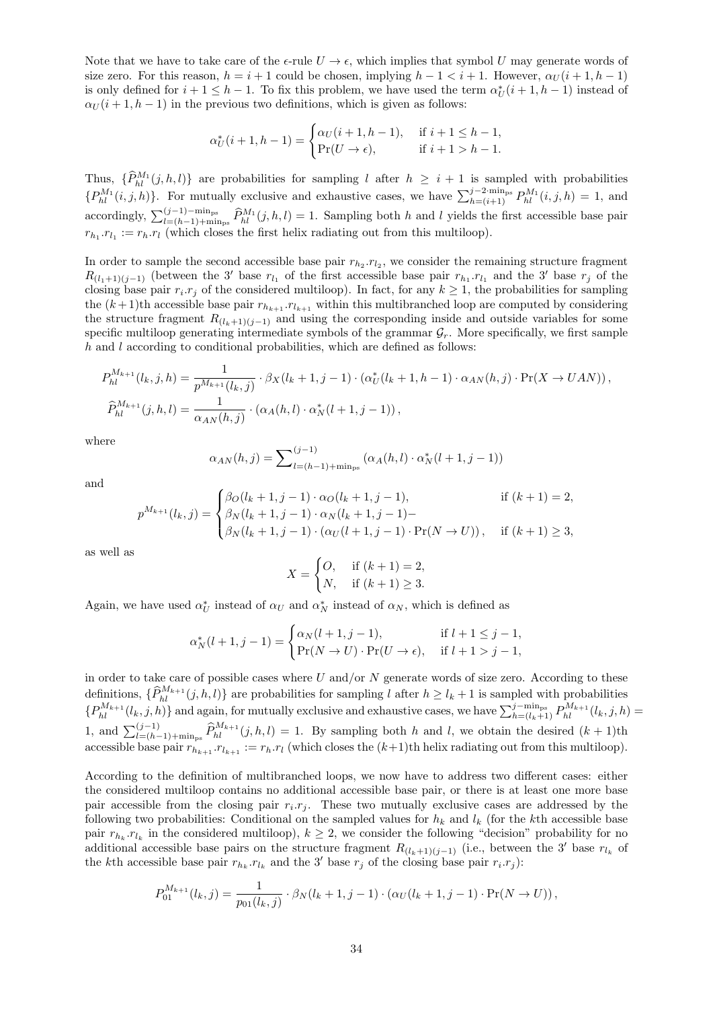Note that we have to take care of the  $\epsilon$ -rule  $U \to \epsilon$ , which implies that symbol U may generate words of size zero. For this reason,  $h = i + 1$  could be chosen, implying  $h - 1 < i + 1$ . However,  $\alpha_{U}(i + 1, h - 1)$ is only defined for  $i + 1 \leq h - 1$ . To fix this problem, we have used the term  $\alpha_U^*(i + 1, h - 1)$  instead of  $\alpha_U(i+1,h-1)$  in the previous two definitions, which is given as follows:

$$
\alpha_U^*(i+1, h-1) = \begin{cases} \alpha_U(i+1, h-1), & \text{if } i+1 \le h-1, \\ \Pr(U \to \epsilon), & \text{if } i+1 > h-1. \end{cases}
$$

Thus,  $\{\widehat{P}_{hl}^{M_1}(j, h, l)\}\$  are probabilities for sampling l after  $h \geq i+1$  is sampled with probabilities  ${P_{hl}^{M_1}(i,j,h)}$ . For mutually exclusive and exhaustive cases, we have  $\sum_{h=(i+1)}^{j-2\cdot\min_{ps}P_{hl}^{M_1}(i,j,h)=1$ , and accordingly,  $\sum_{l=(h-1)+\text{min}_{ps}}^{(j-1)-\text{min}_{ps}} \hat{P}_{hl}^{M_1}(j, h, l) = 1$ . Sampling both h and l yields the first accessible base pair  $r_{h_1}.r_{l_1} := r_h.r_l$  (which closes the first helix radiating out from this multiloop).

In order to sample the second accessible base pair  $r_{h_2}.r_{l_2}$ , we consider the remaining structure fragment  $R_{(l_1+1)(j-1)}$  (between the 3' base  $r_{l_1}$  of the first accessible base pair  $r_{h_1}.r_{l_1}$  and the 3' base  $r_j$  of the closing base pair  $r_i \cdot r_j$  of the considered multiloop). In fact, for any  $k \geq 1$ , the probabilities for sampling the  $(k+1)$ th accessible base pair  $r_{h_{k+1}}.r_{l_{k+1}}$  within this multibranched loop are computed by considering the structure fragment  $R_{(l_k+1)(j-1)}$  and using the corresponding inside and outside variables for some specific multiloop generating intermediate symbols of the grammar  $G_r$ . More specifically, we first sample  $h$  and  $l$  according to conditional probabilities, which are defined as follows:

$$
P_{hl}^{M_{k+1}}(l_k, j, h) = \frac{1}{p^{M_{k+1}}(l_k, j)} \cdot \beta_X(l_k + 1, j - 1) \cdot (\alpha_U^*(l_k + 1, h - 1) \cdot \alpha_{AN}(h, j) \cdot \Pr(X \to UAN)),
$$
  

$$
\widehat{P}_{hl}^{M_{k+1}}(j, h, l) = \frac{1}{\alpha_{AN}(h, j)} \cdot (\alpha_A(h, l) \cdot \alpha_N^*(l + 1, j - 1)),
$$

where

$$
\alpha_{AN}(h,j) = \sum_{l=(h-1)+\text{min}_{ps}}^{(j-1)} (\alpha_A(h,l) \cdot \alpha_N^*(l+1,j-1))
$$

and

$$
p^{M_{k+1}}(l_k, j) = \begin{cases} \beta_O(l_k + 1, j - 1) \cdot \alpha_O(l_k + 1, j - 1), & \text{if } (k+1) = 2, \\ \beta_N(l_k + 1, j - 1) \cdot \alpha_N(l_k + 1, j - 1) - \\ \beta_N(l_k + 1, j - 1) \cdot (\alpha_U(l + 1, j - 1) \cdot \Pr(N \to U)), & \text{if } (k+1) \ge 3, \end{cases}
$$

as well as

$$
X = \begin{cases} O, & \text{if } (k+1) = 2, \\ N, & \text{if } (k+1) \ge 3. \end{cases}
$$

Again, we have used  $\alpha^*_{U}$  instead of  $\alpha_{U}$  and  $\alpha^*_{N}$  instead of  $\alpha_{N}$ , which is defined as

$$
\alpha_N^*(l+1, j-1) = \begin{cases} \alpha_N(l+1, j-1), & \text{if } l+1 \leq j-1, \\ \Pr(N \to U) \cdot \Pr(U \to \epsilon), & \text{if } l+1 > j-1, \end{cases}
$$

in order to take care of possible cases where  $U$  and/or  $N$  generate words of size zero. According to these definitions,  $\{\widehat{P}_{hl}^{M_{k+1}}(j, h, l)\}\$  are probabilities for sampling l after  $h \geq l_k + 1$  is sampled with probabilities  ${P_{hl}^{M_{k+1}}(l_k, j, h)}$  and again, for mutually exclusive and exhaustive cases, we have  $\sum_{h=(l_k+1)}^{j-\min_{ps}} P_{hl}^{M_{k+1}}(l_k, j, h)$ 1, and  $\sum_{l=(h-1)+\min_{ps}}^{(j-1)} \hat{P}_{hl}^{M_{k+1}}(j,h,l) = 1$ . By sampling both h and l, we obtain the desired  $(k+1)$ th accessible base pair  $r_{h_{k+1}} r_{l_{k+1}} := r_h \cdot r_l$  (which closes the  $(k+1)$ th helix radiating out from this multiloop).

According to the definition of multibranched loops, we now have to address two different cases: either the considered multiloop contains no additional accessible base pair, or there is at least one more base pair accessible from the closing pair  $r_i.r_j$ . These two mutually exclusive cases are addressed by the following two probabilities: Conditional on the sampled values for  $h_k$  and  $l_k$  (for the kth accessible base pair  $r_{h_k}.r_{l_k}$  in the considered multiloop),  $k \geq 2$ , we consider the following "decision" probability for no additional accessible base pairs on the structure fragment  $R_{(l_k+1)(j-1)}$  (i.e., between the 3' base  $r_{l_k}$  of the kth accessible base pair  $r_{h_k}.r_{l_k}$  and the 3' base  $r_j$  of the closing base pair  $r_i.r_j$ ):

$$
P_{01}^{M_{k+1}}(l_k,j) = \frac{1}{p_{01}(l_k,j)} \cdot \beta_N(l_k+1,j-1) \cdot (\alpha_U(l_k+1,j-1) \cdot \Pr(N \to U)),
$$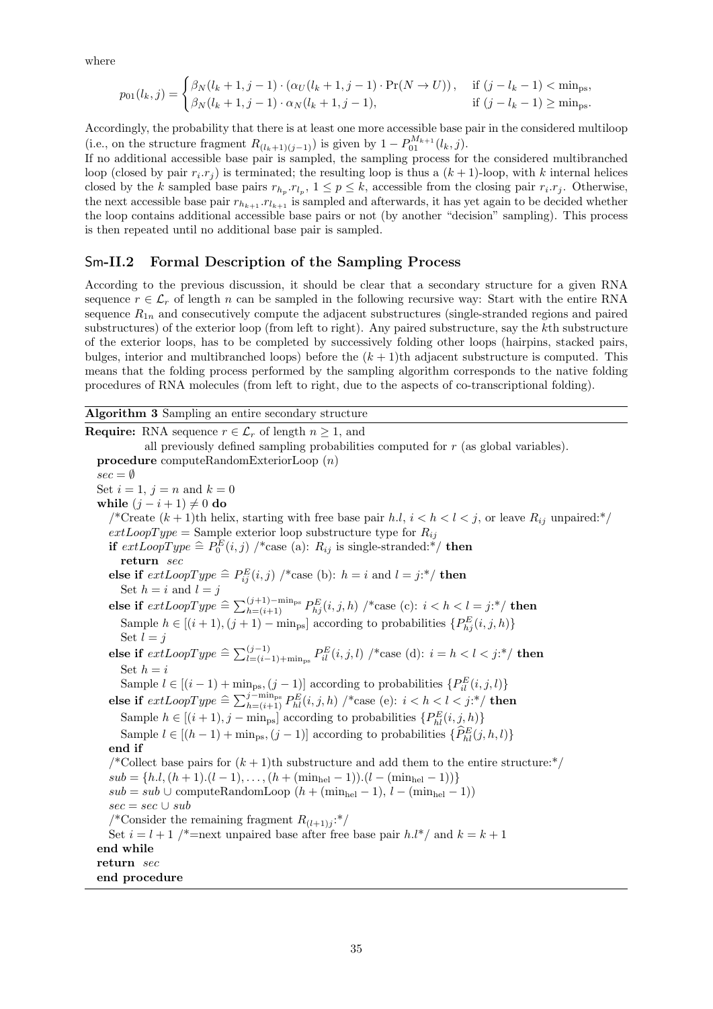where

$$
p_{01}(l_k, j) = \begin{cases} \beta_N(l_k + 1, j - 1) \cdot (\alpha_U(l_k + 1, j - 1) \cdot \Pr(N \to U)), & \text{if } (j - l_k - 1) < \min_{\text{ps}}, \\ \beta_N(l_k + 1, j - 1) \cdot \alpha_N(l_k + 1, j - 1), & \text{if } (j - l_k - 1) \ge \min_{\text{ps}}. \end{cases}
$$

Accordingly, the probability that there is at least one more accessible base pair in the considered multiloop (i.e., on the structure fragment  $R_{(l_k+1)(j-1)}$ ) is given by  $1 - P_{01}^{M_{k+1}}(l_k, j)$ .

If no additional accessible base pair is sampled, the sampling process for the considered multibranched loop (closed by pair  $r_i \cdot r_j$ ) is terminated; the resulting loop is thus a  $(k+1)$ -loop, with k internal helices closed by the k sampled base pairs  $r_{h_p}.r_{l_p}, 1 \leq p \leq k$ , accessible from the closing pair  $r_i.r_j$ . Otherwise, the next accessible base pair  $r_{h_{k+1}} \cdot r_{l_{k+1}}$  is sampled and afterwards, it has yet again to be decided whether the loop contains additional accessible base pairs or not (by another "decision" sampling). This process is then repeated until no additional base pair is sampled.

### <span id="page-34-0"></span>Sm-II.2 Formal Description of the Sampling Process

According to the previous discussion, it should be clear that a secondary structure for a given RNA sequence  $r \in \mathcal{L}_r$  of length n can be sampled in the following recursive way: Start with the entire RNA sequence  $R_{1n}$  and consecutively compute the adjacent substructures (single-stranded regions and paired substructures) of the exterior loop (from left to right). Any paired substructure, say the kth substructure of the exterior loops, has to be completed by successively folding other loops (hairpins, stacked pairs, bulges, interior and multibranched loops) before the  $(k + 1)$ th adjacent substructure is computed. This means that the folding process performed by the sampling algorithm corresponds to the native folding procedures of RNA molecules (from left to right, due to the aspects of co-transcriptional folding).

#### Algorithm 3 Sampling an entire secondary structure

**Require:** RNA sequence  $r \in \mathcal{L}_r$  of length  $n \geq 1$ , and all previously defined sampling probabilities computed for r (as global variables). procedure computeRandomExteriorLoop (n)  $\mathit{sec} = \emptyset$ Set  $i = 1$ ,  $j = n$  and  $k = 0$ while  $(j - i + 1) \neq 0$  do /\*Create  $(k + 1)$ th helix, starting with free base pair h.l,  $i < h < l < j$ , or leave  $R_{ij}$  unpaired:\*/  $extLoop Type =$  Sample exterior loop substructure type for  $R_{ij}$ if  $extLoop Type \cong P_0^E(i, j)$  /\*case (a):  $R_{ij}$  is single-stranded:\*/ then<br>return sec return sec else if  $extLoop Type \cong P_{ij}^{E}(i, j)$  /\*case (b):  $h = i$  and  $l = j:*/$  then Set  $h = i$  and  $l = j$ . Set  $h = i$  and  $l = j$ else if  $extLoop Type \cong \sum_{h=(i+1)}^{(j+1)-\min_{\text{ps}}} P_{hj}^{E}(i, j, h)$  /\*case (c):  $i < h < l = j:*/$  then Sample  $h \in [(i + 1), (j + 1) - \min_{ps}]$  according to probabilities  $\{P_{hj}^{E}(i, j, h)\}$ Set  $l = i$ else if  $extLoop Type \triangleq \sum_{l=(i-1)+\min_{\text{ps}}}^{(j-1)} P_{il}^{E}(i, j, l)$  /\*case (d):  $i = h < l < j:$ \*/ then Set  $h = i$ Sample  $l \in [(i-1) + \min_{\text{ps}}, (j-1)]$  according to probabilities  $\{P_{il}^E(i, j, l)\}$ else if  $extLoop Type \triangleq \sum_{h=(i+1)}^{j-\min_{ps}} P_{hl}^E(i, j, h)$  /\*case (e):  $i < h < l < j:$ \*/ then Sample  $h \in [(i + 1), j - \min_{ps}]$  according to probabilities  $\{P_{hl}^E(i, j, h)\}$ Sample  $l \in [(h-1) + \min_{\text{ps}}, (j-1)]$  according to probabilities  $\{\widehat{P}_{hl}^E(j, h, l)\}$ end if /\*Collect base pairs for  $(k + 1)$ th substructure and add them to the entire structure:\*/  $sub = \{h.l, (h + 1) . (l - 1), \ldots, (h + (min_{hel} - 1)) . (l - (min_{hel} - 1))\}$  $sub = sub \cup computeRandomLoop (h + (min_{hel} - 1), l - (min_{hel} - 1))$  $\mathit{sec} = \mathit{sec} \cup \mathit{sub}$ /\*Consider the remaining fragment  $R_{(l+1)j}$ :\*/ Set  $i = l + 1$  /\*=next unpaired base after free base pair  $h.l^*/$  and  $k = k + 1$ end while return sec end procedure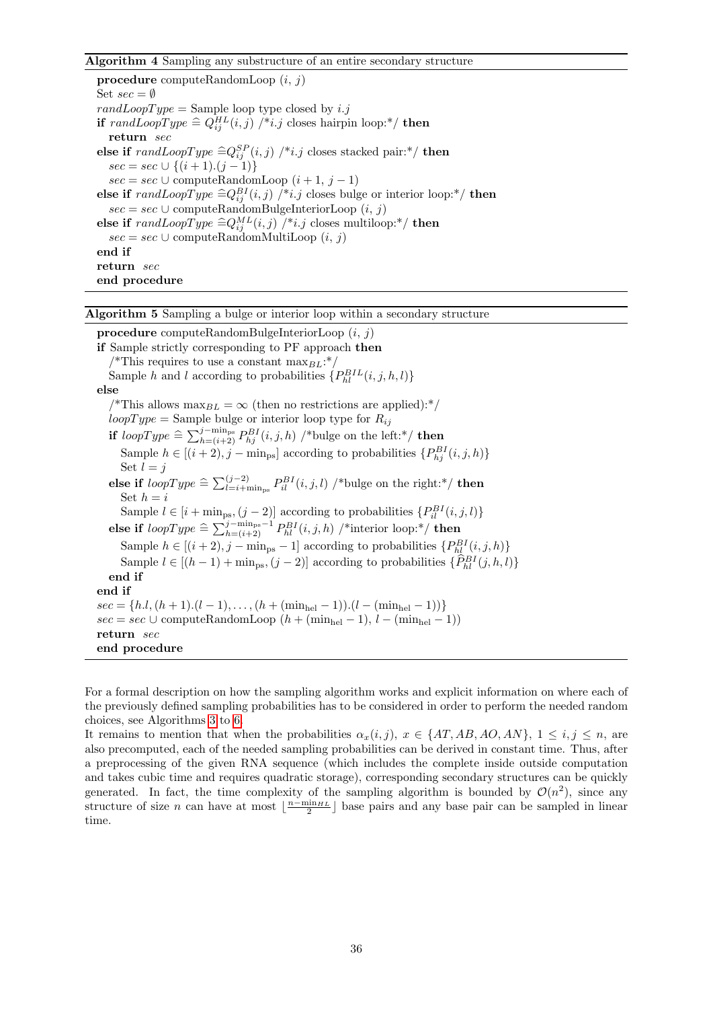### Algorithm 4 Sampling any substructure of an entire secondary structure

**procedure** computeRandomLoop  $(i, j)$ Set  $\sec = \emptyset$  $randLoopType = Sample loop type closed by i.j$ if  $randLoopType \cong Q_{ij}^{HL}(i, j)$  /\*i.j closes hairpin loop:\*/ then<br>return see return sec **else if**  $randLoopType \cong Q_{ij}^{SP}(i, j)$  /\**i.j* closes stacked pair:\*/ **then**<br> $sec = sec + (i + 1) (i + 1) (i - 1)$  $\sec = \sec \cup \{(i+1).(j-1)\}\$  $sec = sec \cup computeRandomLoop (i + 1, j - 1)$ else if  $randLoopType \cong Q_{ij}^{BI}(i, j)$  /\* $i. j$  closes bulge or interior loop:\*/ then  $\mathit{sec} = \mathit{sec} \cup \text{computeRandomBulgel}$ nteriorLoop $(i, j)$ **else if** randLoopType  $\cong Q_{ij}^{ML}(i, j)$  /\*i.j closes multiloop:\*/ **then**<br>sec = sec | compute  $\text{RandomMulti[00D]}$  (i, j)  $\textit{sec} = \textit{sec} \cup \text{computeRandomMultiLoop}(i, j)$ end if return sec end procedure

#### Algorithm 5 Sampling a bulge or interior loop within a secondary structure

procedure computeRandomBulgeInteriorLoop  $(i, j)$ if Sample strictly corresponding to PF approach then /\*This requires to use a constant  $\max_{BL}:*/$ Sample h and l according to probabilities  $\{P_{hl}^{BIL}(i,j,h,l)\}$ else /\*This allows  $\max_{BL} = \infty$  (then no restrictions are applied):\*/  $loopType =$  Sample bulge or interior loop type for  $R_{ij}$ **if**  $loopType \cong \sum_{h=(i+2)}^{j-\min_{ps}} P_{hj}^{BI}(i, j, h)$  /\*bulge on the left:\*/ **then** Sample  $h \in [(i + 2), j - \min_{ps}]$  according to probabilities  $\{P_{hj}^{BI}(i, j, h)\}$ Set  $l = i$ else if  $loopType \cong \sum_{l=i+\text{min}_{ps}}^{(j-2)} P_{il}^{BI}(i, j, l)$  /\*bulge on the right:\*/ then Set  $h = i$ Sample  $l \in [i + \min_{ps}, (j - 2)]$  according to probabilities  $\{P_{il}^{BI}(i, j, l)\}$ else if  $loopType \triangleq \sum_{h=(i+2)}^{j-\text{min}_{ps}-1} P_h^{BI}(i, j, h)$  /\*interior loop:\*/ then Sample  $h \in [(i + 2), j - \min_{ps} - 1]$  according to probabilities  $\{P_{hl}^{BI}(i, j, h)\}$ Sample  $l \in [(h-1) + \min_{\text{ps}} (j-2)]$  according to probabilities  $\{\widehat{P}_{hl}^{BI}(j,h,l)\}$ end if end if  $\text{sec} = \{h.l, (h+1) . (l-1), \ldots, (h + (\text{min}_{\text{hel}} - 1)) . (l - (\text{min}_{\text{hel}} - 1))\}$  $sec = sec \cup computeRandomLoop (h + (min_{hel} - 1), l - (min_{hel} - 1))$ return sec end procedure

For a formal description on how the sampling algorithm works and explicit information on where each of the previously defined sampling probabilities has to be considered in order to perform the needed random choices, see Algorithms [3](#page-0-1) to [6.](#page-0-1)

It remains to mention that when the probabilities  $\alpha_x(i,j), x \in \{AT, AB, AO, AN\}, 1 \le i, j \le n$ , are also precomputed, each of the needed sampling probabilities can be derived in constant time. Thus, after a preprocessing of the given RNA sequence (which includes the complete inside outside computation and takes cubic time and requires quadratic storage), corresponding secondary structures can be quickly generated. In fact, the time complexity of the sampling algorithm is bounded by  $\mathcal{O}(n^2)$ , since any structure of size n can have at most  $\lfloor \frac{n-\min_{H_L}}{2} \rfloor$  base pairs and any base pair can be sampled in linear time.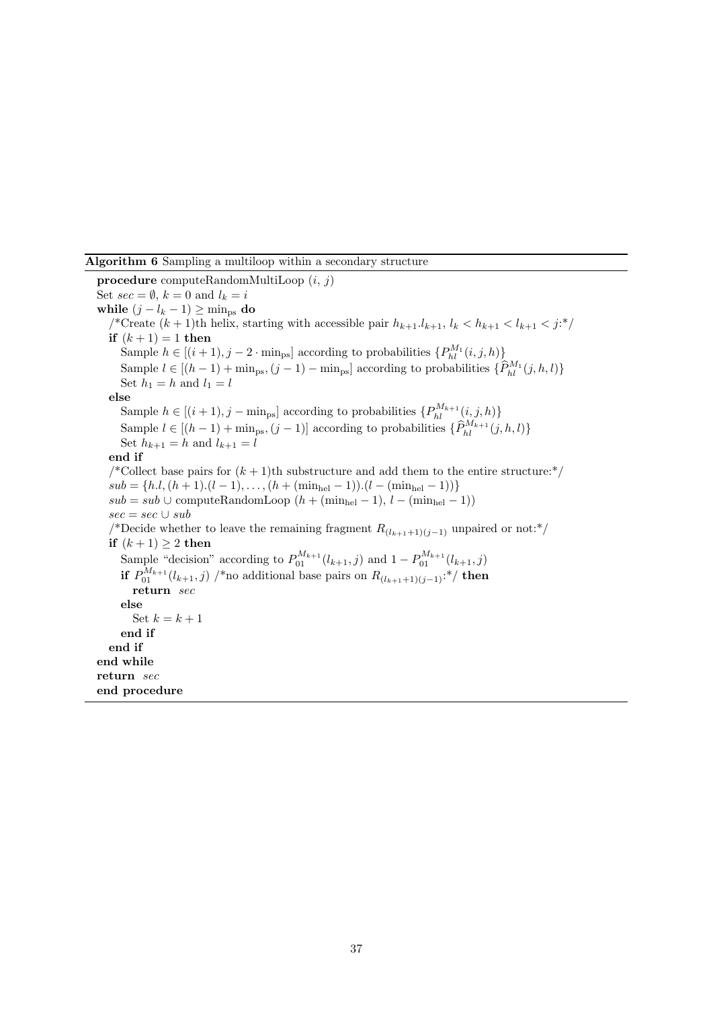#### Algorithm 6 Sampling a multiloop within a secondary structure

**procedure** computeRandomMultiLoop  $(i, j)$ Set  $\text{sec} = \emptyset$ ,  $k = 0$  and  $l_k = i$ while  $(j - l_k - 1) \ge \min_{\text{ps}}$  do /\*Create  $(k+1)$ th helix, starting with accessible pair  $h_{k+1}.l_{k+1}, l_k < h_{k+1} < l_{k+1} < j$ :\*/ if  $(k + 1) = 1$  then Sample  $h \in [(i + 1), j - 2 \cdot \min_{ps}]$  according to probabilities  $\{P_{hl}^{M_1}(i, j, h)\}$ Sample  $l \in [(h-1) + \min_{ps}, (j-1) - \min_{ps}]$  according to probabilities  $\{\widehat{P}_{hl}^{M_1}(j, h, l)\}$ Set  $h_1 = h$  and  $l_1 = l$ else Sample  $h \in [(i + 1), j - \min_{ps}]$  according to probabilities  $\{P_{hl}^{M_{k+1}}(i, j, h)\}$ Sample  $l \in [(h-1) + \min_{ps}, (j-1)]$  according to probabilities  $\{\widehat{P}_{hl}^{M_{k+1}}(j, h, l)\}$ Set  $h_{k+1} = h$  and  $l_{k+1} = l$ end if /\*Collect base pairs for  $(k + 1)$ th substructure and add them to the entire structure:\*/  $sub = \{h.l, (h + 1) . (l - 1), ..., (h + (min_{hel} - 1)) . (l - (min_{hel} - 1))\}$  $sub = sub \cup computeRandomLoop (h + (min_{hel} - 1), l - (min_{hel} - 1))$  $\mathit{sec} = \mathit{sec} \cup \mathit{sub}$ <sup>\*</sup>Decide whether to leave the remaining fragment  $R_{(l_{k+1}+1)(j-1)}$  unpaired or not:\*/ if  $(k+1) \geq 2$  then Sample "decision" according to  $P_{01}^{M_{k+1}}(l_{k+1},j)$  and  $1-P_{01}^{M_{k+1}}(l_{k+1},j)$ **if**  $P_{01}^{M_{k+1}}(l_{k+1}, j)$  /\*no additional base pairs on  $R_{(l_{k+1}+1)(j-1)}$ :\*/ **then** return sec else Set  $k = k + 1$ end if end if end while return sec end procedure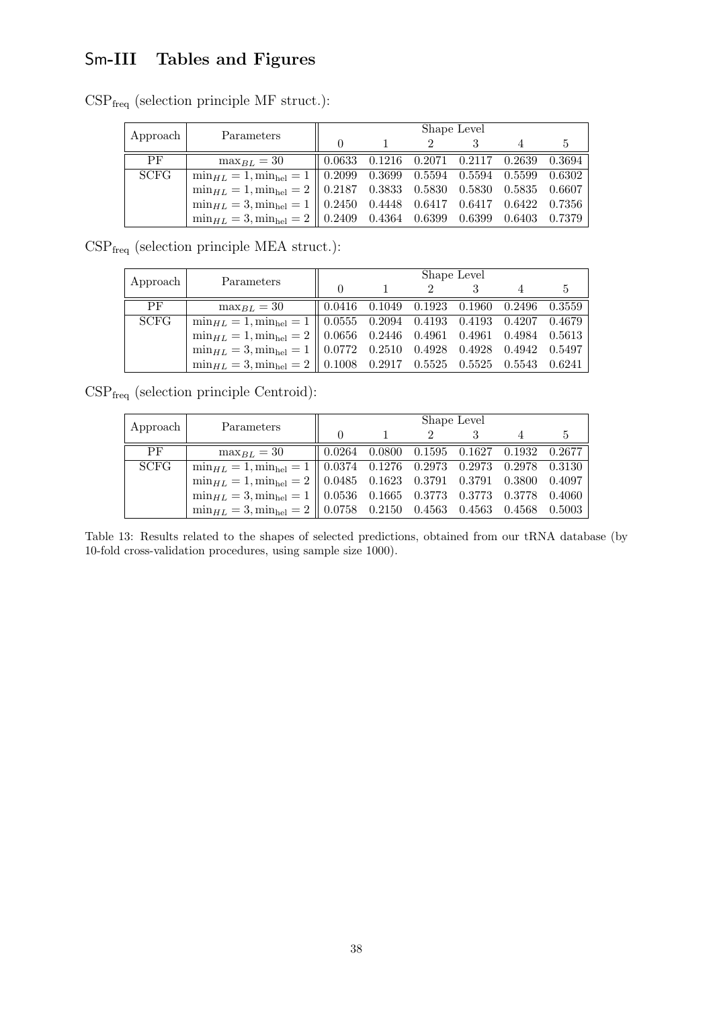## Sm-III Tables and Figures

| Approach    | Parameters                                                                                                            | Shape Level                                           |  |  |  |  |  |  |
|-------------|-----------------------------------------------------------------------------------------------------------------------|-------------------------------------------------------|--|--|--|--|--|--|
|             |                                                                                                                       |                                                       |  |  |  |  |  |  |
| PF          | $\max_{BL} = 30$                                                                                                      | $\parallel$ 0.0633 0.1216 0.2071 0.2117 0.2639 0.3694 |  |  |  |  |  |  |
| <b>SCFG</b> | $\min_{H/L} = 1$ , $\min_{hel} = 1 \parallel 0.2099 \quad 0.3699 \quad 0.5594 \quad 0.5594 \quad 0.5599 \quad 0.6302$ |                                                       |  |  |  |  |  |  |
|             | $\min_{HL} = 1, \min_{hel} = 2 \parallel 0.2187 \quad 0.3833 \quad 0.5830 \quad 0.5830 \quad 0.5835 \quad 0.6607$     |                                                       |  |  |  |  |  |  |
|             | $\min_{HL} = 3$ , $\min_{hel} = 1 \parallel 0.2450$ $0.4448$ $0.6417$ $0.6417$ $0.6422$ $0.7356$                      |                                                       |  |  |  |  |  |  |
|             | $\min_{HL} = 3$ , $\min_{hel} = 2 \parallel 0.2409$ 0.4364 0.6399 0.6399 0.6403 0.7379                                |                                                       |  |  |  |  |  |  |

<span id="page-37-0"></span> $\mathrm{CSP}_\mathrm{freq}$  (selection principle MF struct.):

 $\mathrm{CSP}_\mathrm{freq}$  (selection principle MEA struct.):

|             | Parameters                                                                                                                  | Shape Level                                           |  |  |  |  |  |  |
|-------------|-----------------------------------------------------------------------------------------------------------------------------|-------------------------------------------------------|--|--|--|--|--|--|
| Approach    |                                                                                                                             |                                                       |  |  |  |  |  |  |
| PF          | $\max_{B L} = 30$                                                                                                           | $\parallel$ 0.0416 0.1049 0.1923 0.1960 0.2496 0.3559 |  |  |  |  |  |  |
| <b>SCFG</b> | $\min_{HL} = 1, \min_{hel} = 1 \parallel 0.0555 \quad 0.2094 \quad 0.4193 \quad 0.4193 \quad 0.4207 \quad 0.4679 \parallel$ |                                                       |  |  |  |  |  |  |
|             | $\min_{HL} = 1, \min_{hel} = 2 \parallel 0.0656 \quad 0.2446 \quad 0.4961 \quad 0.4961 \quad 0.4984 \quad 0.5613$           |                                                       |  |  |  |  |  |  |
|             | $\min_{HL} = 3, \min_{hel} = 1 \parallel 0.0772 \quad 0.2510 \quad 0.4928 \quad 0.4928 \quad 0.4942 \quad 0.5497$           |                                                       |  |  |  |  |  |  |
|             | $\min_{HL} = 3, \min_{hel} = 2 \parallel 0.1008 \quad 0.2917 \quad 0.5525 \quad 0.5525 \quad 0.5543 \quad 0.6241$           |                                                       |  |  |  |  |  |  |

 $\mathrm{CSP}_\mathrm{freq}$  (selection principle Centroid):

|             | Parameters                                                                                                                                                                                          | Shape Level                                           |  |  |  |  |  |  |  |
|-------------|-----------------------------------------------------------------------------------------------------------------------------------------------------------------------------------------------------|-------------------------------------------------------|--|--|--|--|--|--|--|
| Approach    |                                                                                                                                                                                                     |                                                       |  |  |  |  |  |  |  |
| PF          | $\max_{BL} = 30$                                                                                                                                                                                    | $\parallel$ 0.0264 0.0800 0.1595 0.1627 0.1932 0.2677 |  |  |  |  |  |  |  |
| <b>SCFG</b> | $\min_{HL} = 1, \min_{hel} = 1 \parallel 0.0374 \quad 0.1276 \quad 0.2973 \quad 0.2973 \quad 0.2978 \quad 0.3130$                                                                                   |                                                       |  |  |  |  |  |  |  |
|             | $\text{min}_{HL} = 1, \text{min}_{\text{hel}} = 2 \ \textcolor{red}{\big\vert} \ \text{0.0485} \quad \text{0.1623} \quad \text{0.3791} \quad \text{0.3791} \quad \text{0.3800} \quad \text{0.4097}$ |                                                       |  |  |  |  |  |  |  |
|             | $\text{min}_{HL} = 3, \text{min}_{\text{hel}} = 1 \ \textcolor{red}{\parallel} \ 0.0536 \quad 0.1665 \quad 0.3773 \quad 0.3773 \quad 0.3778 \quad 0.4060$                                           |                                                       |  |  |  |  |  |  |  |
|             | $\min_{HL} = 3, \min_{hel} = 2 \parallel 0.0758 \quad 0.2150 \quad 0.4563 \quad 0.4563 \quad 0.4568 \quad 0.5003$                                                                                   |                                                       |  |  |  |  |  |  |  |

Table 13: Results related to the shapes of selected predictions, obtained from our tRNA database (by 10-fold cross-validation procedures, using sample size 1000).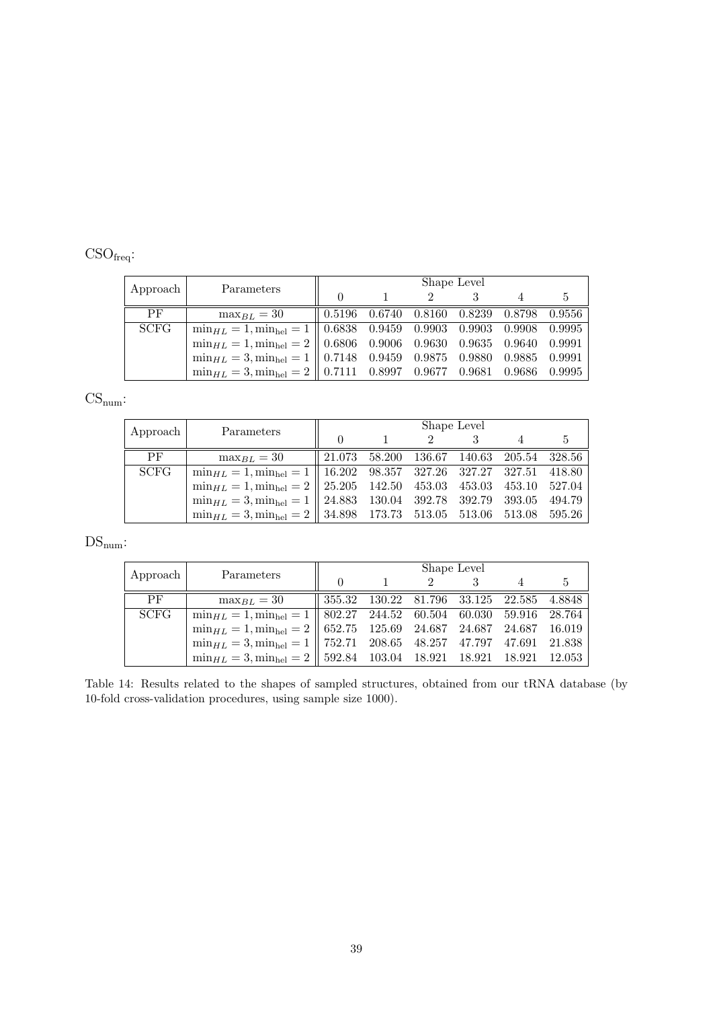CSOfreq:

| Approach    | Parameters                                                                                                        | Shape Level                                           |  |  |  |  |  |  |  |
|-------------|-------------------------------------------------------------------------------------------------------------------|-------------------------------------------------------|--|--|--|--|--|--|--|
|             |                                                                                                                   |                                                       |  |  |  |  |  |  |  |
| PF          | $\max_{B} I_{\ell} = 30$                                                                                          | $\parallel$ 0.5196 0.6740 0.8160 0.8239 0.8798 0.9556 |  |  |  |  |  |  |  |
| <b>SCFG</b> | $\min_{HL} = 1$ , $\min_{hel} = 1 \parallel 0.6838$ 0.9459 0.9903 0.9903 0.9908 0.9995                            |                                                       |  |  |  |  |  |  |  |
|             | $\min_{HL} = 1, \min_{hel} = 2 \parallel 0.6806 \quad 0.9006 \quad 0.9630 \quad 0.9635 \quad 0.9640 \quad 0.9991$ |                                                       |  |  |  |  |  |  |  |
|             | $\min_{HL} = 3, \min_{hel} = 1 \parallel 0.7148 \quad 0.9459 \quad 0.9875 \quad 0.9880 \quad 0.9885 \quad 0.9991$ |                                                       |  |  |  |  |  |  |  |
|             | $\min_{HL} = 3$ , $\min_{hel} = 2 \parallel 0.7111$ $0.8997$ $0.9677$ $0.9681$ $0.9686$ $0.9995$                  |                                                       |  |  |  |  |  |  |  |

CSnum:

| Approach    | Parameters                                                                                                        | Shape Level                                           |  |  |  |  |  |  |  |
|-------------|-------------------------------------------------------------------------------------------------------------------|-------------------------------------------------------|--|--|--|--|--|--|--|
|             |                                                                                                                   |                                                       |  |  |  |  |  |  |  |
| PF          | $\max_{B L} = 30$                                                                                                 | $\parallel$ 21.073 58.200 136.67 140.63 205.54 328.56 |  |  |  |  |  |  |  |
| <b>SCFG</b> | $\min_{HL} = 1$ , $\min_{hel} = 1$   16.202 98.357 327.26 327.27 327.51 418.80                                    |                                                       |  |  |  |  |  |  |  |
|             | $\min_{HL} = 1, \min_{hel} = 2 \parallel 25.205 \quad 142.50 \quad 453.03 \quad 453.03 \quad 453.10 \quad 527.04$ |                                                       |  |  |  |  |  |  |  |
|             | $\min_{HL} = 3, \min_{hel} = 1 \parallel 24.883$ 130.04 392.78 392.79 393.05 494.79                               |                                                       |  |  |  |  |  |  |  |
|             | $\min_{HL} = 3$ , $\min_{hel} = 2$   34.898 173.73 513.05 513.06 513.08 595.26                                    |                                                       |  |  |  |  |  |  |  |

DSnum:

| Approach | Parameters                                                                                                        | Shape Level                                           |  |  |  |  |  |  |  |
|----------|-------------------------------------------------------------------------------------------------------------------|-------------------------------------------------------|--|--|--|--|--|--|--|
|          |                                                                                                                   |                                                       |  |  |  |  |  |  |  |
| PF       | $\max_{BL} = 30$                                                                                                  | $\parallel$ 355.32 130.22 81.796 33.125 22.585 4.8848 |  |  |  |  |  |  |  |
| SCFG     | $\min_{HL} = 1, \min_{hel} = 1 \parallel 802.27$ 244.52 60.504 60.030 59.916 28.764                               |                                                       |  |  |  |  |  |  |  |
|          | $\min_{HL} = 1, \min_{hel} = 2 \parallel 652.75 \quad 125.69 \quad 24.687 \quad 24.687 \quad 24.687 \quad 16.019$ |                                                       |  |  |  |  |  |  |  |
|          | $\min_{HL} = 3$ , $\min_{hel} = 1$   752.71 208.65 48.257 47.797 47.691 21.838                                    |                                                       |  |  |  |  |  |  |  |
|          | $\min_{HL} = 3$ , $\min_{hel} = 2 \parallel 592.84$ 103.04 18.921 18.921 18.921 12.053                            |                                                       |  |  |  |  |  |  |  |

Table 14: Results related to the shapes of sampled structures, obtained from our tRNA database (by 10-fold cross-validation procedures, using sample size 1000).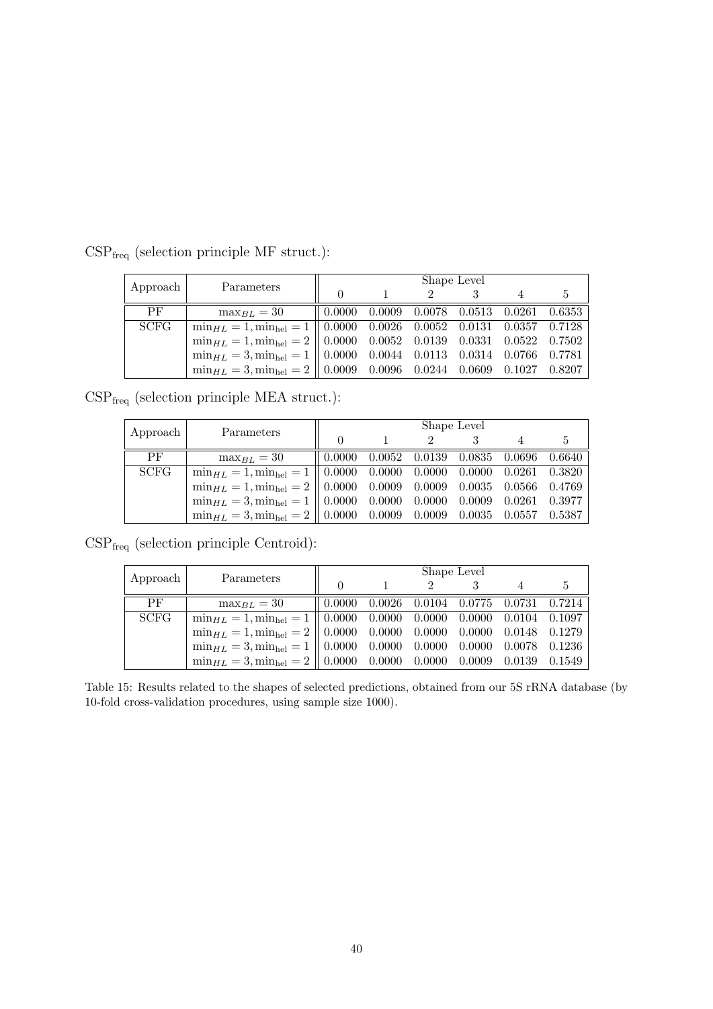|             | Parameters                                                                                                        | Shape Level                                           |  |  |  |  |  |  |  |
|-------------|-------------------------------------------------------------------------------------------------------------------|-------------------------------------------------------|--|--|--|--|--|--|--|
| Approach    |                                                                                                                   | $\Omega$                                              |  |  |  |  |  |  |  |
| <b>PF</b>   | $\max_{B} I_{\ell} = 30$                                                                                          | $\parallel$ 0.0000 0.0009 0.0078 0.0513 0.0261 0.6353 |  |  |  |  |  |  |  |
| <b>SCFG</b> | $\min_{HL} = 1, \min_{hel} = 1 \parallel 0.0000 \quad 0.0026 \quad 0.0052 \quad 0.0131 \quad 0.0357 \quad 0.7128$ |                                                       |  |  |  |  |  |  |  |
|             | $\min_{HL} = 1, \min_{hel} = 2 \parallel 0.0000 \quad 0.0052 \quad 0.0139 \quad 0.0331 \quad 0.0522 \quad 0.7502$ |                                                       |  |  |  |  |  |  |  |
|             | $\min_{HL} = 3, \min_{hel} = 1 \parallel 0.0000 \quad 0.0044 \quad 0.0113 \quad 0.0314 \quad 0.0766 \quad 0.7781$ |                                                       |  |  |  |  |  |  |  |
|             | $\min_{HL} = 3, \min_{hel} = 2 \parallel 0.0009 \quad 0.0096 \quad 0.0244 \quad 0.0609 \quad 0.1027 \quad 0.8207$ |                                                       |  |  |  |  |  |  |  |

 $\mathrm{CSP}_\mathrm{freq}$  (selection principle MF struct.):

 $\mathrm{CSP}_\mathrm{freq}$  (selection principle MEA struct.):

| Approach    | Parameters                                                                                                           | Shape Level                                           |  |               |  |  |  |  |  |
|-------------|----------------------------------------------------------------------------------------------------------------------|-------------------------------------------------------|--|---------------|--|--|--|--|--|
|             |                                                                                                                      |                                                       |  | $\mathcal{D}$ |  |  |  |  |  |
| PF          | $\max_{BL} = 30$                                                                                                     | $\parallel$ 0.0000 0.0052 0.0139 0.0835 0.0696 0.6640 |  |               |  |  |  |  |  |
| <b>SCFG</b> | $\min_{HL} = 1, \min_{hel} = 1 \parallel 0.0000 \quad 0.0000 \quad 0.0000 \quad 0.0000 \quad 0.0261 \quad 0.3820$    |                                                       |  |               |  |  |  |  |  |
|             | $\min_{HL} = 1, \min_{hel} = 2 \parallel 0.0000 \quad 0.0009 \quad 0.0009 \quad 0.0035 \quad 0.0566 \quad 0.4769$    |                                                       |  |               |  |  |  |  |  |
|             | $\min_{HL} = 3$ , $\min_{hel} = 1 \parallel 0.0000 \quad 0.0000 \quad 0.0000 \quad 0.0009 \quad 0.0261 \quad 0.3977$ |                                                       |  |               |  |  |  |  |  |
|             | $\min_{HL} = 3, \min_{hel} = 2 \parallel 0.0000 \quad 0.0009 \quad 0.0009 \quad 0.0035 \quad 0.0557 \quad 0.5387$    |                                                       |  |               |  |  |  |  |  |

 $\mathrm{CSP}_\mathrm{freq}$  (selection principle Centroid):

| Approach    | Parameters                                                                                                                            | Shape Level |                                                       |  |  |  |  |  |  |
|-------------|---------------------------------------------------------------------------------------------------------------------------------------|-------------|-------------------------------------------------------|--|--|--|--|--|--|
|             |                                                                                                                                       |             |                                                       |  |  |  |  |  |  |
| <b>PF</b>   | $\max_{BL} = 30$                                                                                                                      |             | $0.0000$ $0.0026$ $0.0104$ $0.0775$ $0.0731$ $0.7214$ |  |  |  |  |  |  |
| <b>SCFG</b> | $\min_{HL} = 1, \min_{hel} = 1 \parallel 0.0000 \setminus 0.0000 \setminus 0.0000 \setminus 0.0000 \setminus 0.0104 \setminus 0.1097$ |             |                                                       |  |  |  |  |  |  |
|             | $\min_{HL} = 1, \min_{hel} = 2 \parallel 0.0000 \quad 0.0000 \quad 0.0000 \quad 0.0000 \quad 0.0148 \quad 0.1279$                     |             |                                                       |  |  |  |  |  |  |
|             | $\min_{HL} = 3, \min_{hel} = 1 \parallel 0.0000 \quad 0.0000 \quad 0.0000 \quad 0.0000 \quad 0.0078 \quad 0.1236$                     |             |                                                       |  |  |  |  |  |  |
|             | $\min_{HL} = 3, \min_{hel} = 2 \parallel 0.0000 \quad 0.0000 \quad 0.0000 \quad 0.0009 \quad 0.0139 \quad 0.1549$                     |             |                                                       |  |  |  |  |  |  |

Table 15: Results related to the shapes of selected predictions, obtained from our 5S rRNA database (by 10-fold cross-validation procedures, using sample size 1000).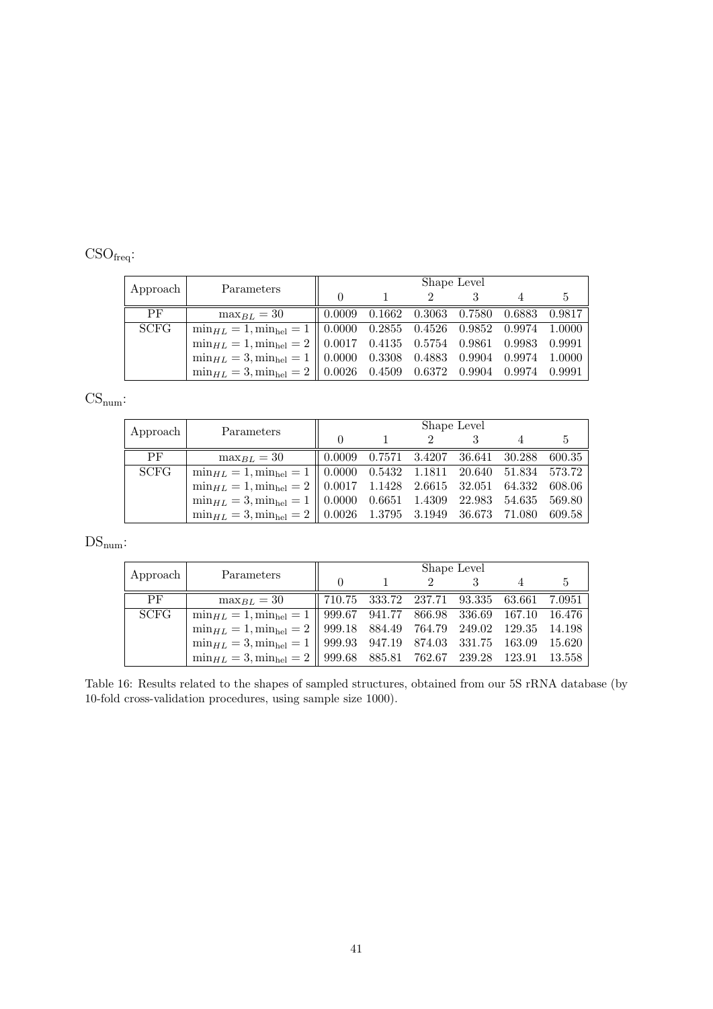<span id="page-40-0"></span>CSOfreq:

| Approach    | Parameters                                                                                                        | Shape Level                                           |  |  |  |  |  |  |  |
|-------------|-------------------------------------------------------------------------------------------------------------------|-------------------------------------------------------|--|--|--|--|--|--|--|
|             |                                                                                                                   |                                                       |  |  |  |  |  |  |  |
| PF          | $\max_{B} I_{\ell} = 30$                                                                                          | $\parallel$ 0.0009 0.1662 0.3063 0.7580 0.6883 0.9817 |  |  |  |  |  |  |  |
| <b>SCFG</b> | $\min_{HL} = 1, \min_{hel} = 1 \parallel 0.0000 \quad 0.2855 \quad 0.4526 \quad 0.9852 \quad 0.9974 \quad 1.0000$ |                                                       |  |  |  |  |  |  |  |
|             | $\min_{HL} = 1, \min_{hel} = 2 \parallel 0.0017 \quad 0.4135 \quad 0.5754 \quad 0.9861 \quad 0.9983 \quad 0.9991$ |                                                       |  |  |  |  |  |  |  |
|             | $\min_{HL} = 3, \min_{hel} = 1 \parallel 0.0000 \quad 0.3308 \quad 0.4883 \quad 0.9904 \quad 0.9974 \quad 1.0000$ |                                                       |  |  |  |  |  |  |  |
|             | $\min_{HL} = 3$ , $\min_{hel} = 2 \parallel 0.0026$ 0.4509 0.6372 0.9904 0.9974 0.9991                            |                                                       |  |  |  |  |  |  |  |

 $CS_{num}$ :

| Approach | Parameters                                                                                                        | Shape Level                                           |  |  |  |  |  |  |  |
|----------|-------------------------------------------------------------------------------------------------------------------|-------------------------------------------------------|--|--|--|--|--|--|--|
|          |                                                                                                                   |                                                       |  |  |  |  |  |  |  |
| PF       | $\max_{BL} = 30$                                                                                                  | $\parallel$ 0.0009 0.7571 3.4207 36.641 30.288 600.35 |  |  |  |  |  |  |  |
| SCFG     | $\min_{HL} = 1, \min_{hel} = 1 \parallel 0.0000 \quad 0.5432 \quad 1.1811 \quad 20.640 \quad 51.834 \quad 573.72$ |                                                       |  |  |  |  |  |  |  |
|          | $\min_{HL} = 1, \min_{hel} = 2 \parallel 0.0017 \quad 1.1428 \quad 2.6615 \quad 32.051 \quad 64.332 \quad 608.06$ |                                                       |  |  |  |  |  |  |  |
|          | $\min_{HL} = 3, \min_{hel} = 1 \parallel 0.0000 \quad 0.6651 \quad 1.4309 \quad 22.983 \quad 54.635 \quad 569.80$ |                                                       |  |  |  |  |  |  |  |
|          | $\min_{HL} = 3, \min_{hel} = 2 \parallel 0.0026 \quad 1.3795 \quad 3.1949 \quad 36.673 \quad 71.080 \quad 609.58$ |                                                       |  |  |  |  |  |  |  |

DSnum:

| Approach | Parameters                                                                                                        | Shape Level                                           |  |  |  |  |  |  |  |
|----------|-------------------------------------------------------------------------------------------------------------------|-------------------------------------------------------|--|--|--|--|--|--|--|
|          |                                                                                                                   |                                                       |  |  |  |  |  |  |  |
| PF.      | $\max_{BL} = 30$                                                                                                  | $\parallel$ 710.75 333.72 237.71 93.335 63.661 7.0951 |  |  |  |  |  |  |  |
| SCFG     | $\min_{HL} = 1, \min_{hel} = 1$   999.67 941.77 866.98 336.69 167.10 16.476                                       |                                                       |  |  |  |  |  |  |  |
|          | $\min_{HL} = 1, \min_{hel} = 2 \parallel 999.18$ 884.49 764.79 249.02 129.35 14.198                               |                                                       |  |  |  |  |  |  |  |
|          | $\min_{HL} = 3, \min_{hel} = 1 \parallel 999.93 \quad 947.19 \quad 874.03 \quad 331.75 \quad 163.09 \quad 15.620$ |                                                       |  |  |  |  |  |  |  |
|          | $\min_{HL} = 3, \min_{hel} = 2 \parallel 999.68$ 885.81 762.67 239.28 123.91 13.558                               |                                                       |  |  |  |  |  |  |  |

Table 16: Results related to the shapes of sampled structures, obtained from our 5S rRNA database (by 10-fold cross-validation procedures, using sample size 1000).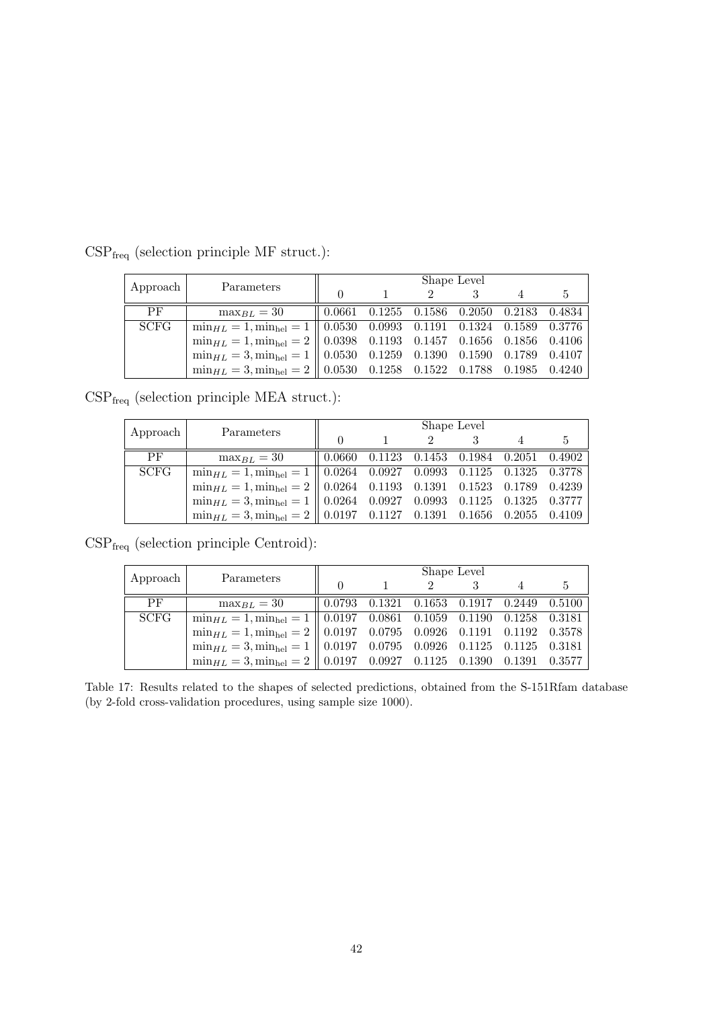|             | Parameters                                                                                                                               | Shape Level                                           |  |  |  |  |  |  |  |
|-------------|------------------------------------------------------------------------------------------------------------------------------------------|-------------------------------------------------------|--|--|--|--|--|--|--|
| Approach    |                                                                                                                                          | $\Omega$                                              |  |  |  |  |  |  |  |
| PF          | $\max_{B} I_{\ell} = 30$                                                                                                                 | $\parallel$ 0.0661 0.1255 0.1586 0.2050 0.2183 0.4834 |  |  |  |  |  |  |  |
| <b>SCFG</b> | $\min_{HL} = 1, \min_{hel} = 1 \parallel 0.0530 \quad 0.0993 \quad 0.1191 \quad 0.1324 \quad 0.1589 \quad 0.3776$                        |                                                       |  |  |  |  |  |  |  |
|             | $\min_{HL} = 1, \min_{hel} = 2 \parallel 0.0398 \quad 0.1193 \quad 0.1457 \quad 0.1656 \quad 0.1856 \quad 0.4106$                        |                                                       |  |  |  |  |  |  |  |
|             | $\min_{HL} = 3, \min_{hel} = 1 \parallel 0.0530 \quad 0.1259 \quad 0.1390 \quad 0.1590 \quad 0.1789 \quad 0.4107$                        |                                                       |  |  |  |  |  |  |  |
|             | $\min_{HL} = 3$ , $\min_{hel} = 2 \parallel 0.0530 \parallel 0.1258 \parallel 0.1522 \parallel 0.1788 \parallel 0.1985 \parallel 0.4240$ |                                                       |  |  |  |  |  |  |  |

 $\mathrm{CSP}_\mathrm{freq}$  (selection principle MF struct.):

 $\mathrm{CSP}_\mathrm{freq}$  (selection principle MEA struct.):

| Approach    | Parameters                                                                                                                           | Shape Level                                           |  |                             |  |  |  |  |  |
|-------------|--------------------------------------------------------------------------------------------------------------------------------------|-------------------------------------------------------|--|-----------------------------|--|--|--|--|--|
|             |                                                                                                                                      |                                                       |  | $\mathcal{D}_{\mathcal{L}}$ |  |  |  |  |  |
| PF.         | $\max_{B} I_{\ell} = 30$                                                                                                             | $\parallel$ 0.0660 0.1123 0.1453 0.1984 0.2051 0.4902 |  |                             |  |  |  |  |  |
| <b>SCFG</b> | $\min_{HL} = 1, \min_{hel} = 1 \parallel 0.0264 \quad 0.0927 \quad 0.0993 \quad 0.1125 \quad 0.1325 \quad 0.3778$                    |                                                       |  |                             |  |  |  |  |  |
|             | $\text{min}_{HL}=1, \text{min}_{\text{hel}}=2 \ \big\Vert \ 0.0264 \quad 0.1193 \quad 0.1391 \quad 0.1523 \quad 0.1789 \quad 0.4239$ |                                                       |  |                             |  |  |  |  |  |
|             | $\min_{HL} = 3, \min_{hel} = 1 \parallel 0.0264 \quad 0.0927 \quad 0.0993 \quad 0.1125 \quad 0.1325 \quad 0.3777$                    |                                                       |  |                             |  |  |  |  |  |
|             | $\min_{HL} = 3, \min_{hel} = 2 \parallel 0.0197 \quad 0.1127 \quad 0.1391 \quad 0.1656 \quad 0.2055 \quad 0.4109$                    |                                                       |  |                             |  |  |  |  |  |

 $\mathrm{CSP}_\mathrm{freq}$  (selection principle Centroid):

| Approach $ $ | Parameters                                                                                                           | Shape Level                                           |  |  |  |  |  |  |
|--------------|----------------------------------------------------------------------------------------------------------------------|-------------------------------------------------------|--|--|--|--|--|--|
|              |                                                                                                                      |                                                       |  |  |  |  |  |  |
| PF           | $\max_{BL} = 30$                                                                                                     | $\parallel$ 0.0793 0.1321 0.1653 0.1917 0.2449 0.5100 |  |  |  |  |  |  |
| <b>SCFG</b>  | $\min_{HL} = 1, \min_{hel} = 1 \parallel 0.0197 \quad 0.0861 \quad 0.1059 \quad 0.1190 \quad 0.1258 \quad 0.3181$    |                                                       |  |  |  |  |  |  |
|              | $\min_{HL} = 1, \min_{hel} = 2 \parallel 0.0197 \quad 0.0795 \quad 0.0926 \quad 0.1191 \quad 0.1192 \quad 0.3578$    |                                                       |  |  |  |  |  |  |
|              | $\min_{HL} = 3, \min_{hel} = 1 \parallel 0.0197 \quad 0.0795 \quad 0.0926 \quad 0.1125 \quad 0.1125 \quad 0.3181$    |                                                       |  |  |  |  |  |  |
|              | $\min_{HL} = 3$ , $\min_{hel} = 2 \parallel 0.0197 \quad 0.0927 \quad 0.1125 \quad 0.1390 \quad 0.1391 \quad 0.3577$ |                                                       |  |  |  |  |  |  |

Table 17: Results related to the shapes of selected predictions, obtained from the S-151Rfam database (by 2-fold cross-validation procedures, using sample size 1000).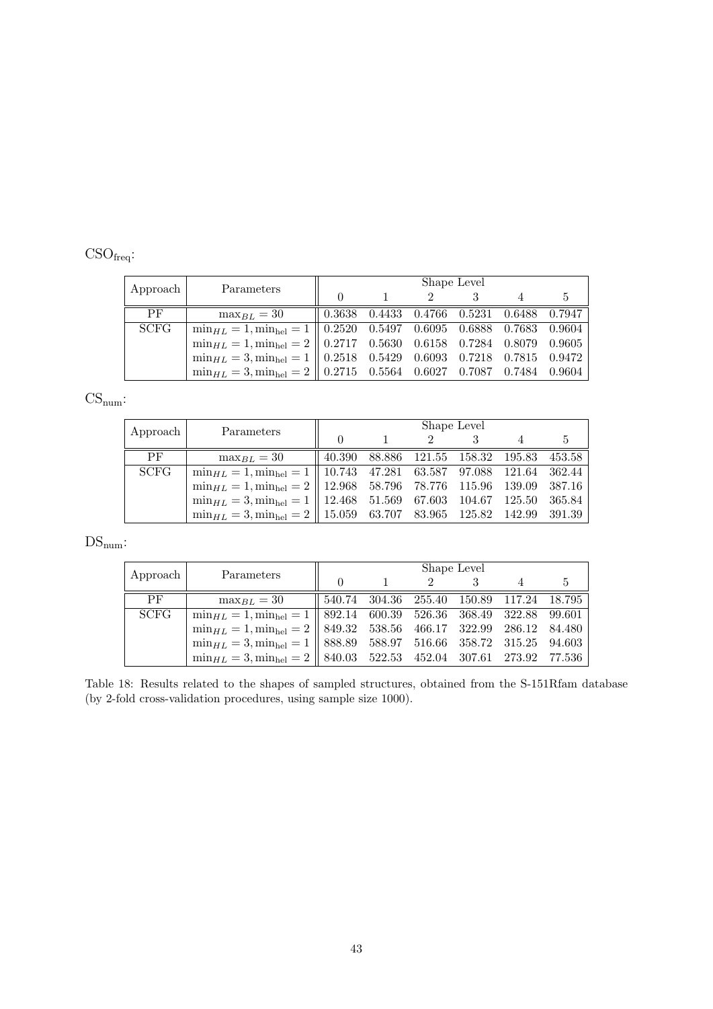<span id="page-42-0"></span>CSOfreq:

| Approach    | Parameters                                                                                                        | Shape Level                                           |  |  |  |  |  |  |
|-------------|-------------------------------------------------------------------------------------------------------------------|-------------------------------------------------------|--|--|--|--|--|--|
|             |                                                                                                                   |                                                       |  |  |  |  |  |  |
| PF          | $\max_{BL} = 30$                                                                                                  | $\parallel$ 0.3638 0.4433 0.4766 0.5231 0.6488 0.7947 |  |  |  |  |  |  |
| <b>SCFG</b> | $\min_{HL} = 1, \min_{hel} = 1 \parallel 0.2520 \quad 0.5497 \quad 0.6095 \quad 0.6888 \quad 0.7683 \quad 0.9604$ |                                                       |  |  |  |  |  |  |
|             | $\min_{HL} = 1, \min_{hel} = 2 \parallel 0.2717 \quad 0.5630 \quad 0.6158 \quad 0.7284 \quad 0.8079 \quad 0.9605$ |                                                       |  |  |  |  |  |  |
|             | $\min_{HL} = 3, \min_{hel} = 1 \parallel 0.2518 \quad 0.5429 \quad 0.6093 \quad 0.7218 \quad 0.7815 \quad 0.9472$ |                                                       |  |  |  |  |  |  |
|             | $\min_{HL} = 3$ , $\min_{hel} = 2 \parallel 0.2715$ 0.5564 0.6027 0.7087 0.7484 0.9604                            |                                                       |  |  |  |  |  |  |

 $CS_{num}$ :

| Approach    | Parameters                                                                          | Shape Level |  |  |  |                                           |  |  |
|-------------|-------------------------------------------------------------------------------------|-------------|--|--|--|-------------------------------------------|--|--|
|             |                                                                                     |             |  |  |  |                                           |  |  |
| PF          | $\max_{B} I_{L} = 30$                                                               |             |  |  |  | 40.390 88.886 121.55 158.32 195.83 453.58 |  |  |
| <b>SCFG</b> | $\min_{HL} = 1, \min_{hel} = 1 \parallel 10.743$ 47.281 63.587 97.088 121.64 362.44 |             |  |  |  |                                           |  |  |
|             | $\min_{HL} = 1, \min_{hel} = 2 \parallel 12.968$ 58.796 78.776 115.96 139.09 387.16 |             |  |  |  |                                           |  |  |
|             | $\min_{HL} = 3, \min_{hel} = 1 \parallel 12.468$ 51.569 67.603 104.67 125.50 365.84 |             |  |  |  |                                           |  |  |
|             | $\min_{HL} = 3, \min_{hel} = 2 \parallel 15.059$ 63.707 83.965 125.82 142.99 391.39 |             |  |  |  |                                           |  |  |

DSnum:

| Approach    | Parameters                                                                                                        | Shape Level |  |  |  |                                           |  |  |
|-------------|-------------------------------------------------------------------------------------------------------------------|-------------|--|--|--|-------------------------------------------|--|--|
|             |                                                                                                                   |             |  |  |  |                                           |  |  |
| <b>PF</b>   | $\max_{BL} = 30$                                                                                                  |             |  |  |  | 540.74 304.36 255.40 150.89 117.24 18.795 |  |  |
| <b>SCFG</b> | $\min_{HL} = 1, \min_{hel} = 1 \parallel 892.14 \quad 600.39 \quad 526.36 \quad 368.49 \quad 322.88 \quad 99.601$ |             |  |  |  |                                           |  |  |
|             | $\min_{HL} = 1, \min_{hel} = 2 \parallel 849.32 \quad 538.56 \quad 466.17 \quad 322.99 \quad 286.12 \quad 84.480$ |             |  |  |  |                                           |  |  |
|             | $\min_{HL} = 3$ , $\min_{hel} = 1$    888.89 588.97 516.66 358.72 315.25 94.603                                   |             |  |  |  |                                           |  |  |
|             | $\min_{HL} = 3, \min_{hel} = 2 \parallel 840.03 \quad 522.53 \quad 452.04 \quad 307.61 \quad 273.92 \quad 77.536$ |             |  |  |  |                                           |  |  |

Table 18: Results related to the shapes of sampled structures, obtained from the S-151Rfam database (by 2-fold cross-validation procedures, using sample size 1000).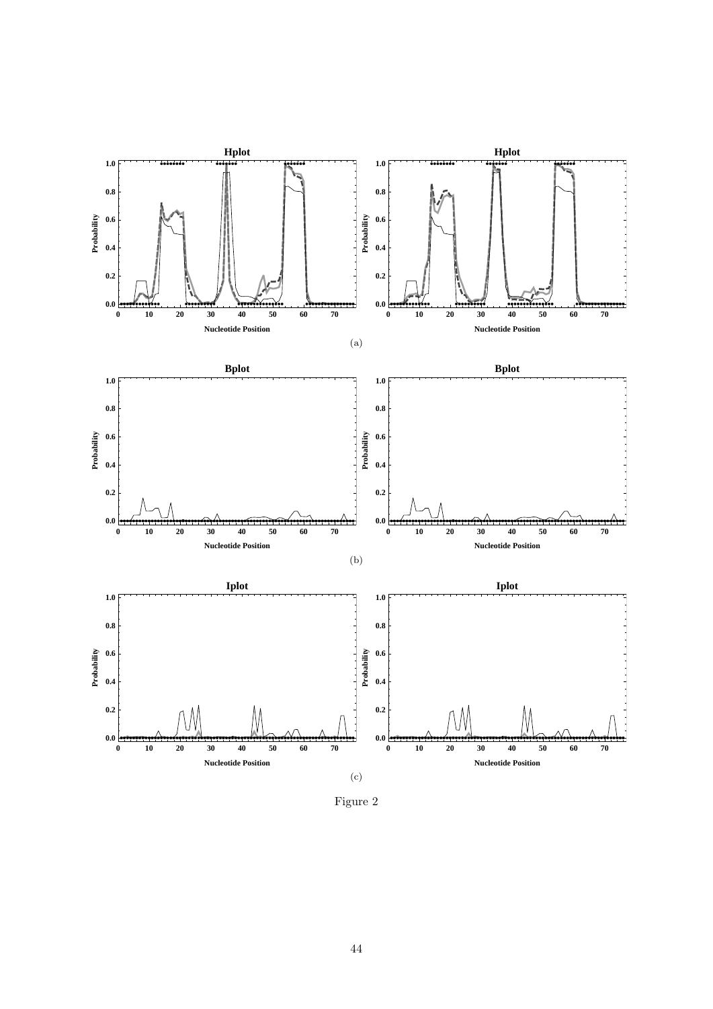

Figure 2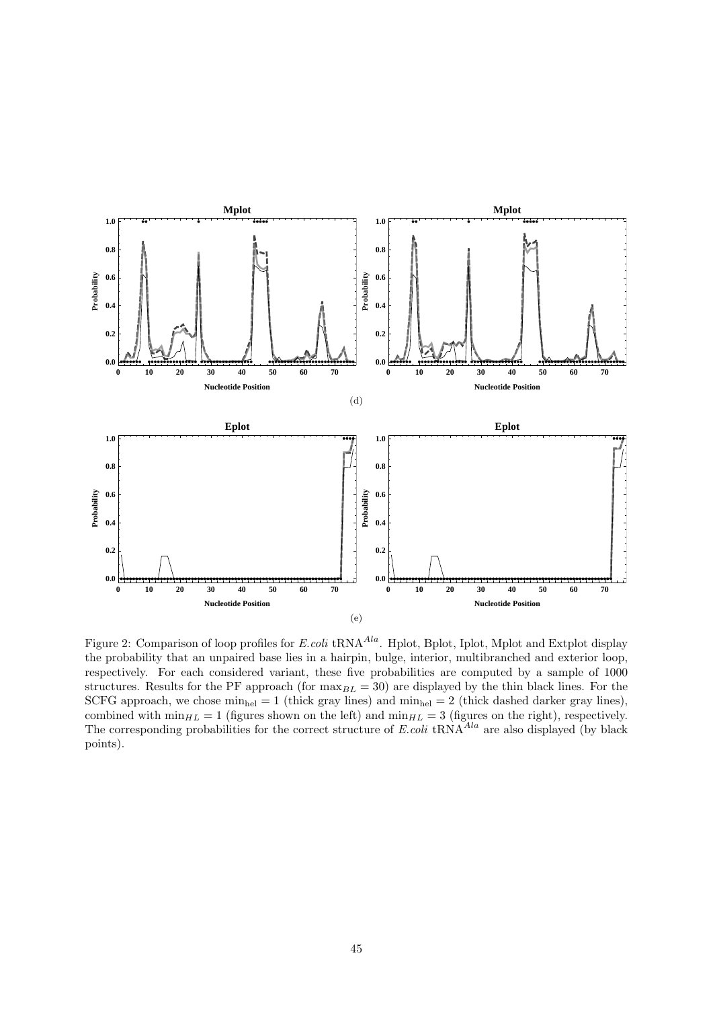<span id="page-44-0"></span>

Figure 2: Comparison of loop profiles for E.coli tRNA<sup>Ala</sup>. Hplot, Bplot, Iplot, Mplot and Extplot display the probability that an unpaired base lies in a hairpin, bulge, interior, multibranched and exterior loop, respectively. For each considered variant, these five probabilities are computed by a sample of 1000 structures. Results for the PF approach (for  $\max_{BL} = 30$ ) are displayed by the thin black lines. For the SCFG approach, we chose  $\min_{\text{hel}} = 1$  (thick gray lines) and  $\min_{\text{hel}} = 2$  (thick dashed darker gray lines), combined with  $\min_{HL} = 1$  (figures shown on the left) and  $\min_{HL} = 3$  (figures on the right), respectively. The corresponding probabilities for the correct structure of  $E.\text{coli tRNA}^{Ala}$  are also displayed (by black points).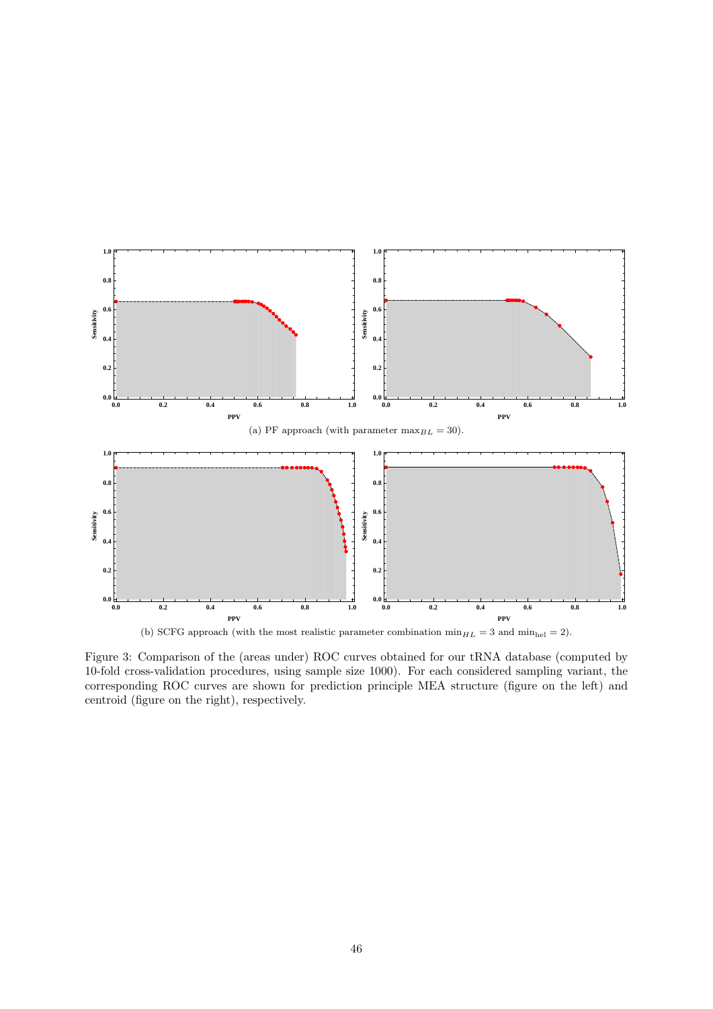<span id="page-45-0"></span>

Figure 3: Comparison of the (areas under) ROC curves obtained for our tRNA database (computed by 10-fold cross-validation procedures, using sample size 1000). For each considered sampling variant, the corresponding ROC curves are shown for prediction principle MEA structure (figure on the left) and centroid (figure on the right), respectively.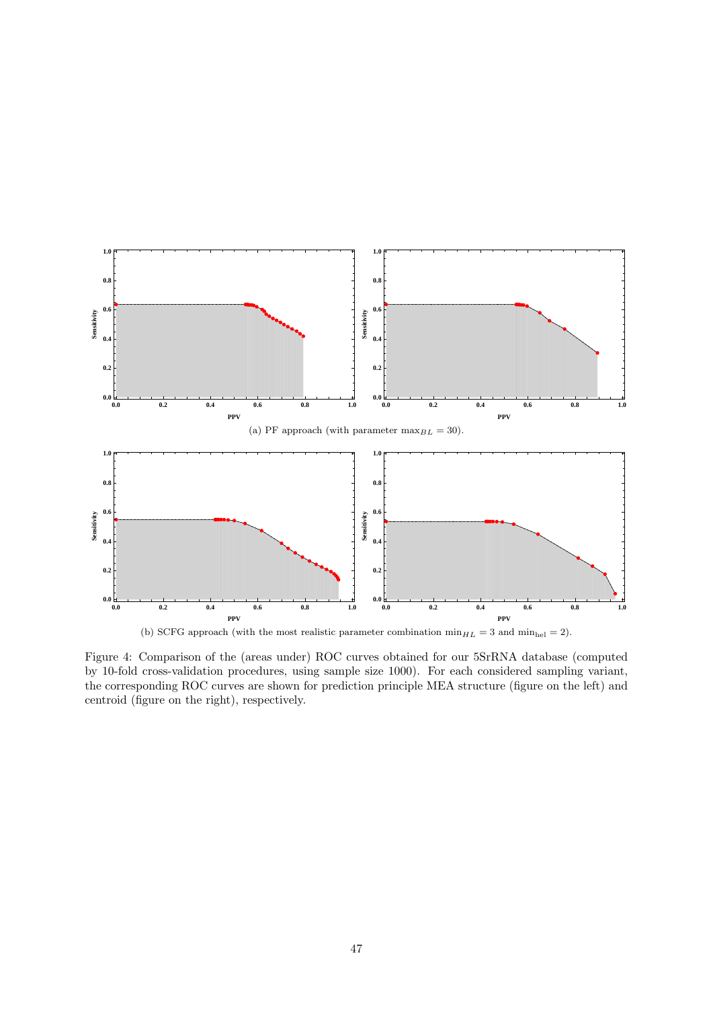<span id="page-46-0"></span>

Figure 4: Comparison of the (areas under) ROC curves obtained for our 5SrRNA database (computed by 10-fold cross-validation procedures, using sample size 1000). For each considered sampling variant, the corresponding ROC curves are shown for prediction principle MEA structure (figure on the left) and centroid (figure on the right), respectively.